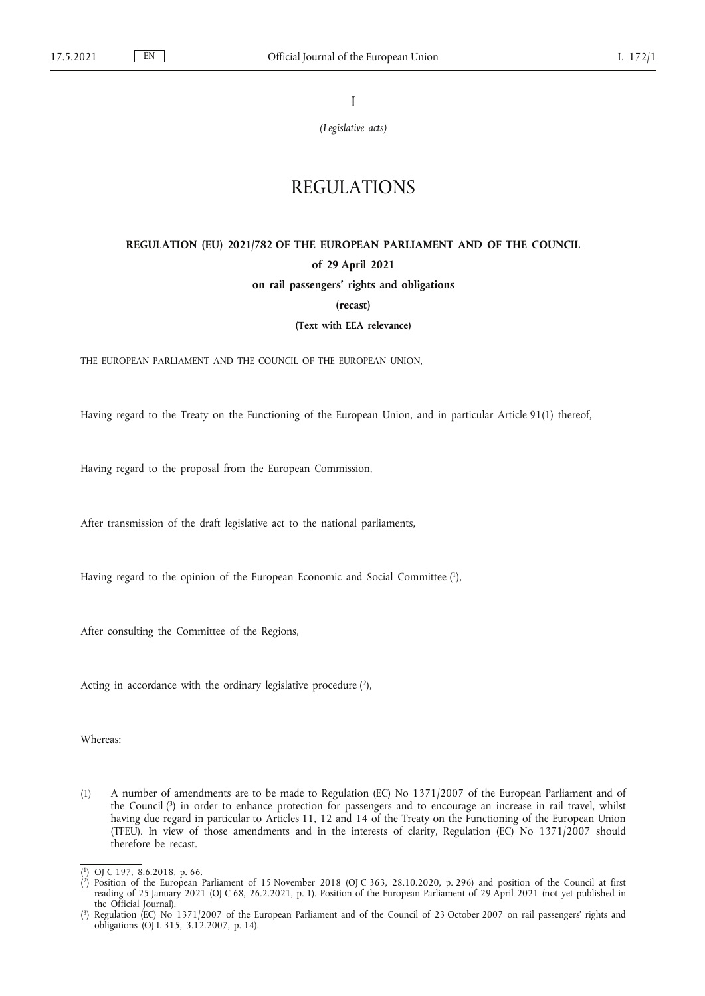I

*(Legislative acts)*

# REGULATIONS

# **REGULATION (EU) 2021/782 OF THE EUROPEAN PARLIAMENT AND OF THE COUNCIL of 29 April 2021**

# **on rail passengers' rights and obligations**

# **(recast)**

#### **(Text with EEA relevance)**

THE EUROPEAN PARLIAMENT AND THE COUNCIL OF THE EUROPEAN UNION,

Having regard to the Treaty on the Functioning of the European Union, and in particular Article 91(1) thereof,

Having regard to the proposal from the European Commission,

After transmission of the draft legislative act to the national parliaments,

<span id="page-0-3"></span>Having regard to the opinion of the European Economic and Social Committe[e \(1\),](#page-0-0)

After consulting the Committee of the Regions,

<span id="page-0-4"></span>Acting in accordance with the ordinary legislative procedure  $(2)$ ,

Whereas:

<span id="page-0-5"></span>(1) A number of amendments are to be made to Regulation (EC) No 1371/2007 of the European Parliament and of the Council  $\binom{3}{2}$  in order to enhance protection for passengers and to encourage an increase in rail travel, whilst having due regard in particular to Articles 11, 12 and 14 of the Treaty on the Functioning of the European Union (TFEU). In view of those amendments and in the interests of clarity, Regulation (EC) No 1371/2007 should therefore be recast.

<span id="page-0-0"></span>[<sup>\(</sup>](#page-0-3) [1\)](#page-0-3) OJ C 197, 8.6.2018, p. 66.

<span id="page-0-1"></span>[<sup>\(</sup>](#page-0-4) [2\)](#page-0-4) Position of the European Parliament of 15 November 2018 (OJ C 363, 28.10.2020, p. 296) and position of the Council at first reading of 25 January 2021 (OJ C 68, 26.2.2021, p. 1). Position of the European Parliament of 29 April 2021 (not yet published in the Official Journal).

<span id="page-0-2"></span> $(3)$  $(3)$ Regulation (EC) No 1371/2007 of the European Parliament and of the Council of 23 October 2007 on rail passengers' rights and obligations (OJ L 315, 3.12.2007, p. 14).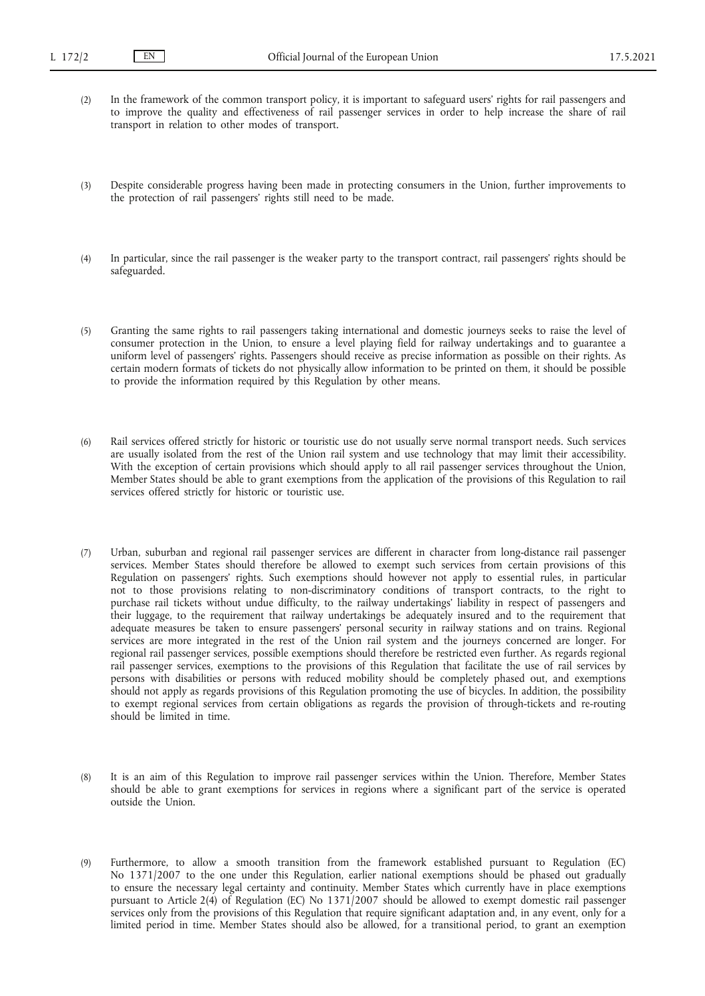- (2) In the framework of the common transport policy, it is important to safeguard users' rights for rail passengers and to improve the quality and effectiveness of rail passenger services in order to help increase the share of rail transport in relation to other modes of transport.
- (3) Despite considerable progress having been made in protecting consumers in the Union, further improvements to the protection of rail passengers' rights still need to be made.
- (4) In particular, since the rail passenger is the weaker party to the transport contract, rail passengers' rights should be safeguarded.
- (5) Granting the same rights to rail passengers taking international and domestic journeys seeks to raise the level of consumer protection in the Union, to ensure a level playing field for railway undertakings and to guarantee a uniform level of passengers' rights. Passengers should receive as precise information as possible on their rights. As certain modern formats of tickets do not physically allow information to be printed on them, it should be possible to provide the information required by this Regulation by other means.
- (6) Rail services offered strictly for historic or touristic use do not usually serve normal transport needs. Such services are usually isolated from the rest of the Union rail system and use technology that may limit their accessibility. With the exception of certain provisions which should apply to all rail passenger services throughout the Union, Member States should be able to grant exemptions from the application of the provisions of this Regulation to rail services offered strictly for historic or touristic use.
- (7) Urban, suburban and regional rail passenger services are different in character from long-distance rail passenger services. Member States should therefore be allowed to exempt such services from certain provisions of this Regulation on passengers' rights. Such exemptions should however not apply to essential rules, in particular not to those provisions relating to non-discriminatory conditions of transport contracts, to the right to purchase rail tickets without undue difficulty, to the railway undertakings' liability in respect of passengers and their luggage, to the requirement that railway undertakings be adequately insured and to the requirement that adequate measures be taken to ensure passengers' personal security in railway stations and on trains. Regional services are more integrated in the rest of the Union rail system and the journeys concerned are longer. For regional rail passenger services, possible exemptions should therefore be restricted even further. As regards regional rail passenger services, exemptions to the provisions of this Regulation that facilitate the use of rail services by persons with disabilities or persons with reduced mobility should be completely phased out, and exemptions should not apply as regards provisions of this Regulation promoting the use of bicycles. In addition, the possibility to exempt regional services from certain obligations as regards the provision of through-tickets and re-routing should be limited in time.
- (8) It is an aim of this Regulation to improve rail passenger services within the Union. Therefore, Member States should be able to grant exemptions for services in regions where a significant part of the service is operated outside the Union.
- (9) Furthermore, to allow a smooth transition from the framework established pursuant to Regulation (EC) No 1371/2007 to the one under this Regulation, earlier national exemptions should be phased out gradually to ensure the necessary legal certainty and continuity. Member States which currently have in place exemptions pursuant to Article 2(4) of Regulation (EC) No 1371/2007 should be allowed to exempt domestic rail passenger services only from the provisions of this Regulation that require significant adaptation and, in any event, only for a limited period in time. Member States should also be allowed, for a transitional period, to grant an exemption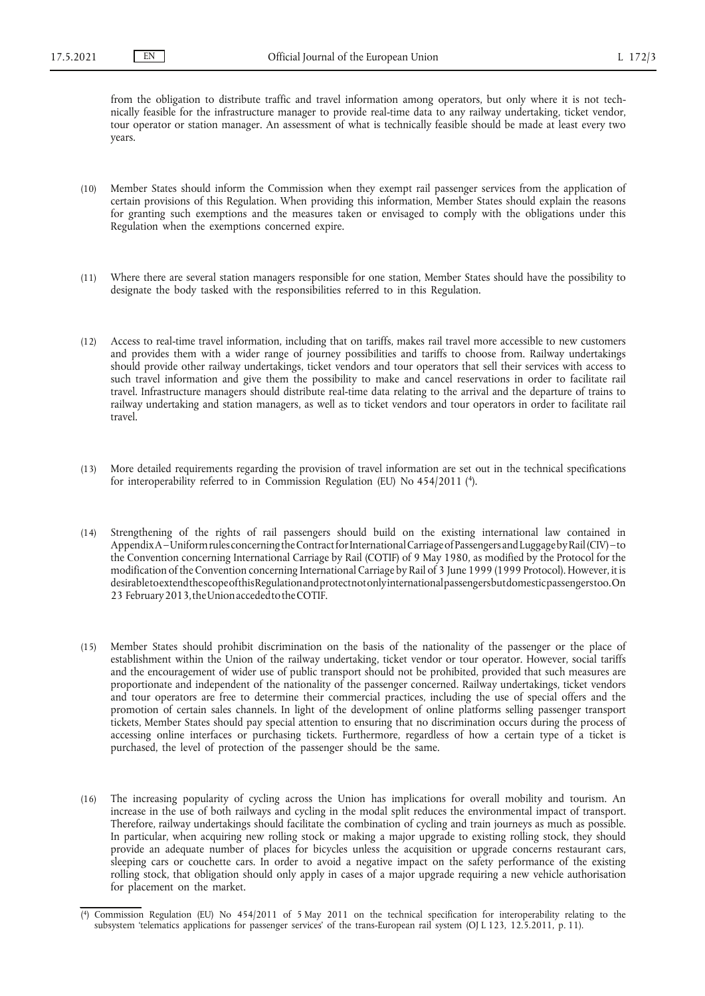from the obligation to distribute traffic and travel information among operators, but only where it is not technically feasible for the infrastructure manager to provide real-time data to any railway undertaking, ticket vendor, tour operator or station manager. An assessment of what is technically feasible should be made at least every two years.

- (10) Member States should inform the Commission when they exempt rail passenger services from the application of certain provisions of this Regulation. When providing this information, Member States should explain the reasons for granting such exemptions and the measures taken or envisaged to comply with the obligations under this Regulation when the exemptions concerned expire.
- (11) Where there are several station managers responsible for one station, Member States should have the possibility to designate the body tasked with the responsibilities referred to in this Regulation.
- (12) Access to real-time travel information, including that on tariffs, makes rail travel more accessible to new customers and provides them with a wider range of journey possibilities and tariffs to choose from. Railway undertakings should provide other railway undertakings, ticket vendors and tour operators that sell their services with access to such travel information and give them the possibility to make and cancel reservations in order to facilitate rail travel. Infrastructure managers should distribute real-time data relating to the arrival and the departure of trains to railway undertaking and station managers, as well as to ticket vendors and tour operators in order to facilitate rail travel.
- <span id="page-2-1"></span>(13) More detailed requirements regarding the provision of travel information are set out in the technical specifications for interoperability referred to in Commission Regulation (EU) No 454/2011 [\(4\)](#page-2-0).
- (14) Strengthening of the rights of rail passengers should build on the existing international law contained in Appendix A – Uniform rules concerning the Contract for International Carriage of Passengers and Luggage by Rail (CIV) – to the Convention concerning International Carriage by Rail (COTIF) of 9 May 1980, as modified by the Protocol for the modification of the Convention concerning International Carriage by Rail of 3 June 1999 (1999 Protocol). However, it is desirabletoextendthescopeofthisRegulationandprotectnotonlyinternationalpassengersbutdomesticpassengerstoo.On 23 February 2013, the Union acceded to the COTIF.
- (15) Member States should prohibit discrimination on the basis of the nationality of the passenger or the place of establishment within the Union of the railway undertaking, ticket vendor or tour operator. However, social tariffs and the encouragement of wider use of public transport should not be prohibited, provided that such measures are proportionate and independent of the nationality of the passenger concerned. Railway undertakings, ticket vendors and tour operators are free to determine their commercial practices, including the use of special offers and the promotion of certain sales channels. In light of the development of online platforms selling passenger transport tickets, Member States should pay special attention to ensuring that no discrimination occurs during the process of accessing online interfaces or purchasing tickets. Furthermore, regardless of how a certain type of a ticket is purchased, the level of protection of the passenger should be the same.
- (16) The increasing popularity of cycling across the Union has implications for overall mobility and tourism. An increase in the use of both railways and cycling in the modal split reduces the environmental impact of transport. Therefore, railway undertakings should facilitate the combination of cycling and train journeys as much as possible. In particular, when acquiring new rolling stock or making a major upgrade to existing rolling stock, they should provide an adequate number of places for bicycles unless the acquisition or upgrade concerns restaurant cars, sleeping cars or couchette cars. In order to avoid a negative impact on the safety performance of the existing rolling stock, that obligation should only apply in cases of a major upgrade requiring a new vehicle authorisation for placement on the market.

<span id="page-2-0"></span>[<sup>\(</sup>](#page-2-1) [4\)](#page-2-1) Commission Regulation (EU) No 454/2011 of 5 May 2011 on the technical specification for interoperability relating to the subsystem 'telematics applications for passenger services' of the trans-European rail system (OJ L 123, 12.5.2011, p. 11).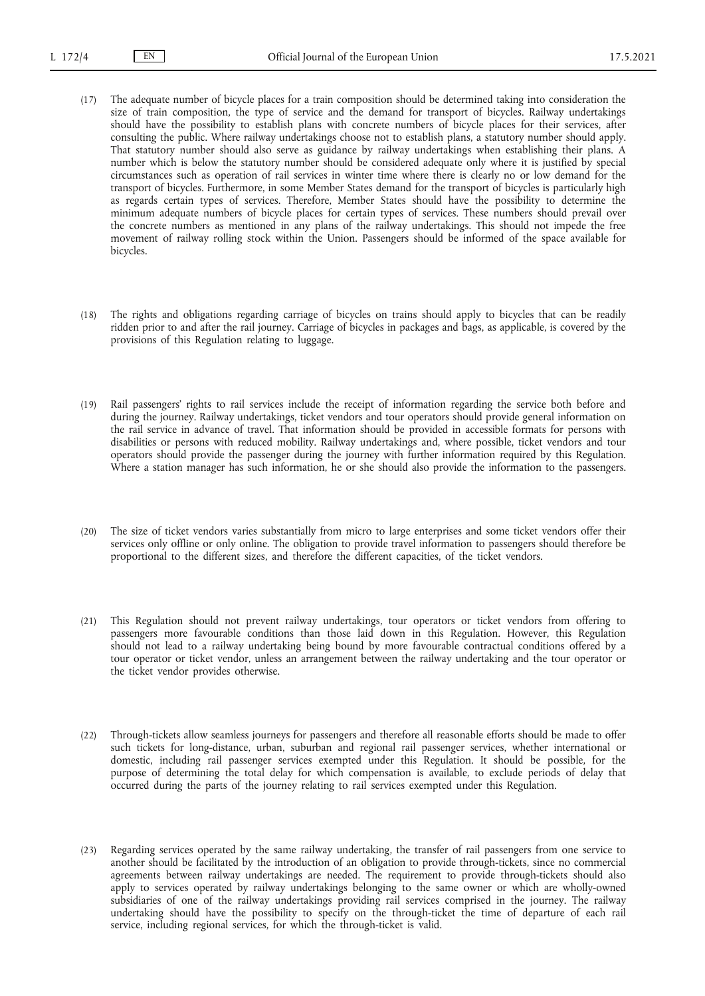- (17) The adequate number of bicycle places for a train composition should be determined taking into consideration the size of train composition, the type of service and the demand for transport of bicycles. Railway undertakings should have the possibility to establish plans with concrete numbers of bicycle places for their services, after consulting the public. Where railway undertakings choose not to establish plans, a statutory number should apply. That statutory number should also serve as guidance by railway undertakings when establishing their plans. A number which is below the statutory number should be considered adequate only where it is justified by special circumstances such as operation of rail services in winter time where there is clearly no or low demand for the transport of bicycles. Furthermore, in some Member States demand for the transport of bicycles is particularly high as regards certain types of services. Therefore, Member States should have the possibility to determine the minimum adequate numbers of bicycle places for certain types of services. These numbers should prevail over the concrete numbers as mentioned in any plans of the railway undertakings. This should not impede the free movement of railway rolling stock within the Union. Passengers should be informed of the space available for bicycles.
- (18) The rights and obligations regarding carriage of bicycles on trains should apply to bicycles that can be readily ridden prior to and after the rail journey. Carriage of bicycles in packages and bags, as applicable, is covered by the provisions of this Regulation relating to luggage.
- (19) Rail passengers' rights to rail services include the receipt of information regarding the service both before and during the journey. Railway undertakings, ticket vendors and tour operators should provide general information on the rail service in advance of travel. That information should be provided in accessible formats for persons with disabilities or persons with reduced mobility. Railway undertakings and, where possible, ticket vendors and tour operators should provide the passenger during the journey with further information required by this Regulation. Where a station manager has such information, he or she should also provide the information to the passengers.
- (20) The size of ticket vendors varies substantially from micro to large enterprises and some ticket vendors offer their services only offline or only online. The obligation to provide travel information to passengers should therefore be proportional to the different sizes, and therefore the different capacities, of the ticket vendors.
- (21) This Regulation should not prevent railway undertakings, tour operators or ticket vendors from offering to passengers more favourable conditions than those laid down in this Regulation. However, this Regulation should not lead to a railway undertaking being bound by more favourable contractual conditions offered by a tour operator or ticket vendor, unless an arrangement between the railway undertaking and the tour operator or the ticket vendor provides otherwise.
- (22) Through-tickets allow seamless journeys for passengers and therefore all reasonable efforts should be made to offer such tickets for long-distance, urban, suburban and regional rail passenger services, whether international or domestic, including rail passenger services exempted under this Regulation. It should be possible, for the purpose of determining the total delay for which compensation is available, to exclude periods of delay that occurred during the parts of the journey relating to rail services exempted under this Regulation.
- (23) Regarding services operated by the same railway undertaking, the transfer of rail passengers from one service to another should be facilitated by the introduction of an obligation to provide through-tickets, since no commercial agreements between railway undertakings are needed. The requirement to provide through-tickets should also apply to services operated by railway undertakings belonging to the same owner or which are wholly-owned subsidiaries of one of the railway undertakings providing rail services comprised in the journey. The railway undertaking should have the possibility to specify on the through-ticket the time of departure of each rail service, including regional services, for which the through-ticket is valid.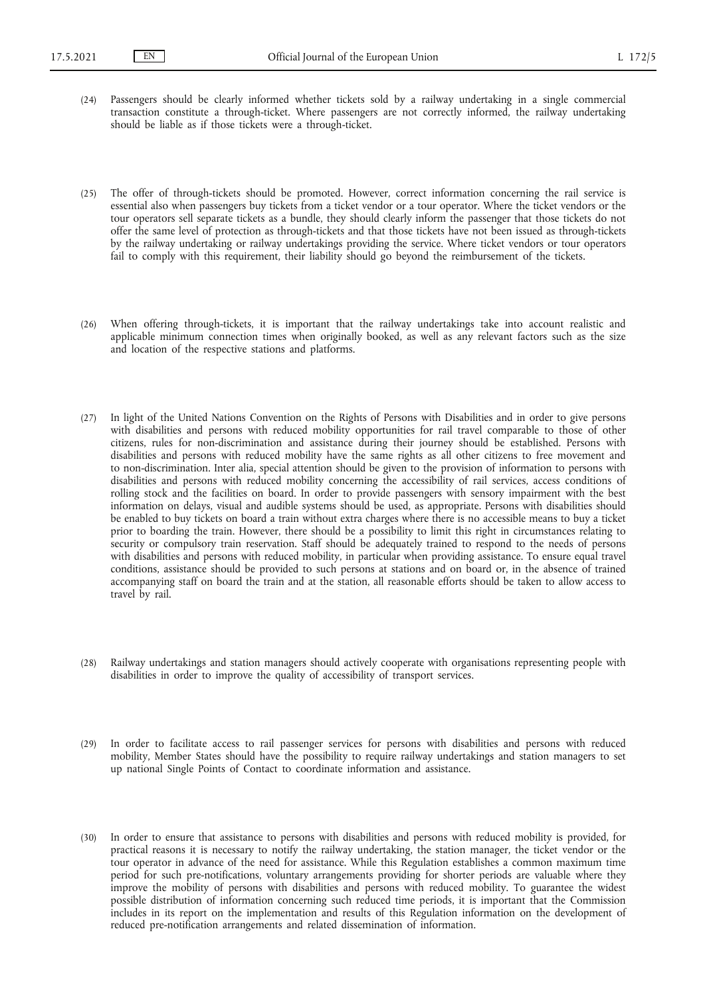- (24) Passengers should be clearly informed whether tickets sold by a railway undertaking in a single commercial transaction constitute a through-ticket. Where passengers are not correctly informed, the railway undertaking should be liable as if those tickets were a through-ticket.
- (25) The offer of through-tickets should be promoted. However, correct information concerning the rail service is essential also when passengers buy tickets from a ticket vendor or a tour operator. Where the ticket vendors or the tour operators sell separate tickets as a bundle, they should clearly inform the passenger that those tickets do not offer the same level of protection as through-tickets and that those tickets have not been issued as through-tickets by the railway undertaking or railway undertakings providing the service. Where ticket vendors or tour operators fail to comply with this requirement, their liability should go beyond the reimbursement of the tickets.
- (26) When offering through-tickets, it is important that the railway undertakings take into account realistic and applicable minimum connection times when originally booked, as well as any relevant factors such as the size and location of the respective stations and platforms.
- (27) In light of the United Nations Convention on the Rights of Persons with Disabilities and in order to give persons with disabilities and persons with reduced mobility opportunities for rail travel comparable to those of other citizens, rules for non-discrimination and assistance during their journey should be established. Persons with disabilities and persons with reduced mobility have the same rights as all other citizens to free movement and to non-discrimination. Inter alia, special attention should be given to the provision of information to persons with disabilities and persons with reduced mobility concerning the accessibility of rail services, access conditions of rolling stock and the facilities on board. In order to provide passengers with sensory impairment with the best information on delays, visual and audible systems should be used, as appropriate. Persons with disabilities should be enabled to buy tickets on board a train without extra charges where there is no accessible means to buy a ticket prior to boarding the train. However, there should be a possibility to limit this right in circumstances relating to security or compulsory train reservation. Staff should be adequately trained to respond to the needs of persons with disabilities and persons with reduced mobility, in particular when providing assistance. To ensure equal travel conditions, assistance should be provided to such persons at stations and on board or, in the absence of trained accompanying staff on board the train and at the station, all reasonable efforts should be taken to allow access to travel by rail.
- (28) Railway undertakings and station managers should actively cooperate with organisations representing people with disabilities in order to improve the quality of accessibility of transport services.
- (29) In order to facilitate access to rail passenger services for persons with disabilities and persons with reduced mobility, Member States should have the possibility to require railway undertakings and station managers to set up national Single Points of Contact to coordinate information and assistance.
- (30) In order to ensure that assistance to persons with disabilities and persons with reduced mobility is provided, for practical reasons it is necessary to notify the railway undertaking, the station manager, the ticket vendor or the tour operator in advance of the need for assistance. While this Regulation establishes a common maximum time period for such pre-notifications, voluntary arrangements providing for shorter periods are valuable where they improve the mobility of persons with disabilities and persons with reduced mobility. To guarantee the widest possible distribution of information concerning such reduced time periods, it is important that the Commission includes in its report on the implementation and results of this Regulation information on the development of reduced pre-notification arrangements and related dissemination of information.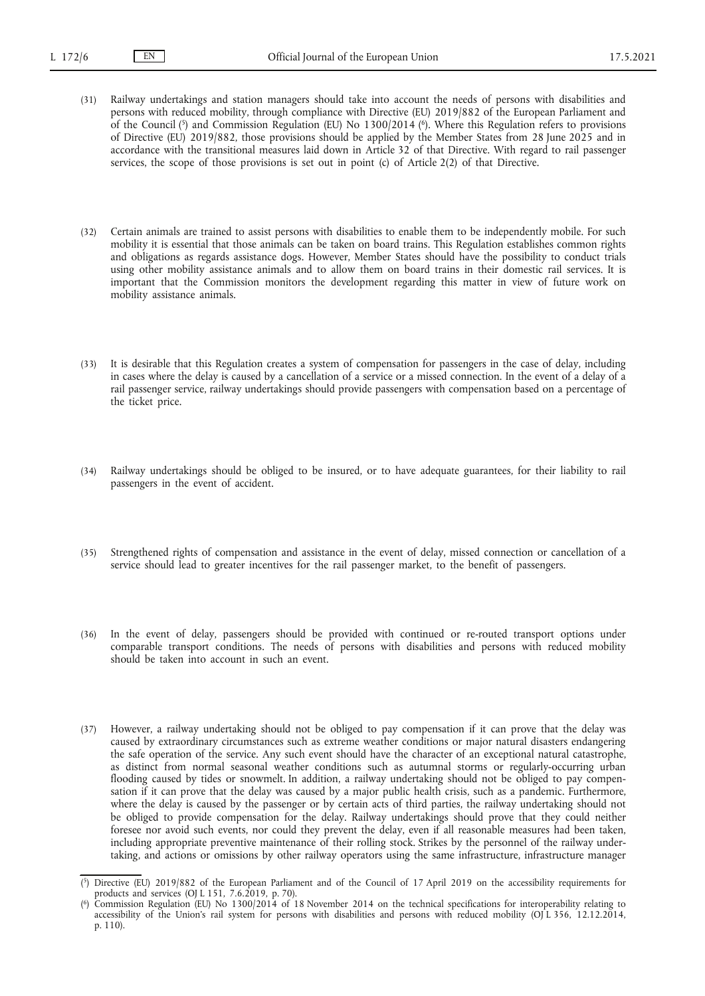- <span id="page-5-2"></span>(31) Railway undertakings and station managers should take into account the needs of persons with disabilities and persons with reduced mobility, through compliance with Directive (EU) 2019/882 of the European Parliament and of the Counci[l \(5\)](#page-5-0) and Commission Regulation (EU) No 1300/2014 [\(6\).](#page-5-1) Where this Regulation refers to provisions of Directive (EU) 2019/882, those provisions should be applied by the Member States from 28 June 2025 and in accordance with the transitional measures laid down in Article 32 of that Directive. With regard to rail passenger services, the scope of those provisions is set out in point (c) of Article 2(2) of that Directive.
- (32) Certain animals are trained to assist persons with disabilities to enable them to be independently mobile. For such mobility it is essential that those animals can be taken on board trains. This Regulation establishes common rights and obligations as regards assistance dogs. However, Member States should have the possibility to conduct trials using other mobility assistance animals and to allow them on board trains in their domestic rail services. It is important that the Commission monitors the development regarding this matter in view of future work on mobility assistance animals.
- (33) It is desirable that this Regulation creates a system of compensation for passengers in the case of delay, including in cases where the delay is caused by a cancellation of a service or a missed connection. In the event of a delay of a rail passenger service, railway undertakings should provide passengers with compensation based on a percentage of the ticket price.
- (34) Railway undertakings should be obliged to be insured, or to have adequate guarantees, for their liability to rail passengers in the event of accident.
- (35) Strengthened rights of compensation and assistance in the event of delay, missed connection or cancellation of a service should lead to greater incentives for the rail passenger market, to the benefit of passengers.
- (36) In the event of delay, passengers should be provided with continued or re-routed transport options under comparable transport conditions. The needs of persons with disabilities and persons with reduced mobility should be taken into account in such an event.
- (37) However, a railway undertaking should not be obliged to pay compensation if it can prove that the delay was caused by extraordinary circumstances such as extreme weather conditions or major natural disasters endangering the safe operation of the service. Any such event should have the character of an exceptional natural catastrophe, as distinct from normal seasonal weather conditions such as autumnal storms or regularly-occurring urban flooding caused by tides or snowmelt. In addition, a railway undertaking should not be obliged to pay compensation if it can prove that the delay was caused by a major public health crisis, such as a pandemic. Furthermore, where the delay is caused by the passenger or by certain acts of third parties, the railway undertaking should not be obliged to provide compensation for the delay. Railway undertakings should prove that they could neither foresee nor avoid such events, nor could they prevent the delay, even if all reasonable measures had been taken, including appropriate preventive maintenance of their rolling stock. Strikes by the personnel of the railway undertaking, and actions or omissions by other railway operators using the same infrastructure, infrastructure manager

<span id="page-5-0"></span>[<sup>\(</sup>](#page-5-2) [5\)](#page-5-2) Directive (EU) 2019/882 of the European Parliament and of the Council of 17 April 2019 on the accessibility requirements for products and services (OJ L 151, 7.6.2019, p. 70).

<span id="page-5-1"></span>[<sup>\(</sup>](#page-5-2) Commission Regulation (EU) No 1300/2014 of 18 November 2014 on the technical specifications for interoperability relating to accessibility of the Union's rail system for persons with disabilities and persons with reduced mobility (OJ L 356, 12.12.2014, p. 110).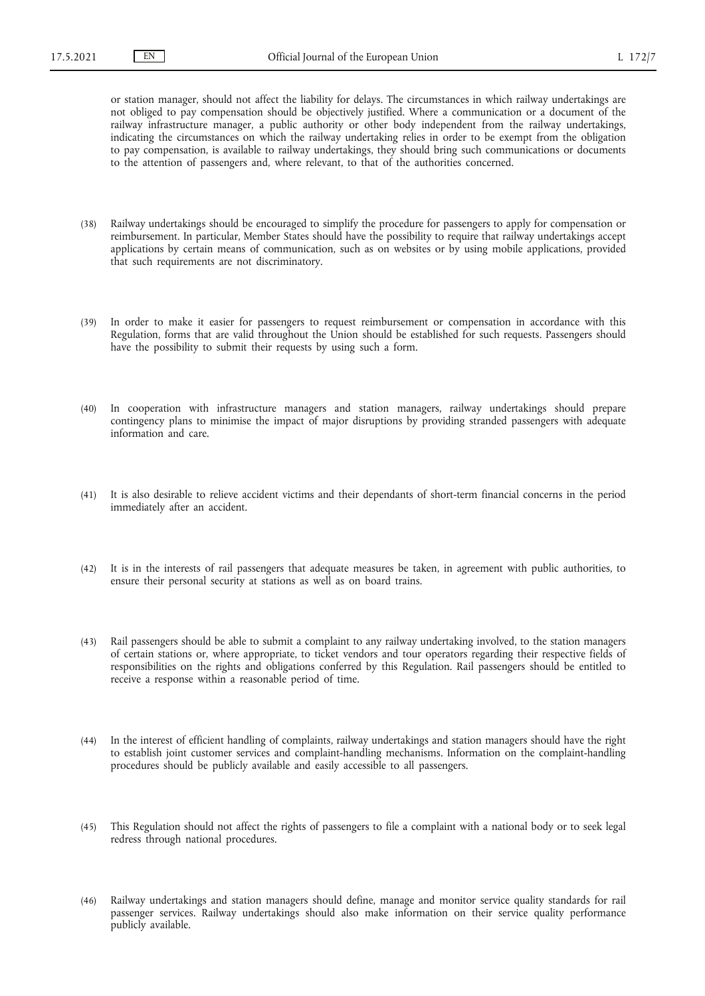or station manager, should not affect the liability for delays. The circumstances in which railway undertakings are not obliged to pay compensation should be objectively justified. Where a communication or a document of the railway infrastructure manager, a public authority or other body independent from the railway undertakings, indicating the circumstances on which the railway undertaking relies in order to be exempt from the obligation to pay compensation, is available to railway undertakings, they should bring such communications or documents to the attention of passengers and, where relevant, to that of the authorities concerned.

- (38) Railway undertakings should be encouraged to simplify the procedure for passengers to apply for compensation or reimbursement. In particular, Member States should have the possibility to require that railway undertakings accept applications by certain means of communication, such as on websites or by using mobile applications, provided that such requirements are not discriminatory.
- (39) In order to make it easier for passengers to request reimbursement or compensation in accordance with this Regulation, forms that are valid throughout the Union should be established for such requests. Passengers should have the possibility to submit their requests by using such a form.
- (40) In cooperation with infrastructure managers and station managers, railway undertakings should prepare contingency plans to minimise the impact of major disruptions by providing stranded passengers with adequate information and care.
- (41) It is also desirable to relieve accident victims and their dependants of short-term financial concerns in the period immediately after an accident.
- (42) It is in the interests of rail passengers that adequate measures be taken, in agreement with public authorities, to ensure their personal security at stations as well as on board trains.
- (43) Rail passengers should be able to submit a complaint to any railway undertaking involved, to the station managers of certain stations or, where appropriate, to ticket vendors and tour operators regarding their respective fields of responsibilities on the rights and obligations conferred by this Regulation. Rail passengers should be entitled to receive a response within a reasonable period of time.
- (44) In the interest of efficient handling of complaints, railway undertakings and station managers should have the right to establish joint customer services and complaint-handling mechanisms. Information on the complaint-handling procedures should be publicly available and easily accessible to all passengers.
- (45) This Regulation should not affect the rights of passengers to file a complaint with a national body or to seek legal redress through national procedures.
- (46) Railway undertakings and station managers should define, manage and monitor service quality standards for rail passenger services. Railway undertakings should also make information on their service quality performance publicly available.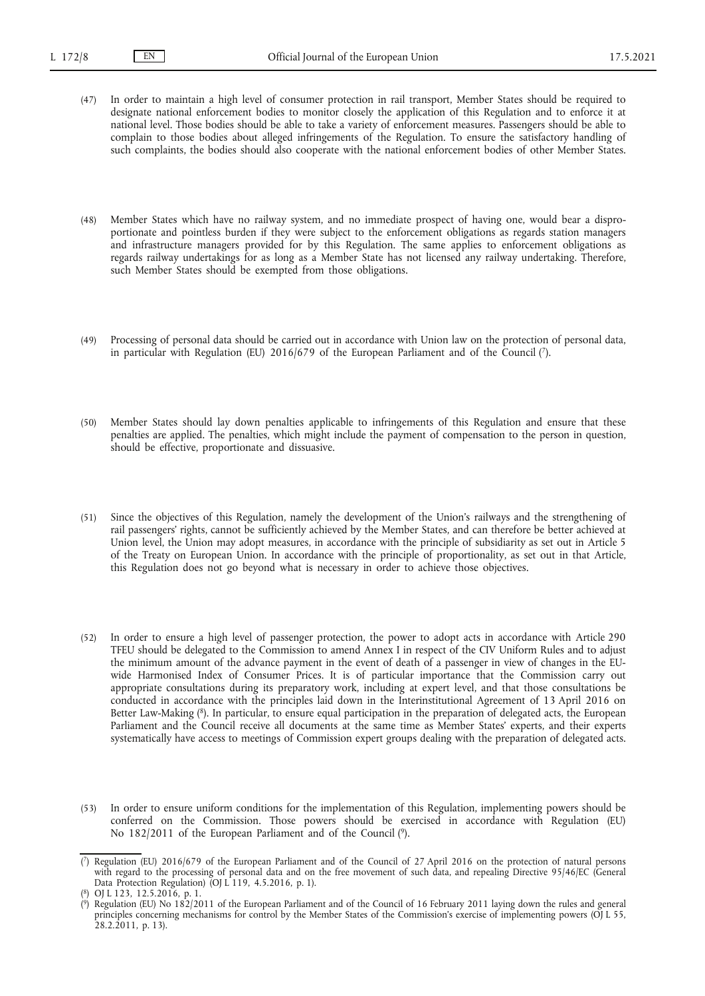- (47) In order to maintain a high level of consumer protection in rail transport, Member States should be required to designate national enforcement bodies to monitor closely the application of this Regulation and to enforce it at national level. Those bodies should be able to take a variety of enforcement measures. Passengers should be able to complain to those bodies about alleged infringements of the Regulation. To ensure the satisfactory handling of such complaints, the bodies should also cooperate with the national enforcement bodies of other Member States.
- (48) Member States which have no railway system, and no immediate prospect of having one, would bear a disproportionate and pointless burden if they were subject to the enforcement obligations as regards station managers and infrastructure managers provided for by this Regulation. The same applies to enforcement obligations as regards railway undertakings for as long as a Member State has not licensed any railway undertaking. Therefore, such Member States should be exempted from those obligations.
- <span id="page-7-3"></span>(49) Processing of personal data should be carried out in accordance with Union law on the protection of personal data, in particular with Regulation (EU) 2016/679 of the European Parliament and of the Council [\(7\)](#page-7-0).
- (50) Member States should lay down penalties applicable to infringements of this Regulation and ensure that these penalties are applied. The penalties, which might include the payment of compensation to the person in question, should be effective, proportionate and dissuasive.
- (51) Since the objectives of this Regulation, namely the development of the Union's railways and the strengthening of rail passengers' rights, cannot be sufficiently achieved by the Member States, and can therefore be better achieved at Union level, the Union may adopt measures, in accordance with the principle of subsidiarity as set out in Article 5 of the Treaty on European Union. In accordance with the principle of proportionality, as set out in that Article, this Regulation does not go beyond what is necessary in order to achieve those objectives.
- <span id="page-7-4"></span>(52) In order to ensure a high level of passenger protection, the power to adopt acts in accordance with Article 290 TFEU should be delegated to the Commission to amend Annex I in respect of the CIV Uniform Rules and to adjust the minimum amount of the advance payment in the event of death of a passenger in view of changes in the EUwide Harmonised Index of Consumer Prices. It is of particular importance that the Commission carry out appropriate consultations during its preparatory work, including at expert level, and that those consultations be conducted in accordance with the principles laid down in the Interinstitutional Agreement of 13 April 2016 on Better Law-Making [\(8\).](#page-7-1) In particular, to ensure equal participation in the preparation of delegated acts, the European Parliament and the Council receive all documents at the same time as Member States' experts, and their experts systematically have access to meetings of Commission expert groups dealing with the preparation of delegated acts.
- <span id="page-7-5"></span>(53) In order to ensure uniform conditions for the implementation of this Regulation, implementing powers should be conferred on the Commission. Those powers should be exercised in accordance with Regulation (EU) No 182/2011 of the European Parliament and of the Council [\(9\)](#page-7-2).

<span id="page-7-0"></span>[<sup>\(</sup>](#page-7-3) [7\)](#page-7-3) Regulation (EU) 2016/679 of the European Parliament and of the Council of 27 April 2016 on the protection of natural persons with regard to the processing of personal data and on the free movement of such data, and repealing Directive 95/46/EC (General Data Protection Regulation) (OJ L 119, 4.5.2016, p. 1).

<span id="page-7-1"></span>[<sup>\(</sup>](#page-7-4) [8\)](#page-7-4) OJ L 123, 12.5.2016, p. 1.

<span id="page-7-2"></span>[<sup>\(</sup>](#page-7-5) [9\)](#page-7-5) Regulation (EU) No 182/2011 of the European Parliament and of the Council of 16 February 2011 laying down the rules and general principles concerning mechanisms for control by the Member States of the Commission's exercise of implementing powers (OJ L 55, 28.2.2011, p. 13).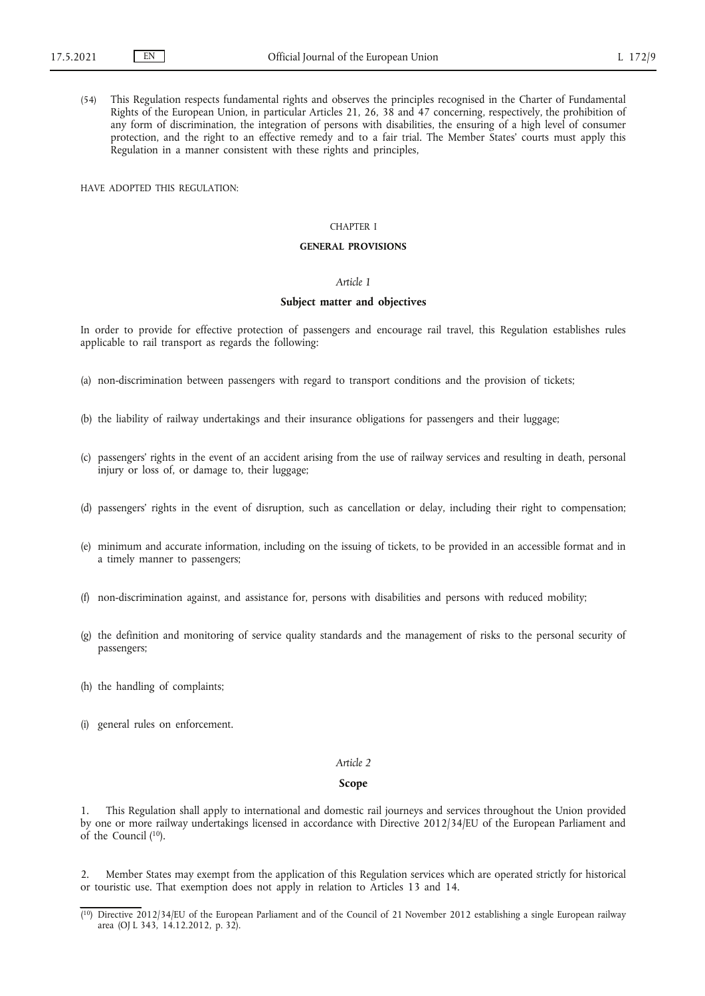(54) This Regulation respects fundamental rights and observes the principles recognised in the Charter of Fundamental Rights of the European Union, in particular Articles 21, 26, 38 and 47 concerning, respectively, the prohibition of any form of discrimination, the integration of persons with disabilities, the ensuring of a high level of consumer protection, and the right to an effective remedy and to a fair trial. The Member States' courts must apply this Regulation in a manner consistent with these rights and principles,

HAVE ADOPTED THIS REGULATION:

# CHAPTER I

#### **GENERAL PROVISIONS**

# *Article 1*

## **Subject matter and objectives**

In order to provide for effective protection of passengers and encourage rail travel, this Regulation establishes rules applicable to rail transport as regards the following:

- (a) non-discrimination between passengers with regard to transport conditions and the provision of tickets;
- (b) the liability of railway undertakings and their insurance obligations for passengers and their luggage;
- (c) passengers' rights in the event of an accident arising from the use of railway services and resulting in death, personal injury or loss of, or damage to, their luggage;
- (d) passengers' rights in the event of disruption, such as cancellation or delay, including their right to compensation;
- (e) minimum and accurate information, including on the issuing of tickets, to be provided in an accessible format and in a timely manner to passengers;
- (f) non-discrimination against, and assistance for, persons with disabilities and persons with reduced mobility;
- (g) the definition and monitoring of service quality standards and the management of risks to the personal security of passengers;
- (h) the handling of complaints;
- (i) general rules on enforcement.

#### *Article 2*

#### **Scope**

<span id="page-8-1"></span>1. This Regulation shall apply to international and domestic rail journeys and services throughout the Union provided by one or more railway undertakings licensed in accordance with Directive 2012/34/EU of the European Parliament and of the Council [\(10\).](#page-8-0)

2. Member States may exempt from the application of this Regulation services which are operated strictly for historical or touristic use. That exemption does not apply in relation to Articles 13 and 14.

<span id="page-8-0"></span>[<sup>\(</sup>](#page-8-1) [10\)](#page-8-1) Directive 2012/34/EU of the European Parliament and of the Council of 21 November 2012 establishing a single European railway area (OJ L 343, 14.12.2012, p. 32).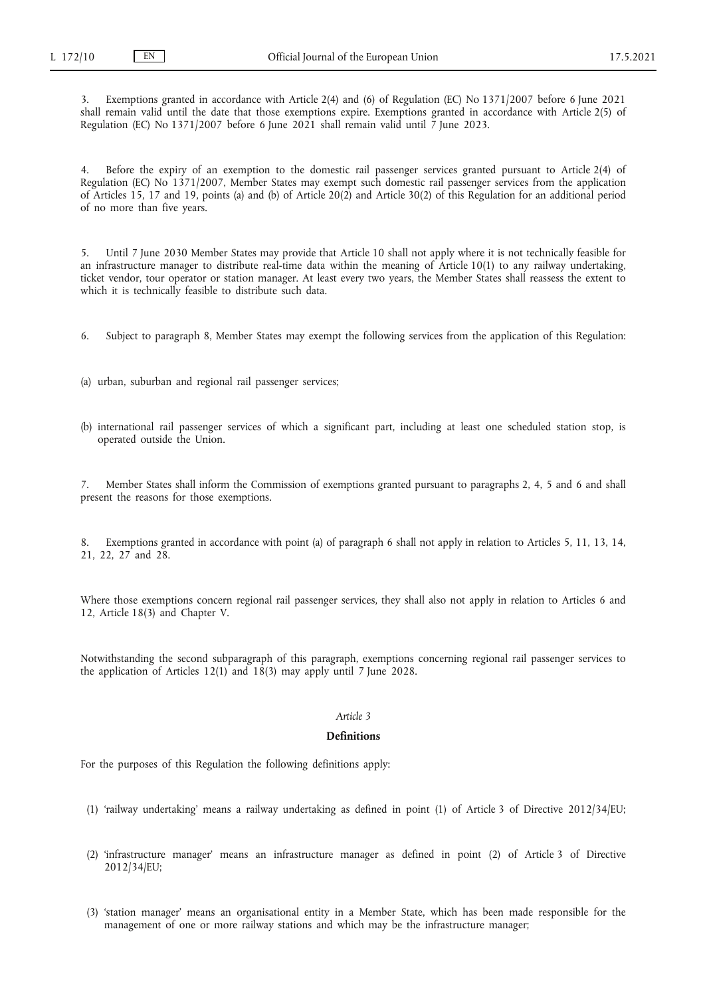Exemptions granted in accordance with Article 2(4) and (6) of Regulation (EC) No 1371/2007 before 6 June 2021 shall remain valid until the date that those exemptions expire. Exemptions granted in accordance with Article 2(5) of Regulation (EC) No 1371/2007 before 6 June 2021 shall remain valid until 7 June 2023.

4. Before the expiry of an exemption to the domestic rail passenger services granted pursuant to Article 2(4) of Regulation (EC) No 1371/2007, Member States may exempt such domestic rail passenger services from the application of Articles 15, 17 and 19, points (a) and (b) of Article 20(2) and Article 30(2) of this Regulation for an additional period of no more than five years.

5. Until 7 June 2030 Member States may provide that Article 10 shall not apply where it is not technically feasible for an infrastructure manager to distribute real-time data within the meaning of Article 10(1) to any railway undertaking, ticket vendor, tour operator or station manager. At least every two years, the Member States shall reassess the extent to which it is technically feasible to distribute such data.

6. Subject to paragraph 8, Member States may exempt the following services from the application of this Regulation:

- (a) urban, suburban and regional rail passenger services;
- (b) international rail passenger services of which a significant part, including at least one scheduled station stop, is operated outside the Union.

7. Member States shall inform the Commission of exemptions granted pursuant to paragraphs 2, 4, 5 and 6 and shall present the reasons for those exemptions.

Exemptions granted in accordance with point (a) of paragraph 6 shall not apply in relation to Articles 5, 11, 13, 14, 21, 22, 27 and 28.

Where those exemptions concern regional rail passenger services, they shall also not apply in relation to Articles 6 and 12, Article 18(3) and Chapter V.

Notwithstanding the second subparagraph of this paragraph, exemptions concerning regional rail passenger services to the application of Articles 12(1) and 18(3) may apply until 7 June 2028.

#### *Article 3*

# **Definitions**

For the purposes of this Regulation the following definitions apply:

- (1) 'railway undertaking' means a railway undertaking as defined in point (1) of Article 3 of Directive 2012/34/EU;
- (2) 'infrastructure manager' means an infrastructure manager as defined in point (2) of Article 3 of Directive 2012/34/EU;
- (3) 'station manager' means an organisational entity in a Member State, which has been made responsible for the management of one or more railway stations and which may be the infrastructure manager;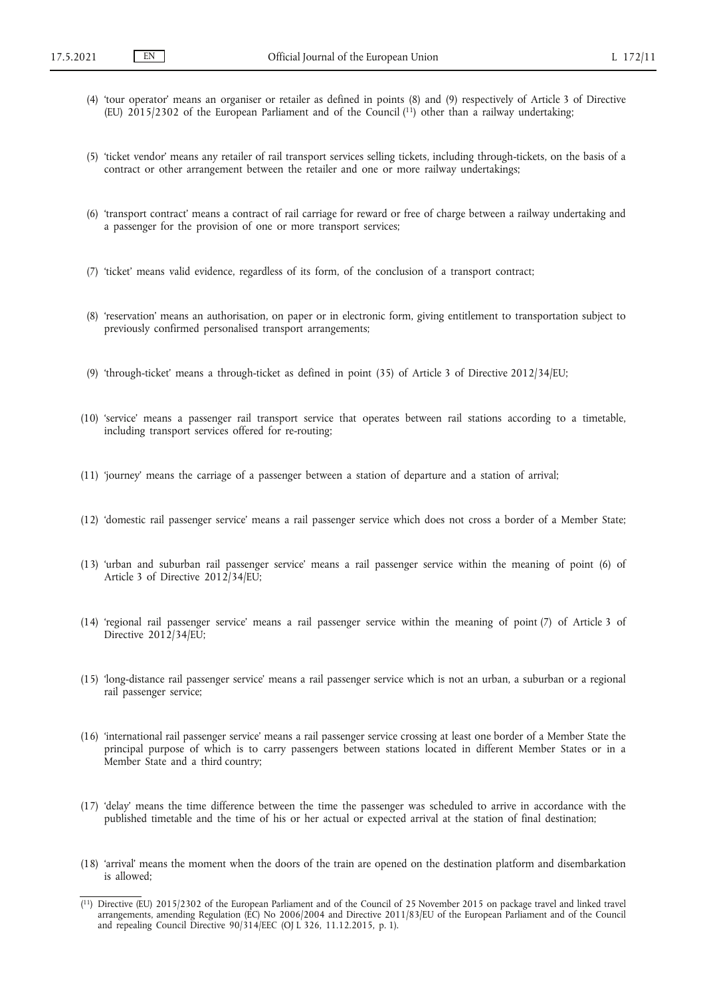- <span id="page-10-1"></span>(4) 'tour operator' means an organiser or retailer as defined in points (8) and (9) respectively of Article 3 of Directive (EU)  $2015/2302$  of the European Parliament and of the Council (<sup>11</sup>) other than a railway undertaking;
- (5) 'ticket vendor' means any retailer of rail transport services selling tickets, including through-tickets, on the basis of a contract or other arrangement between the retailer and one or more railway undertakings;
- (6) 'transport contract' means a contract of rail carriage for reward or free of charge between a railway undertaking and a passenger for the provision of one or more transport services;
- (7) 'ticket' means valid evidence, regardless of its form, of the conclusion of a transport contract;
- (8) 'reservation' means an authorisation, on paper or in electronic form, giving entitlement to transportation subject to previously confirmed personalised transport arrangements;
- (9) 'through-ticket' means a through-ticket as defined in point (35) of Article 3 of Directive 2012/34/EU;
- (10) 'service' means a passenger rail transport service that operates between rail stations according to a timetable, including transport services offered for re-routing;
- (11) 'journey' means the carriage of a passenger between a station of departure and a station of arrival;
- (12) 'domestic rail passenger service' means a rail passenger service which does not cross a border of a Member State;
- (13) 'urban and suburban rail passenger service' means a rail passenger service within the meaning of point (6) of Article 3 of Directive 2012/34/EU;
- (14) 'regional rail passenger service' means a rail passenger service within the meaning of point (7) of Article 3 of Directive 2012/34/EU;
- (15) 'long-distance rail passenger service' means a rail passenger service which is not an urban, a suburban or a regional rail passenger service;
- (16) 'international rail passenger service' means a rail passenger service crossing at least one border of a Member State the principal purpose of which is to carry passengers between stations located in different Member States or in a Member State and a third country;
- (17) 'delay' means the time difference between the time the passenger was scheduled to arrive in accordance with the published timetable and the time of his or her actual or expected arrival at the station of final destination;
- (18) 'arrival' means the moment when the doors of the train are opened on the destination platform and disembarkation is allowed;

<span id="page-10-0"></span>[<sup>\(</sup>](#page-10-1) [11\)](#page-10-1) Directive (EU) 2015/2302 of the European Parliament and of the Council of 25 November 2015 on package travel and linked travel arrangements, amending Regulation (EC) No 2006/2004 and Directive 2011/83/EU of the European Parliament and of the Council and repealing Council Directive 90/314/EEC (OJ L 326, 11.12.2015, p. 1).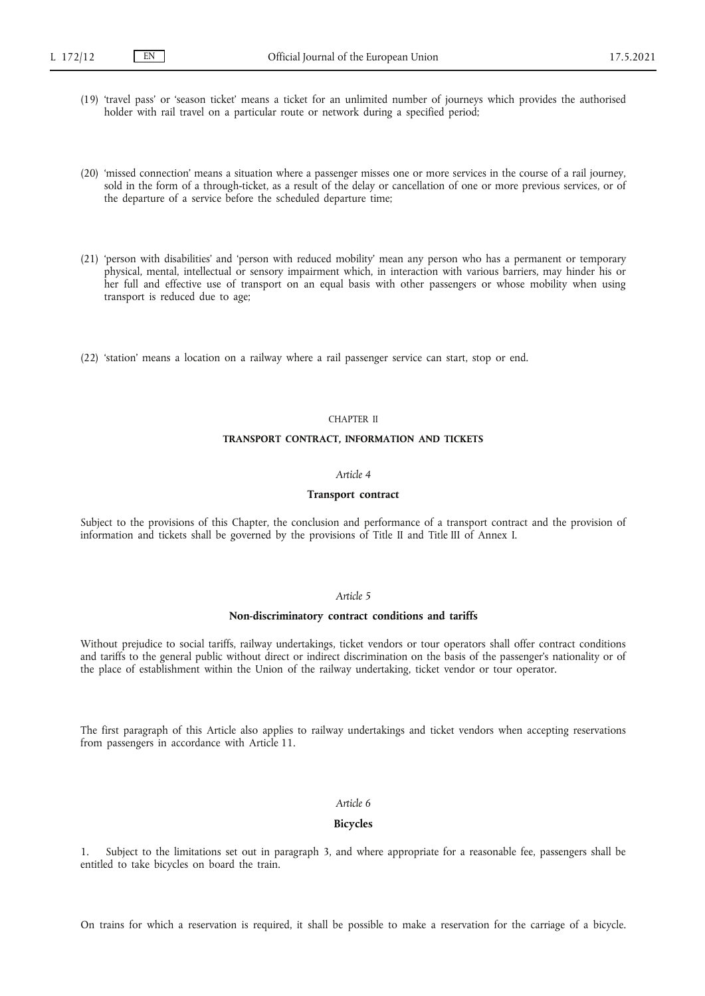- (19) 'travel pass' or 'season ticket' means a ticket for an unlimited number of journeys which provides the authorised holder with rail travel on a particular route or network during a specified period;
- (20) 'missed connection' means a situation where a passenger misses one or more services in the course of a rail journey, sold in the form of a through-ticket, as a result of the delay or cancellation of one or more previous services, or of the departure of a service before the scheduled departure time;
- (21) 'person with disabilities' and 'person with reduced mobility' mean any person who has a permanent or temporary physical, mental, intellectual or sensory impairment which, in interaction with various barriers, may hinder his or her full and effective use of transport on an equal basis with other passengers or whose mobility when using transport is reduced due to age;
- (22) 'station' means a location on a railway where a rail passenger service can start, stop or end.

# CHAPTER II

#### **TRANSPORT CONTRACT, INFORMATION AND TICKETS**

#### *Article 4*

#### **Transport contract**

Subject to the provisions of this Chapter, the conclusion and performance of a transport contract and the provision of information and tickets shall be governed by the provisions of Title II and Title III of Annex I.

# *Article 5*

# **Non-discriminatory contract conditions and tariffs**

Without prejudice to social tariffs, railway undertakings, ticket vendors or tour operators shall offer contract conditions and tariffs to the general public without direct or indirect discrimination on the basis of the passenger's nationality or of the place of establishment within the Union of the railway undertaking, ticket vendor or tour operator.

The first paragraph of this Article also applies to railway undertakings and ticket vendors when accepting reservations from passengers in accordance with Article 11.

#### *Article 6*

#### **Bicycles**

1. Subject to the limitations set out in paragraph 3, and where appropriate for a reasonable fee, passengers shall be entitled to take bicycles on board the train.

On trains for which a reservation is required, it shall be possible to make a reservation for the carriage of a bicycle.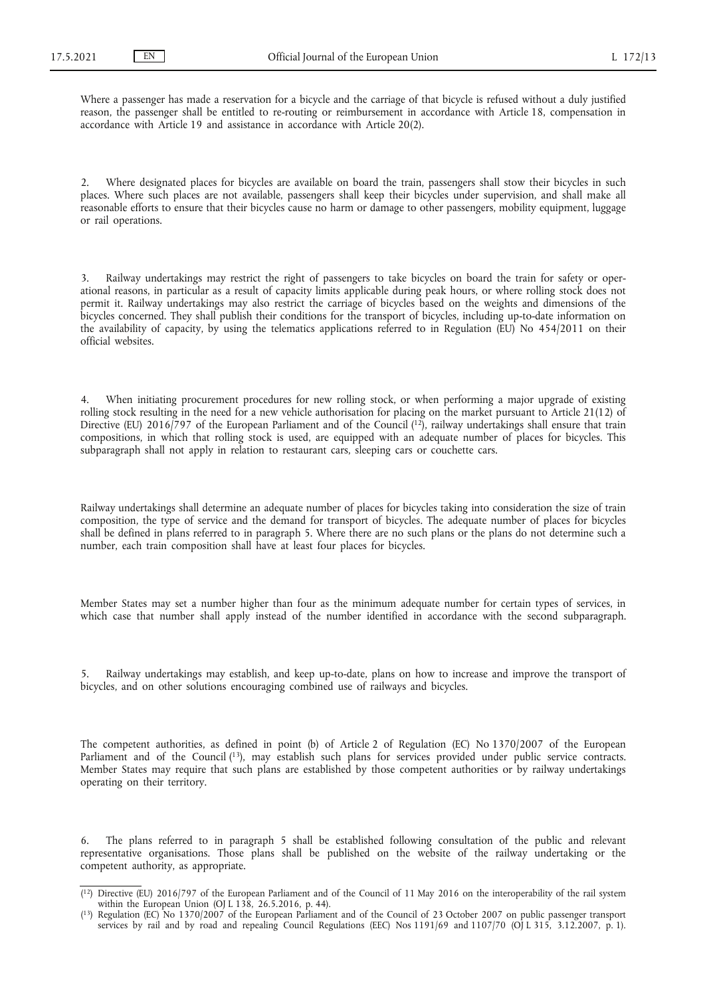Where a passenger has made a reservation for a bicycle and the carriage of that bicycle is refused without a duly justified reason, the passenger shall be entitled to re-routing or reimbursement in accordance with Article 18, compensation in accordance with Article 19 and assistance in accordance with Article 20(2).

Where designated places for bicycles are available on board the train, passengers shall stow their bicycles in such places. Where such places are not available, passengers shall keep their bicycles under supervision, and shall make all reasonable efforts to ensure that their bicycles cause no harm or damage to other passengers, mobility equipment, luggage or rail operations.

3. Railway undertakings may restrict the right of passengers to take bicycles on board the train for safety or operational reasons, in particular as a result of capacity limits applicable during peak hours, or where rolling stock does not permit it. Railway undertakings may also restrict the carriage of bicycles based on the weights and dimensions of the bicycles concerned. They shall publish their conditions for the transport of bicycles, including up-to-date information on the availability of capacity, by using the telematics applications referred to in Regulation (EU) No 454/2011 on their official websites.

<span id="page-12-2"></span>4. When initiating procurement procedures for new rolling stock, or when performing a major upgrade of existing rolling stock resulting in the need for a new vehicle authorisation for placing on the market pursuant to Article 21(12) of Directive (EU) 2016/797 of the European Parliament and of the Council (<sup>12</sup>), railway undertakings shall ensure that train compositions, in which that rolling stock is used, are equipped with an adequate number of places for bicycles. This subparagraph shall not apply in relation to restaurant cars, sleeping cars or couchette cars.

Railway undertakings shall determine an adequate number of places for bicycles taking into consideration the size of train composition, the type of service and the demand for transport of bicycles. The adequate number of places for bicycles shall be defined in plans referred to in paragraph 5. Where there are no such plans or the plans do not determine such a number, each train composition shall have at least four places for bicycles.

Member States may set a number higher than four as the minimum adequate number for certain types of services, in which case that number shall apply instead of the number identified in accordance with the second subparagraph.

5. Railway undertakings may establish, and keep up-to-date, plans on how to increase and improve the transport of bicycles, and on other solutions encouraging combined use of railways and bicycles.

<span id="page-12-3"></span>The competent authorities, as defined in point (b) of Article 2 of Regulation (EC) No 1370/2007 of the European Parliament and of the Council (<sup>13</sup>), may establish such plans for services provided under public service contracts. Member States may require that such plans are established by those competent authorities or by railway undertakings operating on their territory.

The plans referred to in paragraph 5 shall be established following consultation of the public and relevant representative organisations. Those plans shall be published on the website of the railway undertaking or the competent authority, as appropriate.

<span id="page-12-0"></span>[<sup>\(</sup>](#page-12-2) [12\)](#page-12-2) Directive (EU) 2016/797 of the European Parliament and of the Council of 11 May 2016 on the interoperability of the rail system within the European Union (OJ L 138, 26.5.2016, p. 44).

<span id="page-12-1"></span>[<sup>\(</sup>](#page-12-3) [13\)](#page-12-3) Regulation (EC) No 1370/2007 of the European Parliament and of the Council of 23 October 2007 on public passenger transport services by rail and by road and repealing Council Regulations (EEC) Nos 1191/69 and 1107/70 (OJ L 315, 3.12.2007, p. 1).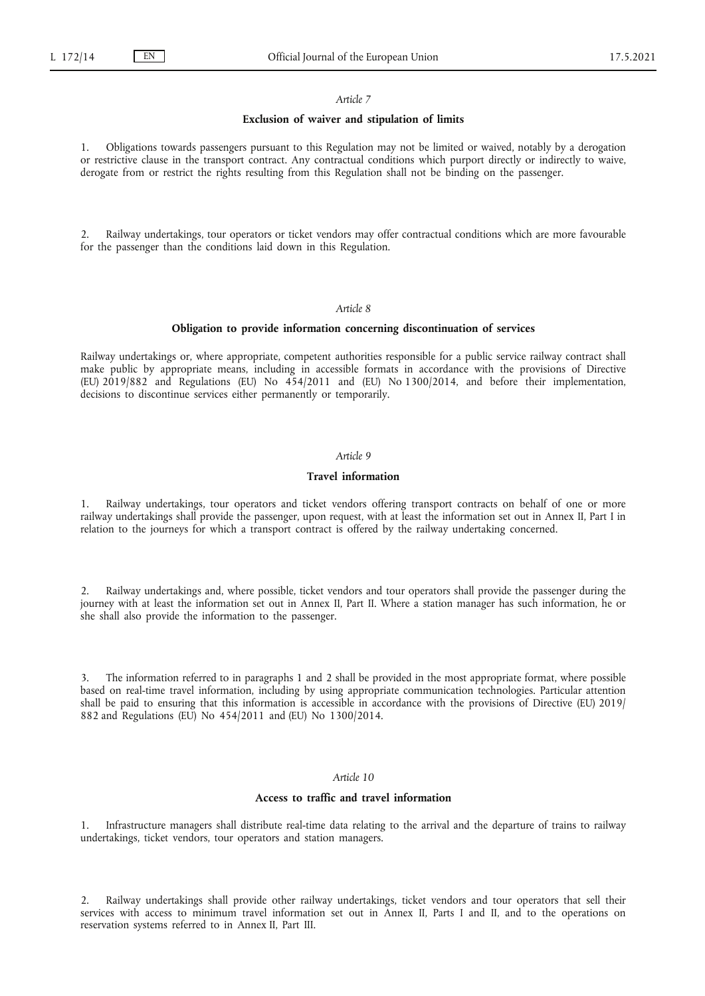#### *Article 7*

# **Exclusion of waiver and stipulation of limits**

1. Obligations towards passengers pursuant to this Regulation may not be limited or waived, notably by a derogation or restrictive clause in the transport contract. Any contractual conditions which purport directly or indirectly to waive, derogate from or restrict the rights resulting from this Regulation shall not be binding on the passenger.

2. Railway undertakings, tour operators or ticket vendors may offer contractual conditions which are more favourable for the passenger than the conditions laid down in this Regulation.

#### *Article 8*

#### **Obligation to provide information concerning discontinuation of services**

Railway undertakings or, where appropriate, competent authorities responsible for a public service railway contract shall make public by appropriate means, including in accessible formats in accordance with the provisions of Directive (EU) 2019/882 and Regulations (EU) No 454/2011 and (EU) No 1300/2014, and before their implementation, decisions to discontinue services either permanently or temporarily.

#### *Article 9*

# **Travel information**

1. Railway undertakings, tour operators and ticket vendors offering transport contracts on behalf of one or more railway undertakings shall provide the passenger, upon request, with at least the information set out in Annex II, Part I in relation to the journeys for which a transport contract is offered by the railway undertaking concerned.

2. Railway undertakings and, where possible, ticket vendors and tour operators shall provide the passenger during the journey with at least the information set out in Annex II, Part II. Where a station manager has such information, he or she shall also provide the information to the passenger.

3. The information referred to in paragraphs 1 and 2 shall be provided in the most appropriate format, where possible based on real-time travel information, including by using appropriate communication technologies. Particular attention shall be paid to ensuring that this information is accessible in accordance with the provisions of Directive (EU) 2019/ 882 and Regulations (EU) No 454/2011 and (EU) No 1300/2014.

# *Article 10*

# **Access to traffic and travel information**

1. Infrastructure managers shall distribute real-time data relating to the arrival and the departure of trains to railway undertakings, ticket vendors, tour operators and station managers.

2. Railway undertakings shall provide other railway undertakings, ticket vendors and tour operators that sell their services with access to minimum travel information set out in Annex II, Parts I and II, and to the operations on reservation systems referred to in Annex II, Part III.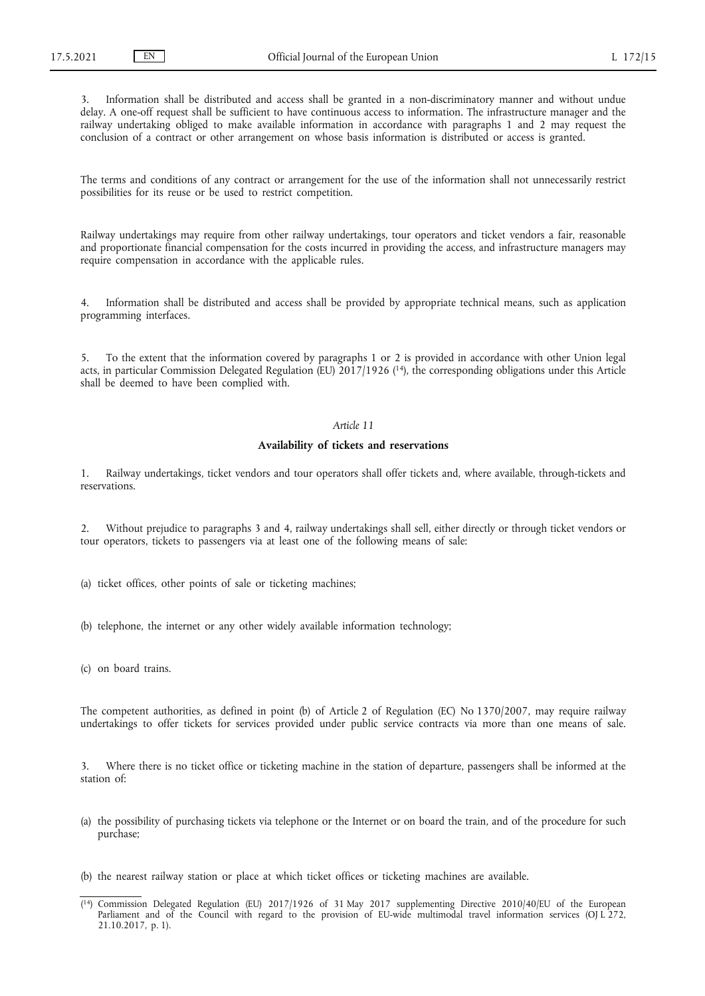Information shall be distributed and access shall be granted in a non-discriminatory manner and without undue delay. A one-off request shall be sufficient to have continuous access to information. The infrastructure manager and the railway undertaking obliged to make available information in accordance with paragraphs 1 and 2 may request the conclusion of a contract or other arrangement on whose basis information is distributed or access is granted.

The terms and conditions of any contract or arrangement for the use of the information shall not unnecessarily restrict possibilities for its reuse or be used to restrict competition.

Railway undertakings may require from other railway undertakings, tour operators and ticket vendors a fair, reasonable and proportionate financial compensation for the costs incurred in providing the access, and infrastructure managers may require compensation in accordance with the applicable rules.

4. Information shall be distributed and access shall be provided by appropriate technical means, such as application programming interfaces.

<span id="page-14-1"></span>5. To the extent that the information covered by paragraphs 1 or 2 is provided in accordance with other Union legal acts, in particular Commission Delegated Regulation (EU) 2017/1926 ( $^{14}$ ), the corresponding obligations under this Article shall be deemed to have been complied with.

# *Article 11*

# **Availability of tickets and reservations**

1. Railway undertakings, ticket vendors and tour operators shall offer tickets and, where available, through-tickets and reservations.

2. Without prejudice to paragraphs 3 and 4, railway undertakings shall sell, either directly or through ticket vendors or tour operators, tickets to passengers via at least one of the following means of sale:

- (a) ticket offices, other points of sale or ticketing machines;
- (b) telephone, the internet or any other widely available information technology;
- (c) on board trains.

The competent authorities, as defined in point (b) of Article 2 of Regulation (EC) No 1370/2007, may require railway undertakings to offer tickets for services provided under public service contracts via more than one means of sale.

3. Where there is no ticket office or ticketing machine in the station of departure, passengers shall be informed at the station of:

- (a) the possibility of purchasing tickets via telephone or the Internet or on board the train, and of the procedure for such purchase;
- (b) the nearest railway station or place at which ticket offices or ticketing machines are available.

<span id="page-14-0"></span>[<sup>\(</sup>](#page-14-1) [14\)](#page-14-1) Commission Delegated Regulation (EU) 2017/1926 of 31 May 2017 supplementing Directive 2010/40/EU of the European Parliament and of the Council with regard to the provision of EU-wide multimodal travel information services (OJ L 272, 21.10.2017, p. 1).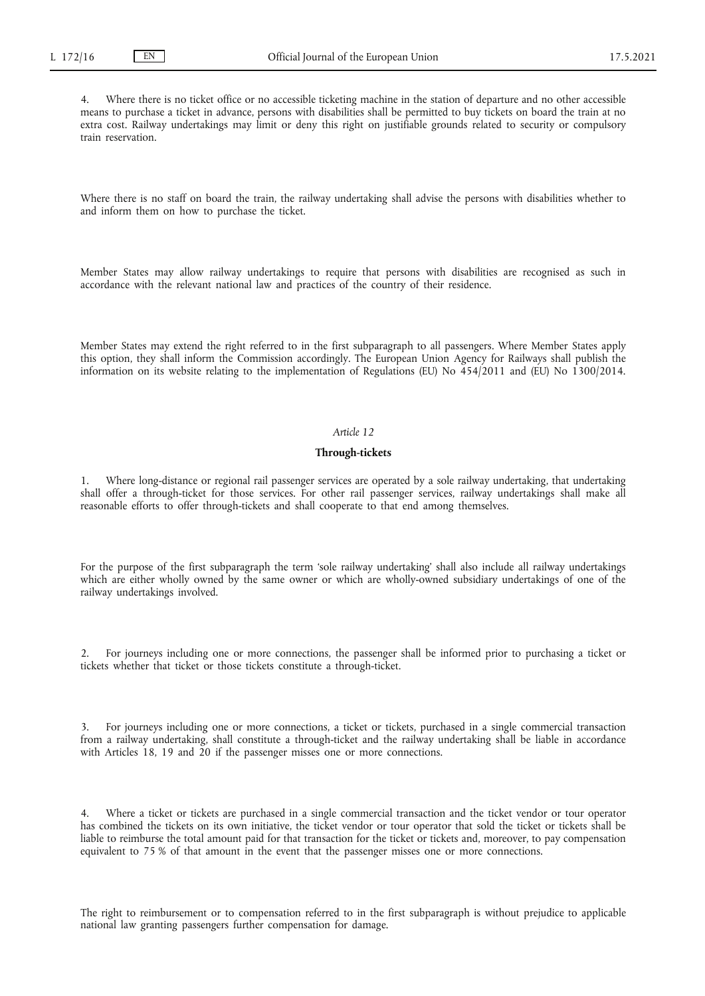Where there is no ticket office or no accessible ticketing machine in the station of departure and no other accessible means to purchase a ticket in advance, persons with disabilities shall be permitted to buy tickets on board the train at no extra cost. Railway undertakings may limit or deny this right on justifiable grounds related to security or compulsory train reservation.

Where there is no staff on board the train, the railway undertaking shall advise the persons with disabilities whether to and inform them on how to purchase the ticket.

Member States may allow railway undertakings to require that persons with disabilities are recognised as such in accordance with the relevant national law and practices of the country of their residence.

Member States may extend the right referred to in the first subparagraph to all passengers. Where Member States apply this option, they shall inform the Commission accordingly. The European Union Agency for Railways shall publish the information on its website relating to the implementation of Regulations (EU) No 454/2011 and (EU) No 1300/2014.

# *Article 12*

#### **Through-tickets**

1. Where long-distance or regional rail passenger services are operated by a sole railway undertaking, that undertaking shall offer a through-ticket for those services. For other rail passenger services, railway undertakings shall make all reasonable efforts to offer through-tickets and shall cooperate to that end among themselves.

For the purpose of the first subparagraph the term 'sole railway undertaking' shall also include all railway undertakings which are either wholly owned by the same owner or which are wholly-owned subsidiary undertakings of one of the railway undertakings involved.

2. For journeys including one or more connections, the passenger shall be informed prior to purchasing a ticket or tickets whether that ticket or those tickets constitute a through-ticket.

3. For journeys including one or more connections, a ticket or tickets, purchased in a single commercial transaction from a railway undertaking, shall constitute a through-ticket and the railway undertaking shall be liable in accordance with Articles 18, 19 and 20 if the passenger misses one or more connections.

4. Where a ticket or tickets are purchased in a single commercial transaction and the ticket vendor or tour operator has combined the tickets on its own initiative, the ticket vendor or tour operator that sold the ticket or tickets shall be liable to reimburse the total amount paid for that transaction for the ticket or tickets and, moreover, to pay compensation equivalent to 75 % of that amount in the event that the passenger misses one or more connections.

The right to reimbursement or to compensation referred to in the first subparagraph is without prejudice to applicable national law granting passengers further compensation for damage.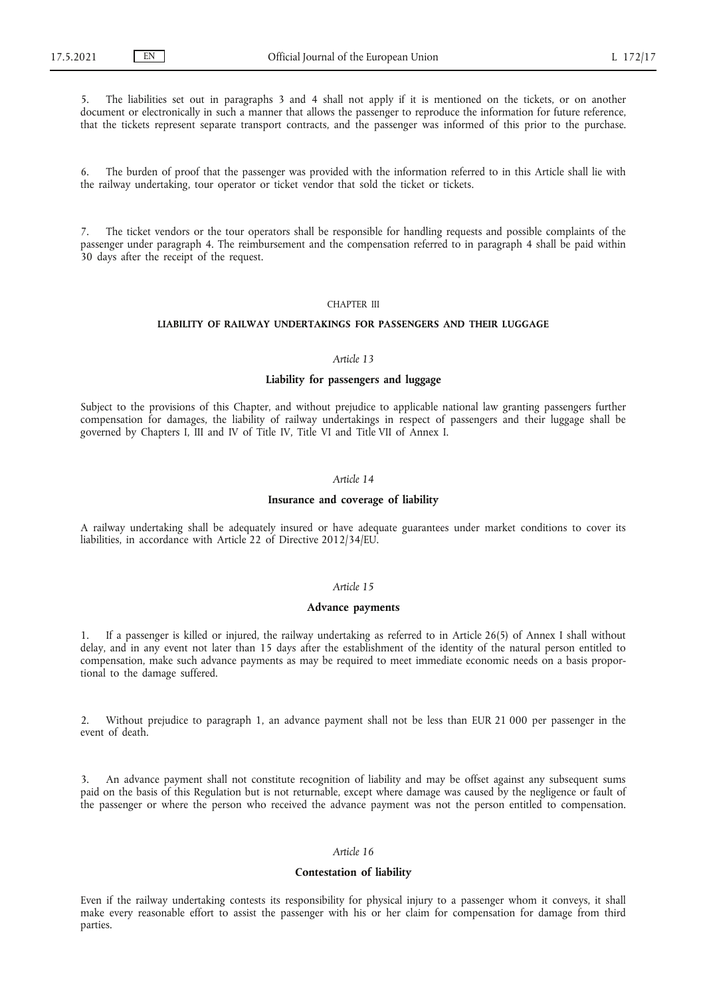5. The liabilities set out in paragraphs 3 and 4 shall not apply if it is mentioned on the tickets, or on another document or electronically in such a manner that allows the passenger to reproduce the information for future reference, that the tickets represent separate transport contracts, and the passenger was informed of this prior to the purchase.

6. The burden of proof that the passenger was provided with the information referred to in this Article shall lie with the railway undertaking, tour operator or ticket vendor that sold the ticket or tickets.

The ticket vendors or the tour operators shall be responsible for handling requests and possible complaints of the passenger under paragraph 4. The reimbursement and the compensation referred to in paragraph 4 shall be paid within 30 days after the receipt of the request.

#### CHAPTER III

#### **LIABILITY OF RAILWAY UNDERTAKINGS FOR PASSENGERS AND THEIR LUGGAGE**

#### *Article 13*

#### **Liability for passengers and luggage**

Subject to the provisions of this Chapter, and without prejudice to applicable national law granting passengers further compensation for damages, the liability of railway undertakings in respect of passengers and their luggage shall be governed by Chapters I, III and IV of Title IV, Title VI and Title VII of Annex I.

#### *Article 14*

#### **Insurance and coverage of liability**

A railway undertaking shall be adequately insured or have adequate guarantees under market conditions to cover its liabilities, in accordance with Article 22 of Directive 2012/34/EU.

#### *Article 15*

#### **Advance payments**

1. If a passenger is killed or injured, the railway undertaking as referred to in Article 26(5) of Annex I shall without delay, and in any event not later than 15 days after the establishment of the identity of the natural person entitled to compensation, make such advance payments as may be required to meet immediate economic needs on a basis proportional to the damage suffered.

2. Without prejudice to paragraph 1, an advance payment shall not be less than EUR 21 000 per passenger in the event of death.

3. An advance payment shall not constitute recognition of liability and may be offset against any subsequent sums paid on the basis of this Regulation but is not returnable, except where damage was caused by the negligence or fault of the passenger or where the person who received the advance payment was not the person entitled to compensation.

#### *Article 16*

#### **Contestation of liability**

Even if the railway undertaking contests its responsibility for physical injury to a passenger whom it conveys, it shall make every reasonable effort to assist the passenger with his or her claim for compensation for damage from third parties.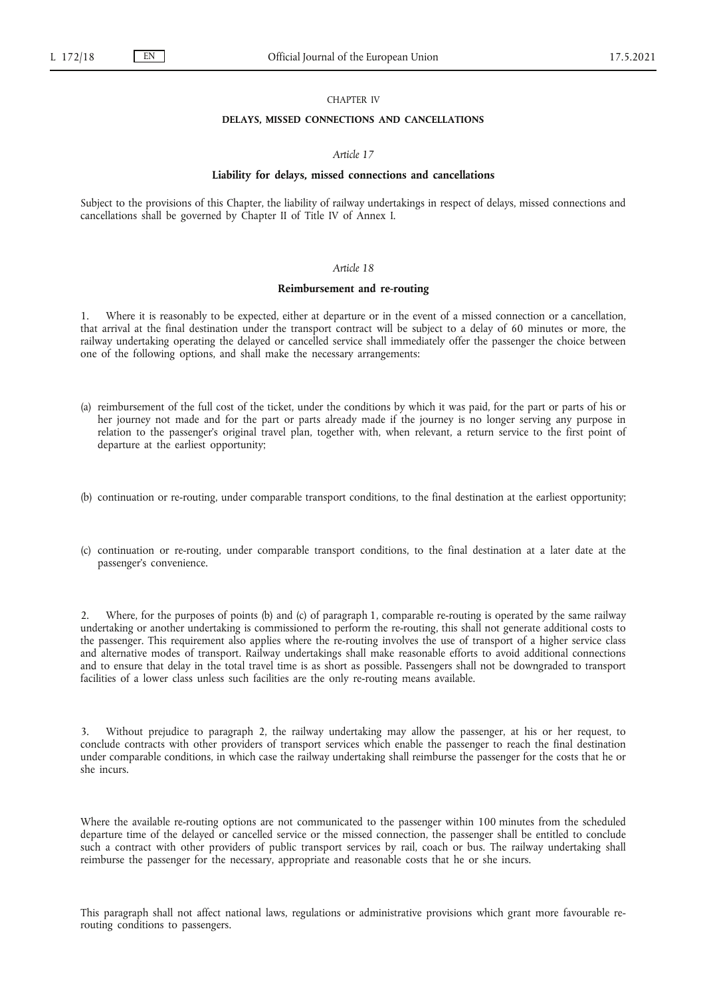#### CHAPTER IV

#### **DELAYS, MISSED CONNECTIONS AND CANCELLATIONS**

#### *Article 17*

#### **Liability for delays, missed connections and cancellations**

Subject to the provisions of this Chapter, the liability of railway undertakings in respect of delays, missed connections and cancellations shall be governed by Chapter II of Title IV of Annex I.

#### *Article 18*

#### **Reimbursement and re-routing**

Where it is reasonably to be expected, either at departure or in the event of a missed connection or a cancellation, that arrival at the final destination under the transport contract will be subject to a delay of 60 minutes or more, the railway undertaking operating the delayed or cancelled service shall immediately offer the passenger the choice between one of the following options, and shall make the necessary arrangements:

- (a) reimbursement of the full cost of the ticket, under the conditions by which it was paid, for the part or parts of his or her journey not made and for the part or parts already made if the journey is no longer serving any purpose in relation to the passenger's original travel plan, together with, when relevant, a return service to the first point of departure at the earliest opportunity;
- (b) continuation or re-routing, under comparable transport conditions, to the final destination at the earliest opportunity;
- (c) continuation or re-routing, under comparable transport conditions, to the final destination at a later date at the passenger's convenience.

2. Where, for the purposes of points (b) and (c) of paragraph 1, comparable re-routing is operated by the same railway undertaking or another undertaking is commissioned to perform the re-routing, this shall not generate additional costs to the passenger. This requirement also applies where the re-routing involves the use of transport of a higher service class and alternative modes of transport. Railway undertakings shall make reasonable efforts to avoid additional connections and to ensure that delay in the total travel time is as short as possible. Passengers shall not be downgraded to transport facilities of a lower class unless such facilities are the only re-routing means available.

3. Without prejudice to paragraph 2, the railway undertaking may allow the passenger, at his or her request, to conclude contracts with other providers of transport services which enable the passenger to reach the final destination under comparable conditions, in which case the railway undertaking shall reimburse the passenger for the costs that he or she incurs.

Where the available re-routing options are not communicated to the passenger within 100 minutes from the scheduled departure time of the delayed or cancelled service or the missed connection, the passenger shall be entitled to conclude such a contract with other providers of public transport services by rail, coach or bus. The railway undertaking shall reimburse the passenger for the necessary, appropriate and reasonable costs that he or she incurs.

This paragraph shall not affect national laws, regulations or administrative provisions which grant more favourable rerouting conditions to passengers.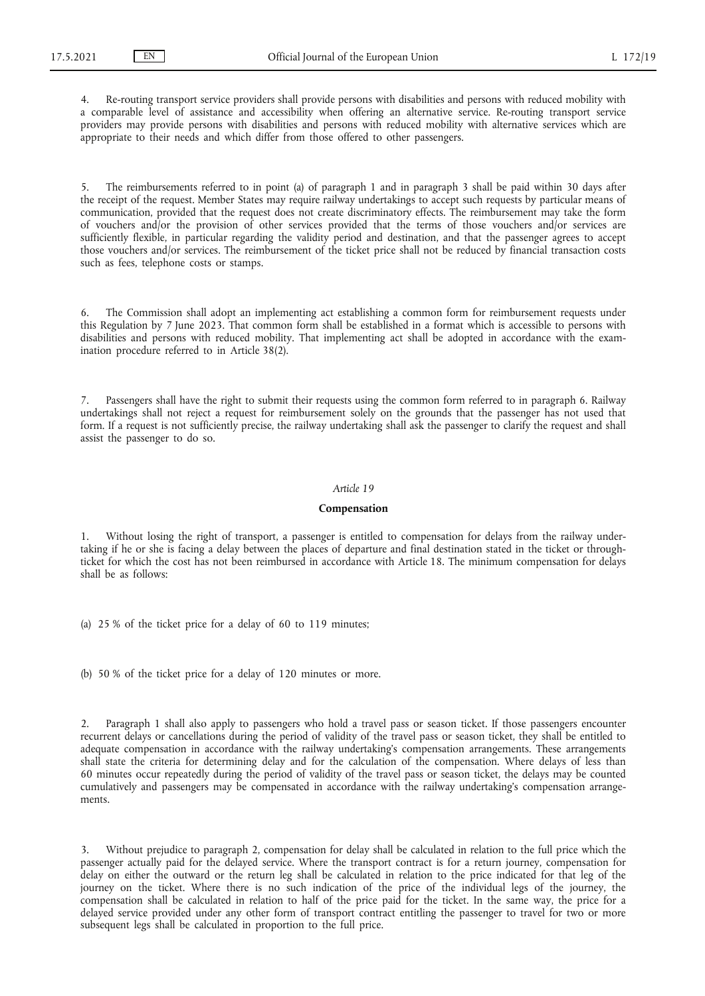4. Re-routing transport service providers shall provide persons with disabilities and persons with reduced mobility with a comparable level of assistance and accessibility when offering an alternative service. Re-routing transport service providers may provide persons with disabilities and persons with reduced mobility with alternative services which are appropriate to their needs and which differ from those offered to other passengers.

5. The reimbursements referred to in point (a) of paragraph 1 and in paragraph 3 shall be paid within 30 days after the receipt of the request. Member States may require railway undertakings to accept such requests by particular means of communication, provided that the request does not create discriminatory effects. The reimbursement may take the form of vouchers and/or the provision of other services provided that the terms of those vouchers and/or services are sufficiently flexible, in particular regarding the validity period and destination, and that the passenger agrees to accept those vouchers and/or services. The reimbursement of the ticket price shall not be reduced by financial transaction costs such as fees, telephone costs or stamps.

6. The Commission shall adopt an implementing act establishing a common form for reimbursement requests under this Regulation by 7 June 2023. That common form shall be established in a format which is accessible to persons with disabilities and persons with reduced mobility. That implementing act shall be adopted in accordance with the examination procedure referred to in Article 38(2).

7. Passengers shall have the right to submit their requests using the common form referred to in paragraph 6. Railway undertakings shall not reject a request for reimbursement solely on the grounds that the passenger has not used that form. If a request is not sufficiently precise, the railway undertaking shall ask the passenger to clarify the request and shall assist the passenger to do so.

#### *Article 19*

#### **Compensation**

Without losing the right of transport, a passenger is entitled to compensation for delays from the railway undertaking if he or she is facing a delay between the places of departure and final destination stated in the ticket or throughticket for which the cost has not been reimbursed in accordance with Article 18. The minimum compensation for delays shall be as follows:

(a) 25 % of the ticket price for a delay of 60 to 119 minutes;

(b) 50 % of the ticket price for a delay of 120 minutes or more.

2. Paragraph 1 shall also apply to passengers who hold a travel pass or season ticket. If those passengers encounter recurrent delays or cancellations during the period of validity of the travel pass or season ticket, they shall be entitled to adequate compensation in accordance with the railway undertaking's compensation arrangements. These arrangements shall state the criteria for determining delay and for the calculation of the compensation. Where delays of less than 60 minutes occur repeatedly during the period of validity of the travel pass or season ticket, the delays may be counted cumulatively and passengers may be compensated in accordance with the railway undertaking's compensation arrangements.

3. Without prejudice to paragraph 2, compensation for delay shall be calculated in relation to the full price which the passenger actually paid for the delayed service. Where the transport contract is for a return journey, compensation for delay on either the outward or the return leg shall be calculated in relation to the price indicated for that leg of the journey on the ticket. Where there is no such indication of the price of the individual legs of the journey, the compensation shall be calculated in relation to half of the price paid for the ticket. In the same way, the price for a delayed service provided under any other form of transport contract entitling the passenger to travel for two or more subsequent legs shall be calculated in proportion to the full price.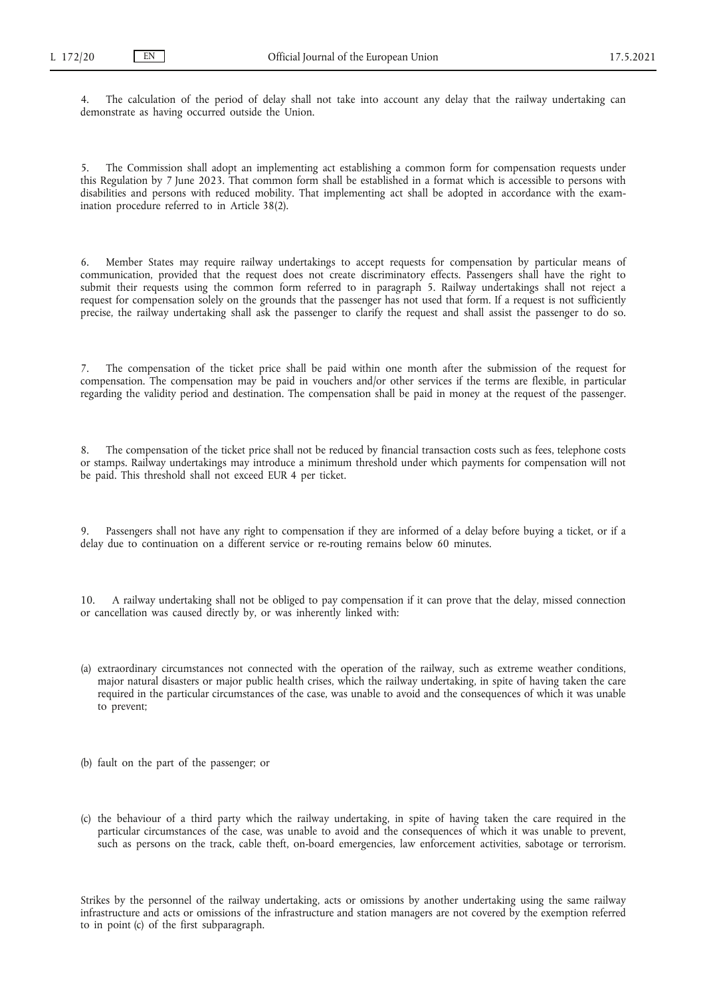The calculation of the period of delay shall not take into account any delay that the railway undertaking can demonstrate as having occurred outside the Union.

5. The Commission shall adopt an implementing act establishing a common form for compensation requests under this Regulation by 7 June 2023. That common form shall be established in a format which is accessible to persons with disabilities and persons with reduced mobility. That implementing act shall be adopted in accordance with the examination procedure referred to in Article 38(2).

6. Member States may require railway undertakings to accept requests for compensation by particular means of communication, provided that the request does not create discriminatory effects. Passengers shall have the right to submit their requests using the common form referred to in paragraph 5. Railway undertakings shall not reject a request for compensation solely on the grounds that the passenger has not used that form. If a request is not sufficiently precise, the railway undertaking shall ask the passenger to clarify the request and shall assist the passenger to do so.

7. The compensation of the ticket price shall be paid within one month after the submission of the request for compensation. The compensation may be paid in vouchers and/or other services if the terms are flexible, in particular regarding the validity period and destination. The compensation shall be paid in money at the request of the passenger.

8. The compensation of the ticket price shall not be reduced by financial transaction costs such as fees, telephone costs or stamps. Railway undertakings may introduce a minimum threshold under which payments for compensation will not be paid. This threshold shall not exceed EUR 4 per ticket.

9. Passengers shall not have any right to compensation if they are informed of a delay before buying a ticket, or if a delay due to continuation on a different service or re-routing remains below 60 minutes.

10. A railway undertaking shall not be obliged to pay compensation if it can prove that the delay, missed connection or cancellation was caused directly by, or was inherently linked with:

- (a) extraordinary circumstances not connected with the operation of the railway, such as extreme weather conditions, major natural disasters or major public health crises, which the railway undertaking, in spite of having taken the care required in the particular circumstances of the case, was unable to avoid and the consequences of which it was unable to prevent;
- (b) fault on the part of the passenger; or
- (c) the behaviour of a third party which the railway undertaking, in spite of having taken the care required in the particular circumstances of the case, was unable to avoid and the consequences of which it was unable to prevent, such as persons on the track, cable theft, on-board emergencies, law enforcement activities, sabotage or terrorism.

Strikes by the personnel of the railway undertaking, acts or omissions by another undertaking using the same railway infrastructure and acts or omissions of the infrastructure and station managers are not covered by the exemption referred to in point (c) of the first subparagraph.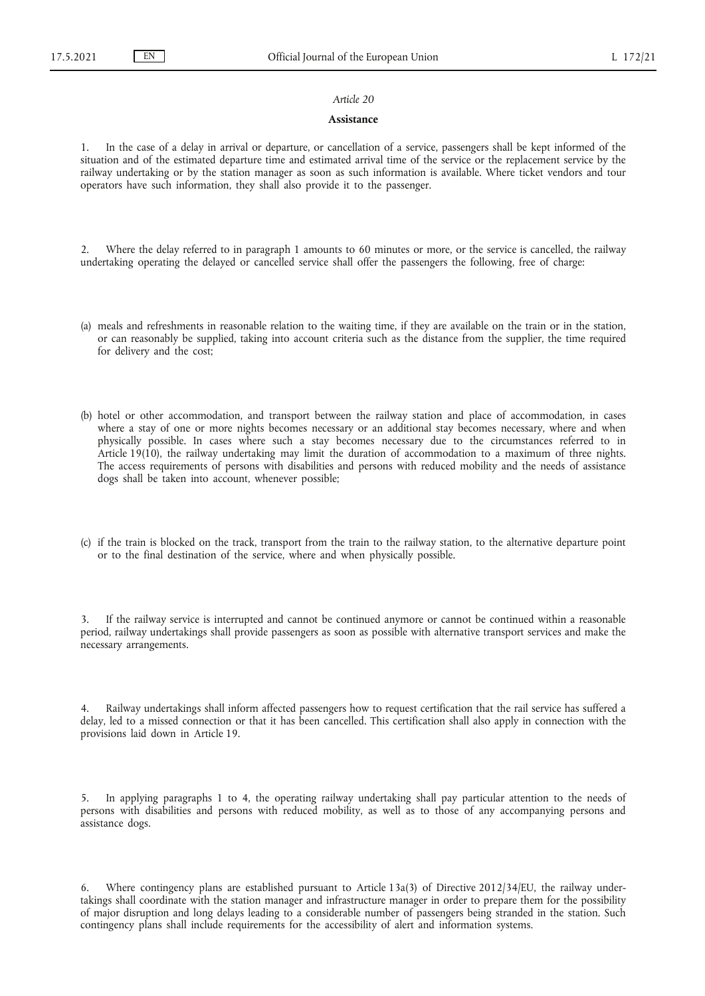# *Article 20*

#### **Assistance**

1. In the case of a delay in arrival or departure, or cancellation of a service, passengers shall be kept informed of the situation and of the estimated departure time and estimated arrival time of the service or the replacement service by the railway undertaking or by the station manager as soon as such information is available. Where ticket vendors and tour operators have such information, they shall also provide it to the passenger.

Where the delay referred to in paragraph 1 amounts to 60 minutes or more, or the service is cancelled, the railway undertaking operating the delayed or cancelled service shall offer the passengers the following, free of charge:

- (a) meals and refreshments in reasonable relation to the waiting time, if they are available on the train or in the station, or can reasonably be supplied, taking into account criteria such as the distance from the supplier, the time required for delivery and the cost;
- (b) hotel or other accommodation, and transport between the railway station and place of accommodation, in cases where a stay of one or more nights becomes necessary or an additional stay becomes necessary, where and when physically possible. In cases where such a stay becomes necessary due to the circumstances referred to in Article 19(10), the railway undertaking may limit the duration of accommodation to a maximum of three nights. The access requirements of persons with disabilities and persons with reduced mobility and the needs of assistance dogs shall be taken into account, whenever possible;
- (c) if the train is blocked on the track, transport from the train to the railway station, to the alternative departure point or to the final destination of the service, where and when physically possible.

3. If the railway service is interrupted and cannot be continued anymore or cannot be continued within a reasonable period, railway undertakings shall provide passengers as soon as possible with alternative transport services and make the necessary arrangements.

4. Railway undertakings shall inform affected passengers how to request certification that the rail service has suffered a delay, led to a missed connection or that it has been cancelled. This certification shall also apply in connection with the provisions laid down in Article 19.

5. In applying paragraphs 1 to 4, the operating railway undertaking shall pay particular attention to the needs of persons with disabilities and persons with reduced mobility, as well as to those of any accompanying persons and assistance dogs.

Where contingency plans are established pursuant to Article 13a(3) of Directive 2012/34/EU, the railway undertakings shall coordinate with the station manager and infrastructure manager in order to prepare them for the possibility of major disruption and long delays leading to a considerable number of passengers being stranded in the station. Such contingency plans shall include requirements for the accessibility of alert and information systems.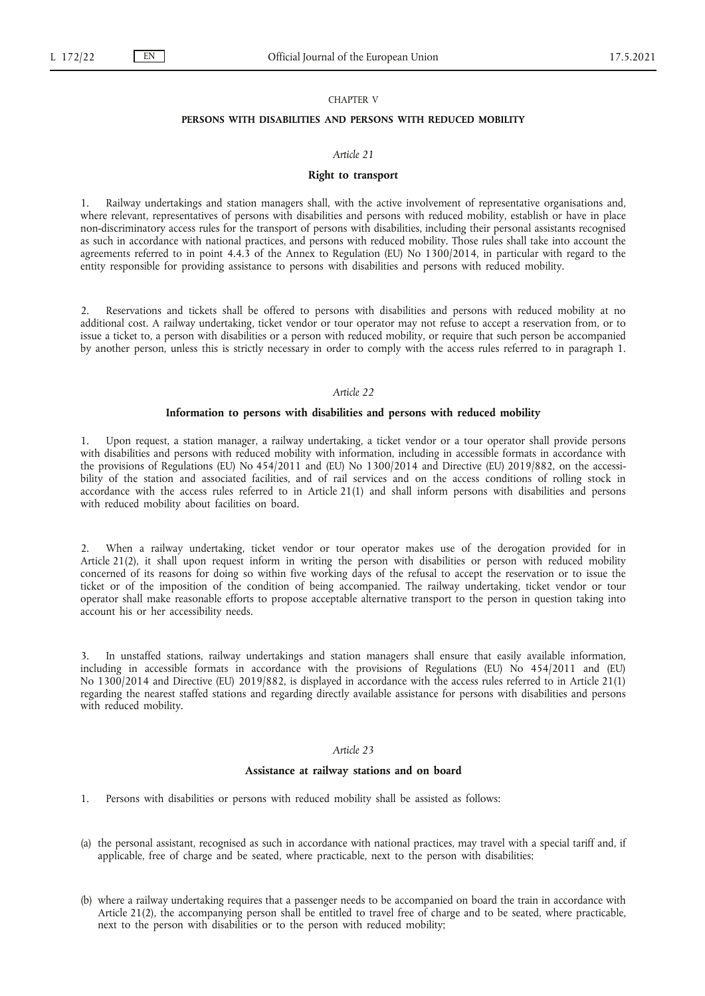#### CHAPTER V

# **PERSONS WITH DISABILITIES AND PERSONS WITH REDUCED MOBILITY**

# *Article 21*

#### **Right to transport**

Railway undertakings and station managers shall, with the active involvement of representative organisations and, where relevant, representatives of persons with disabilities and persons with reduced mobility, establish or have in place non-discriminatory access rules for the transport of persons with disabilities, including their personal assistants recognised as such in accordance with national practices, and persons with reduced mobility. Those rules shall take into account the agreements referred to in point 4.4.3 of the Annex to Regulation (EU) No 1300/2014, in particular with regard to the entity responsible for providing assistance to persons with disabilities and persons with reduced mobility.

2. Reservations and tickets shall be offered to persons with disabilities and persons with reduced mobility at no additional cost. A railway undertaking, ticket vendor or tour operator may not refuse to accept a reservation from, or to issue a ticket to, a person with disabilities or a person with reduced mobility, or require that such person be accompanied by another person, unless this is strictly necessary in order to comply with the access rules referred to in paragraph 1.

# *Article 22*

#### **Information to persons with disabilities and persons with reduced mobility**

1. Upon request, a station manager, a railway undertaking, a ticket vendor or a tour operator shall provide persons with disabilities and persons with reduced mobility with information, including in accessible formats in accordance with the provisions of Regulations (EU) No 454/2011 and (EU) No 1300/2014 and Directive (EU) 2019/882, on the accessibility of the station and associated facilities, and of rail services and on the access conditions of rolling stock in accordance with the access rules referred to in Article 21(1) and shall inform persons with disabilities and persons with reduced mobility about facilities on board.

2. When a railway undertaking, ticket vendor or tour operator makes use of the derogation provided for in Article 21(2), it shall upon request inform in writing the person with disabilities or person with reduced mobility concerned of its reasons for doing so within five working days of the refusal to accept the reservation or to issue the ticket or of the imposition of the condition of being accompanied. The railway undertaking, ticket vendor or tour operator shall make reasonable efforts to propose acceptable alternative transport to the person in question taking into account his or her accessibility needs.

3. In unstaffed stations, railway undertakings and station managers shall ensure that easily available information, including in accessible formats in accordance with the provisions of Regulations (EU) No 454/2011 and (EU) No 1300/2014 and Directive (EU) 2019/882, is displayed in accordance with the access rules referred to in Article 21(1) regarding the nearest staffed stations and regarding directly available assistance for persons with disabilities and persons with reduced mobility.

# *Article 23*

# **Assistance at railway stations and on board**

- 1. Persons with disabilities or persons with reduced mobility shall be assisted as follows:
- (a) the personal assistant, recognised as such in accordance with national practices, may travel with a special tariff and, if applicable, free of charge and be seated, where practicable, next to the person with disabilities;
- (b) where a railway undertaking requires that a passenger needs to be accompanied on board the train in accordance with Article 21(2), the accompanying person shall be entitled to travel free of charge and to be seated, where practicable, next to the person with disabilities or to the person with reduced mobility;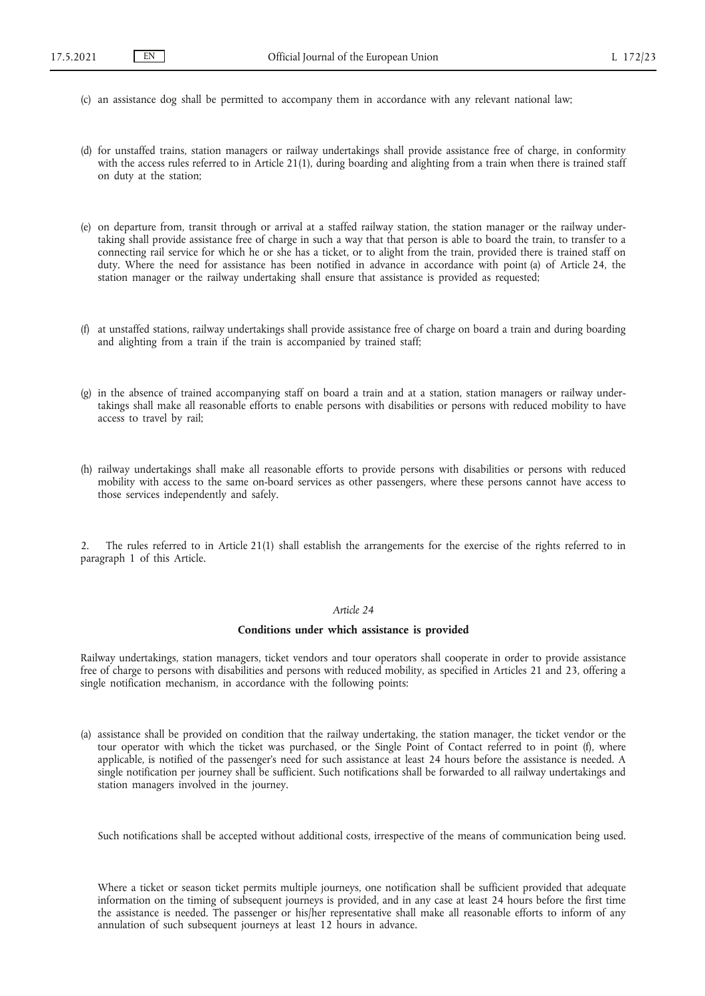- (c) an assistance dog shall be permitted to accompany them in accordance with any relevant national law;
- (d) for unstaffed trains, station managers or railway undertakings shall provide assistance free of charge, in conformity with the access rules referred to in Article 21(1), during boarding and alighting from a train when there is trained staff on duty at the station;
- (e) on departure from, transit through or arrival at a staffed railway station, the station manager or the railway undertaking shall provide assistance free of charge in such a way that that person is able to board the train, to transfer to a connecting rail service for which he or she has a ticket, or to alight from the train, provided there is trained staff on duty. Where the need for assistance has been notified in advance in accordance with point (a) of Article 24, the station manager or the railway undertaking shall ensure that assistance is provided as requested;
- (f) at unstaffed stations, railway undertakings shall provide assistance free of charge on board a train and during boarding and alighting from a train if the train is accompanied by trained staff;
- (g) in the absence of trained accompanying staff on board a train and at a station, station managers or railway undertakings shall make all reasonable efforts to enable persons with disabilities or persons with reduced mobility to have access to travel by rail;
- (h) railway undertakings shall make all reasonable efforts to provide persons with disabilities or persons with reduced mobility with access to the same on-board services as other passengers, where these persons cannot have access to those services independently and safely.

2. The rules referred to in Article 21(1) shall establish the arrangements for the exercise of the rights referred to in paragraph 1 of this Article.

#### *Article 24*

#### **Conditions under which assistance is provided**

Railway undertakings, station managers, ticket vendors and tour operators shall cooperate in order to provide assistance free of charge to persons with disabilities and persons with reduced mobility, as specified in Articles 21 and 23, offering a single notification mechanism, in accordance with the following points:

(a) assistance shall be provided on condition that the railway undertaking, the station manager, the ticket vendor or the tour operator with which the ticket was purchased, or the Single Point of Contact referred to in point (f), where applicable, is notified of the passenger's need for such assistance at least 24 hours before the assistance is needed. A single notification per journey shall be sufficient. Such notifications shall be forwarded to all railway undertakings and station managers involved in the journey.

Such notifications shall be accepted without additional costs, irrespective of the means of communication being used.

Where a ticket or season ticket permits multiple journeys, one notification shall be sufficient provided that adequate information on the timing of subsequent journeys is provided, and in any case at least 24 hours before the first time the assistance is needed. The passenger or his/her representative shall make all reasonable efforts to inform of any annulation of such subsequent journeys at least 12 hours in advance.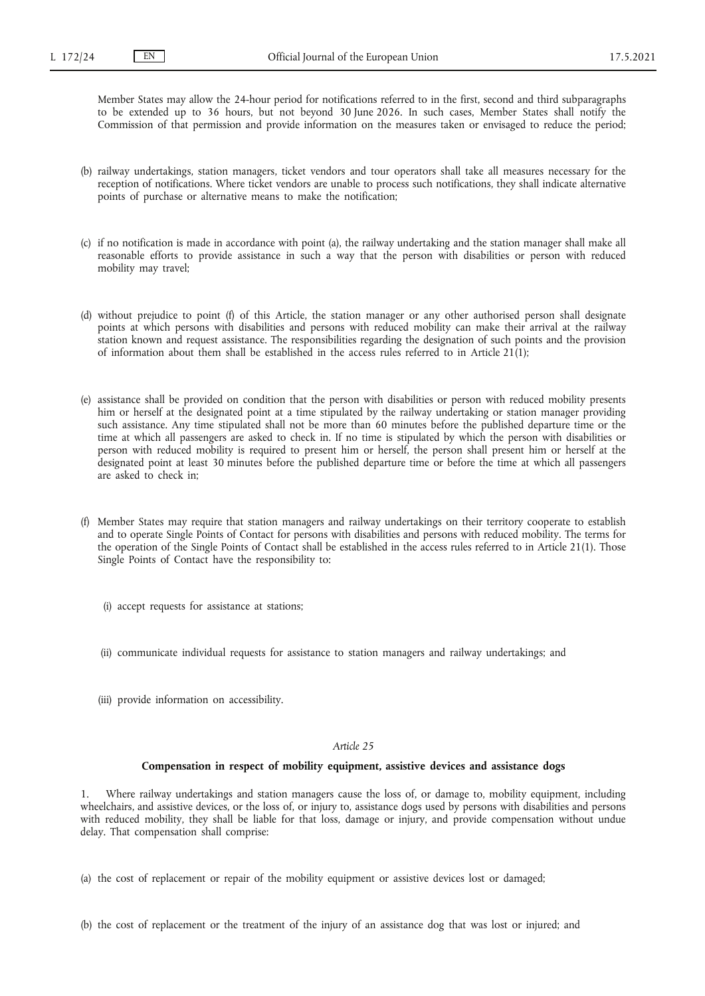Member States may allow the 24-hour period for notifications referred to in the first, second and third subparagraphs to be extended up to 36 hours, but not beyond 30 June 2026. In such cases, Member States shall notify the Commission of that permission and provide information on the measures taken or envisaged to reduce the period;

- (b) railway undertakings, station managers, ticket vendors and tour operators shall take all measures necessary for the reception of notifications. Where ticket vendors are unable to process such notifications, they shall indicate alternative points of purchase or alternative means to make the notification;
- (c) if no notification is made in accordance with point (a), the railway undertaking and the station manager shall make all reasonable efforts to provide assistance in such a way that the person with disabilities or person with reduced mobility may travel;
- (d) without prejudice to point (f) of this Article, the station manager or any other authorised person shall designate points at which persons with disabilities and persons with reduced mobility can make their arrival at the railway station known and request assistance. The responsibilities regarding the designation of such points and the provision of information about them shall be established in the access rules referred to in Article 21(1);
- (e) assistance shall be provided on condition that the person with disabilities or person with reduced mobility presents him or herself at the designated point at a time stipulated by the railway undertaking or station manager providing such assistance. Any time stipulated shall not be more than 60 minutes before the published departure time or the time at which all passengers are asked to check in. If no time is stipulated by which the person with disabilities or person with reduced mobility is required to present him or herself, the person shall present him or herself at the designated point at least 30 minutes before the published departure time or before the time at which all passengers are asked to check in;
- (f) Member States may require that station managers and railway undertakings on their territory cooperate to establish and to operate Single Points of Contact for persons with disabilities and persons with reduced mobility. The terms for the operation of the Single Points of Contact shall be established in the access rules referred to in Article 21(1). Those Single Points of Contact have the responsibility to:
	- (i) accept requests for assistance at stations;
	- (ii) communicate individual requests for assistance to station managers and railway undertakings; and
	- (iii) provide information on accessibility.

# *Article 25*

#### **Compensation in respect of mobility equipment, assistive devices and assistance dogs**

Where railway undertakings and station managers cause the loss of, or damage to, mobility equipment, including wheelchairs, and assistive devices, or the loss of, or injury to, assistance dogs used by persons with disabilities and persons with reduced mobility, they shall be liable for that loss, damage or injury, and provide compensation without undue delay. That compensation shall comprise:

(a) the cost of replacement or repair of the mobility equipment or assistive devices lost or damaged;

(b) the cost of replacement or the treatment of the injury of an assistance dog that was lost or injured; and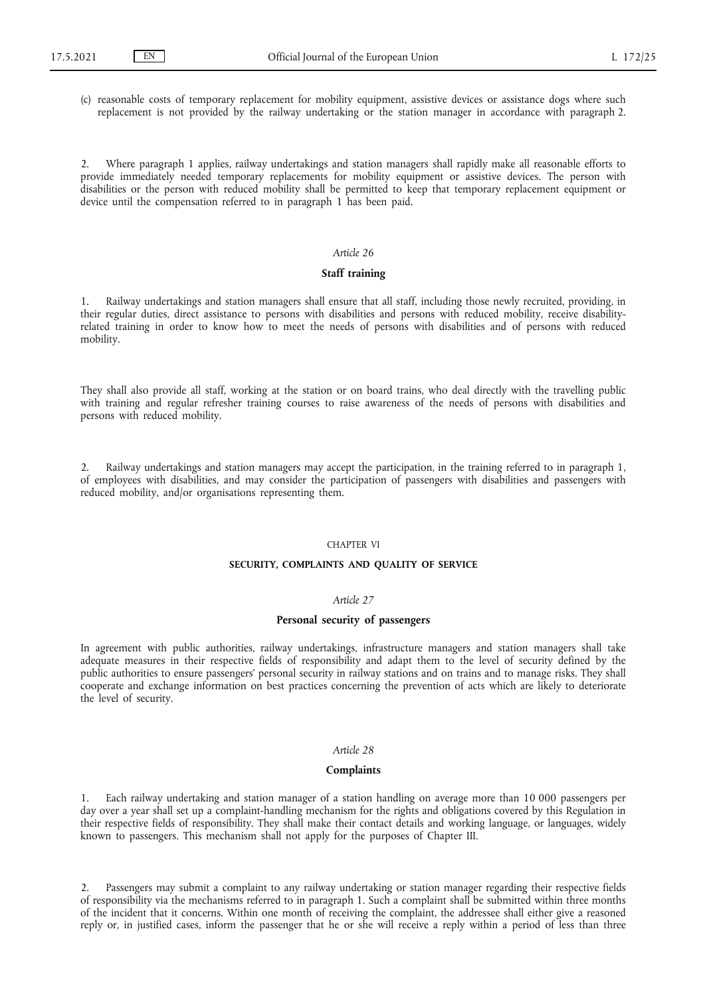(c) reasonable costs of temporary replacement for mobility equipment, assistive devices or assistance dogs where such replacement is not provided by the railway undertaking or the station manager in accordance with paragraph 2.

2. Where paragraph 1 applies, railway undertakings and station managers shall rapidly make all reasonable efforts to provide immediately needed temporary replacements for mobility equipment or assistive devices. The person with disabilities or the person with reduced mobility shall be permitted to keep that temporary replacement equipment or device until the compensation referred to in paragraph 1 has been paid.

# *Article 26*

# **Staff training**

Railway undertakings and station managers shall ensure that all staff, including those newly recruited, providing, in their regular duties, direct assistance to persons with disabilities and persons with reduced mobility, receive disabilityrelated training in order to know how to meet the needs of persons with disabilities and of persons with reduced mobility.

They shall also provide all staff, working at the station or on board trains, who deal directly with the travelling public with training and regular refresher training courses to raise awareness of the needs of persons with disabilities and persons with reduced mobility.

2. Railway undertakings and station managers may accept the participation, in the training referred to in paragraph 1, of employees with disabilities, and may consider the participation of passengers with disabilities and passengers with reduced mobility, and/or organisations representing them.

# CHAPTER VI

# **SECURITY, COMPLAINTS AND QUALITY OF SERVICE**

#### *Article 27*

# **Personal security of passengers**

In agreement with public authorities, railway undertakings, infrastructure managers and station managers shall take adequate measures in their respective fields of responsibility and adapt them to the level of security defined by the public authorities to ensure passengers' personal security in railway stations and on trains and to manage risks. They shall cooperate and exchange information on best practices concerning the prevention of acts which are likely to deteriorate the level of security.

#### *Article 28*

# **Complaints**

1. Each railway undertaking and station manager of a station handling on average more than 10 000 passengers per day over a year shall set up a complaint-handling mechanism for the rights and obligations covered by this Regulation in their respective fields of responsibility. They shall make their contact details and working language, or languages, widely known to passengers. This mechanism shall not apply for the purposes of Chapter III.

2. Passengers may submit a complaint to any railway undertaking or station manager regarding their respective fields of responsibility via the mechanisms referred to in paragraph 1. Such a complaint shall be submitted within three months of the incident that it concerns. Within one month of receiving the complaint, the addressee shall either give a reasoned reply or, in justified cases, inform the passenger that he or she will receive a reply within a period of less than three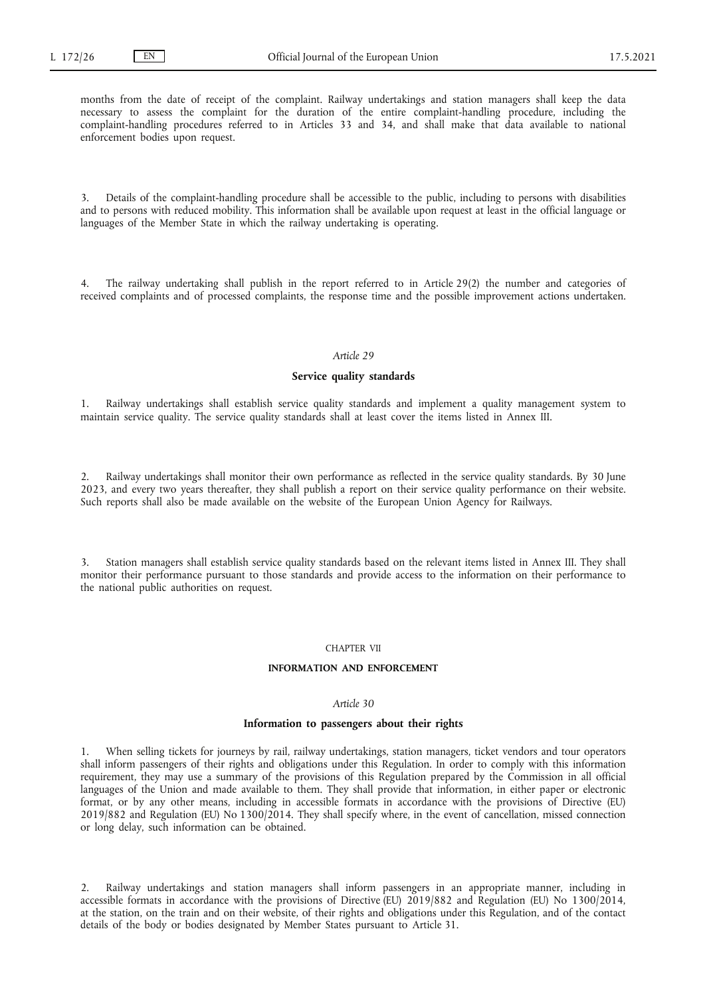months from the date of receipt of the complaint. Railway undertakings and station managers shall keep the data necessary to assess the complaint for the duration of the entire complaint-handling procedure, including the complaint-handling procedures referred to in Articles 33 and 34, and shall make that data available to national enforcement bodies upon request.

3. Details of the complaint-handling procedure shall be accessible to the public, including to persons with disabilities and to persons with reduced mobility. This information shall be available upon request at least in the official language or languages of the Member State in which the railway undertaking is operating.

4. The railway undertaking shall publish in the report referred to in Article 29(2) the number and categories of received complaints and of processed complaints, the response time and the possible improvement actions undertaken.

# *Article 29*

#### **Service quality standards**

1. Railway undertakings shall establish service quality standards and implement a quality management system to maintain service quality. The service quality standards shall at least cover the items listed in Annex III.

2. Railway undertakings shall monitor their own performance as reflected in the service quality standards. By 30 June 2023, and every two years thereafter, they shall publish a report on their service quality performance on their website. Such reports shall also be made available on the website of the European Union Agency for Railways.

3. Station managers shall establish service quality standards based on the relevant items listed in Annex III. They shall monitor their performance pursuant to those standards and provide access to the information on their performance to the national public authorities on request.

#### CHAPTER VII

# **INFORMATION AND ENFORCEMENT**

#### *Article 30*

#### **Information to passengers about their rights**

1. When selling tickets for journeys by rail, railway undertakings, station managers, ticket vendors and tour operators shall inform passengers of their rights and obligations under this Regulation. In order to comply with this information requirement, they may use a summary of the provisions of this Regulation prepared by the Commission in all official languages of the Union and made available to them. They shall provide that information, in either paper or electronic format, or by any other means, including in accessible formats in accordance with the provisions of Directive (EU) 2019/882 and Regulation (EU) No 1300/2014. They shall specify where, in the event of cancellation, missed connection or long delay, such information can be obtained.

2. Railway undertakings and station managers shall inform passengers in an appropriate manner, including in accessible formats in accordance with the provisions of Directive (EU) 2019/882 and Regulation (EU) No 1300/2014, at the station, on the train and on their website, of their rights and obligations under this Regulation, and of the contact details of the body or bodies designated by Member States pursuant to Article 31.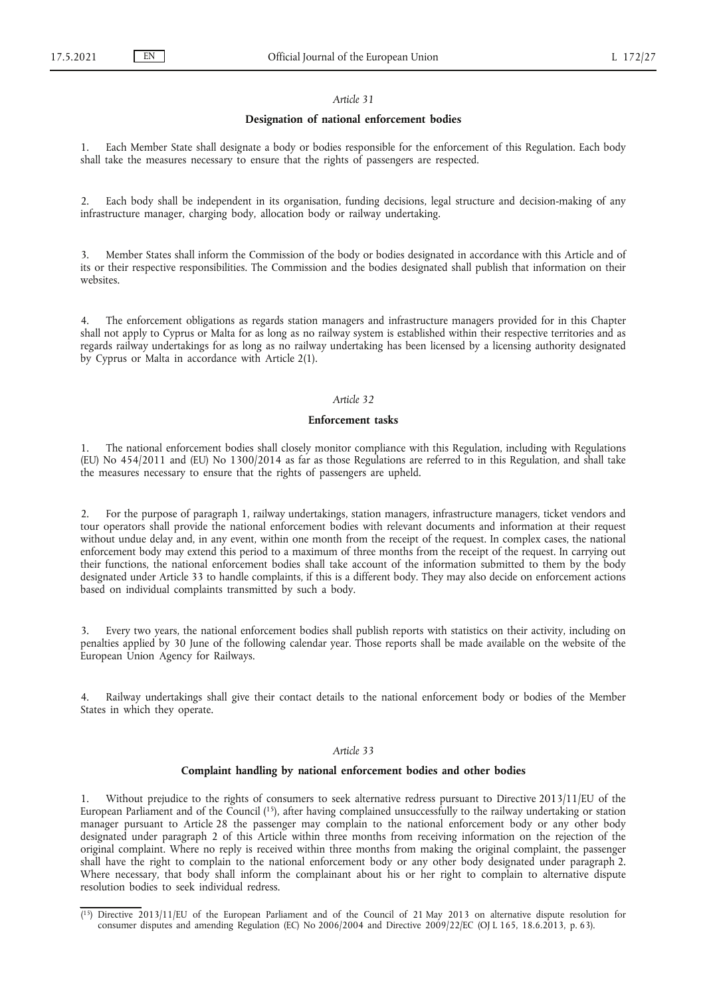#### *Article 31*

# **Designation of national enforcement bodies**

1. Each Member State shall designate a body or bodies responsible for the enforcement of this Regulation. Each body shall take the measures necessary to ensure that the rights of passengers are respected.

2. Each body shall be independent in its organisation, funding decisions, legal structure and decision-making of any infrastructure manager, charging body, allocation body or railway undertaking.

3. Member States shall inform the Commission of the body or bodies designated in accordance with this Article and of its or their respective responsibilities. The Commission and the bodies designated shall publish that information on their websites.

4. The enforcement obligations as regards station managers and infrastructure managers provided for in this Chapter shall not apply to Cyprus or Malta for as long as no railway system is established within their respective territories and as regards railway undertakings for as long as no railway undertaking has been licensed by a licensing authority designated by Cyprus or Malta in accordance with Article 2(1).

#### *Article 32*

#### **Enforcement tasks**

1. The national enforcement bodies shall closely monitor compliance with this Regulation, including with Regulations (EU) No 454/2011 and (EU) No 1300/2014 as far as those Regulations are referred to in this Regulation, and shall take the measures necessary to ensure that the rights of passengers are upheld.

2. For the purpose of paragraph 1, railway undertakings, station managers, infrastructure managers, ticket vendors and tour operators shall provide the national enforcement bodies with relevant documents and information at their request without undue delay and, in any event, within one month from the receipt of the request. In complex cases, the national enforcement body may extend this period to a maximum of three months from the receipt of the request. In carrying out their functions, the national enforcement bodies shall take account of the information submitted to them by the body designated under Article 33 to handle complaints, if this is a different body. They may also decide on enforcement actions based on individual complaints transmitted by such a body.

Every two years, the national enforcement bodies shall publish reports with statistics on their activity, including on penalties applied by 30 June of the following calendar year. Those reports shall be made available on the website of the European Union Agency for Railways.

4. Railway undertakings shall give their contact details to the national enforcement body or bodies of the Member States in which they operate.

# *Article 33*

# **Complaint handling by national enforcement bodies and other bodies**

<span id="page-26-1"></span>1. Without prejudice to the rights of consumers to seek alternative redress pursuant to Directive 2013/11/EU of the European Parliament and of the Council (<sup>15</sup>), after having complained unsuccessfully to the railway undertaking or station manager pursuant to Article 28 the passenger may complain to the national enforcement body or any other body designated under paragraph 2 of this Article within three months from receiving information on the rejection of the original complaint. Where no reply is received within three months from making the original complaint, the passenger shall have the right to complain to the national enforcement body or any other body designated under paragraph 2. Where necessary, that body shall inform the complainant about his or her right to complain to alternative dispute resolution bodies to seek individual redress.

<span id="page-26-0"></span>[<sup>\(</sup>](#page-26-1) [15\)](#page-26-1) Directive 2013/11/EU of the European Parliament and of the Council of 21 May 2013 on alternative dispute resolution for consumer disputes and amending Regulation (EC) No 2006/2004 and Directive 2009/22/EC (OJ L 165, 18.6.2013, p. 63).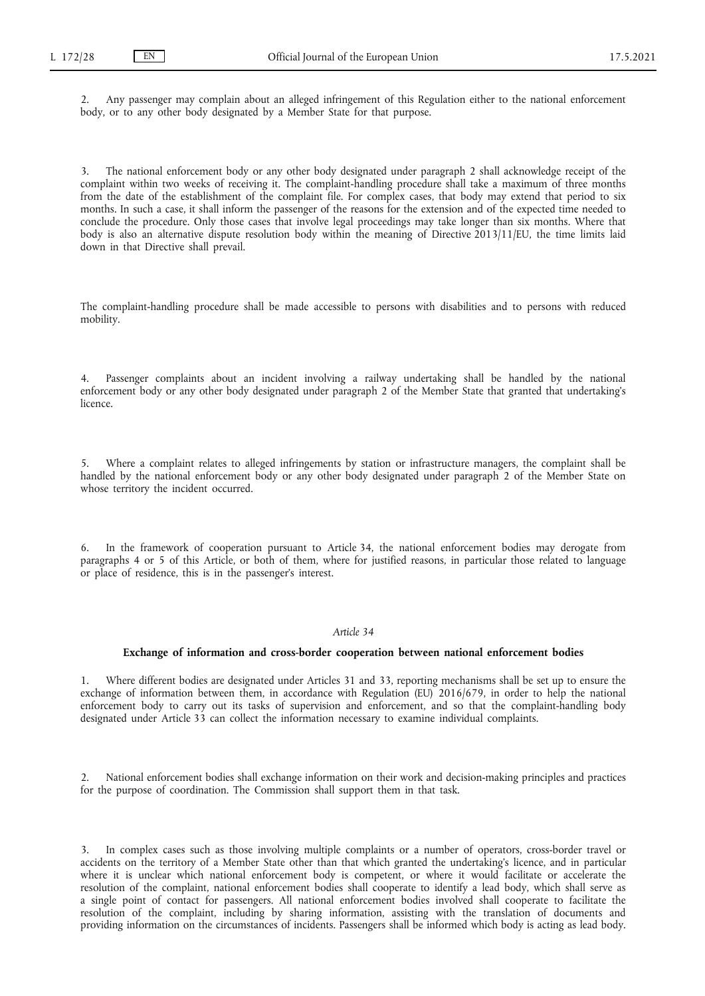2. Any passenger may complain about an alleged infringement of this Regulation either to the national enforcement body, or to any other body designated by a Member State for that purpose.

The national enforcement body or any other body designated under paragraph 2 shall acknowledge receipt of the complaint within two weeks of receiving it. The complaint-handling procedure shall take a maximum of three months from the date of the establishment of the complaint file. For complex cases, that body may extend that period to six months. In such a case, it shall inform the passenger of the reasons for the extension and of the expected time needed to conclude the procedure. Only those cases that involve legal proceedings may take longer than six months. Where that body is also an alternative dispute resolution body within the meaning of Directive 2013/11/EU, the time limits laid down in that Directive shall prevail.

The complaint-handling procedure shall be made accessible to persons with disabilities and to persons with reduced mobility.

4. Passenger complaints about an incident involving a railway undertaking shall be handled by the national enforcement body or any other body designated under paragraph 2 of the Member State that granted that undertaking's licence.

5. Where a complaint relates to alleged infringements by station or infrastructure managers, the complaint shall be handled by the national enforcement body or any other body designated under paragraph 2 of the Member State on whose territory the incident occurred.

In the framework of cooperation pursuant to Article 34, the national enforcement bodies may derogate from paragraphs 4 or 5 of this Article, or both of them, where for justified reasons, in particular those related to language or place of residence, this is in the passenger's interest.

#### *Article 34*

# **Exchange of information and cross-border cooperation between national enforcement bodies**

1. Where different bodies are designated under Articles 31 and 33, reporting mechanisms shall be set up to ensure the exchange of information between them, in accordance with Regulation (EU) 2016/679, in order to help the national enforcement body to carry out its tasks of supervision and enforcement, and so that the complaint-handling body designated under Article 33 can collect the information necessary to examine individual complaints.

2. National enforcement bodies shall exchange information on their work and decision-making principles and practices for the purpose of coordination. The Commission shall support them in that task.

In complex cases such as those involving multiple complaints or a number of operators, cross-border travel or accidents on the territory of a Member State other than that which granted the undertaking's licence, and in particular where it is unclear which national enforcement body is competent, or where it would facilitate or accelerate the resolution of the complaint, national enforcement bodies shall cooperate to identify a lead body, which shall serve as a single point of contact for passengers. All national enforcement bodies involved shall cooperate to facilitate the resolution of the complaint, including by sharing information, assisting with the translation of documents and providing information on the circumstances of incidents. Passengers shall be informed which body is acting as lead body.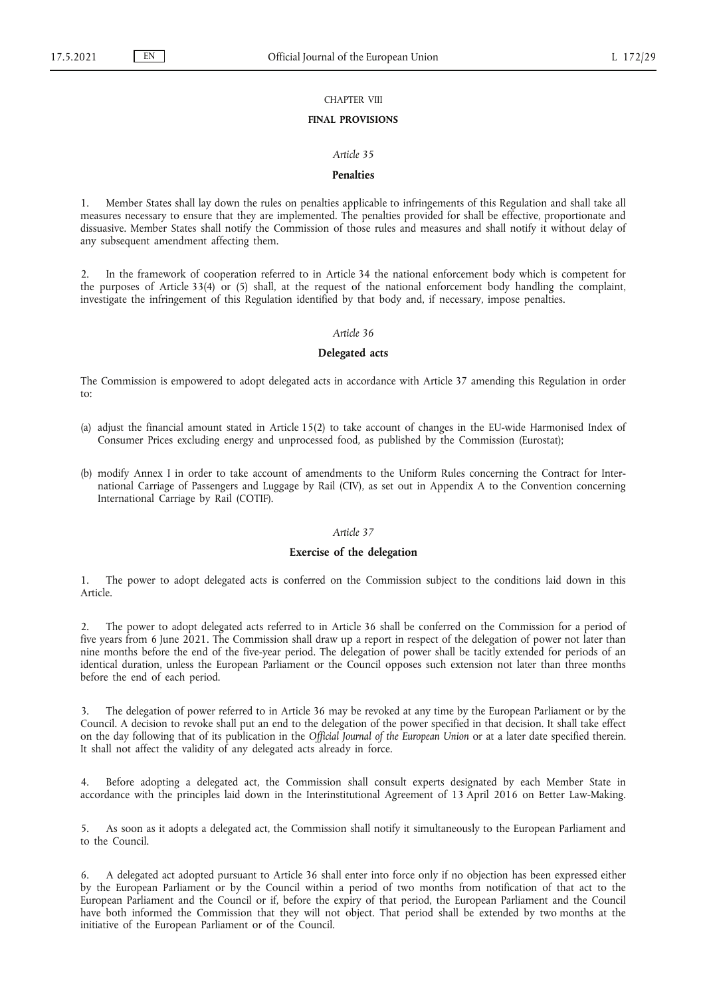#### CHAPTER VIII

#### **FINAL PROVISIONS**

## *Article 35*

#### **Penalties**

1. Member States shall lay down the rules on penalties applicable to infringements of this Regulation and shall take all measures necessary to ensure that they are implemented. The penalties provided for shall be effective, proportionate and dissuasive. Member States shall notify the Commission of those rules and measures and shall notify it without delay of any subsequent amendment affecting them.

2. In the framework of cooperation referred to in Article 34 the national enforcement body which is competent for the purposes of Article 33(4) or (5) shall, at the request of the national enforcement body handling the complaint, investigate the infringement of this Regulation identified by that body and, if necessary, impose penalties.

## *Article 36*

#### **Delegated acts**

The Commission is empowered to adopt delegated acts in accordance with Article 37 amending this Regulation in order to:

- (a) adjust the financial amount stated in Article 15(2) to take account of changes in the EU-wide Harmonised Index of Consumer Prices excluding energy and unprocessed food, as published by the Commission (Eurostat);
- (b) modify Annex I in order to take account of amendments to the Uniform Rules concerning the Contract for International Carriage of Passengers and Luggage by Rail (CIV), as set out in Appendix A to the Convention concerning International Carriage by Rail (COTIF).

# *Article 37*

# **Exercise of the delegation**

1. The power to adopt delegated acts is conferred on the Commission subject to the conditions laid down in this Article.

2. The power to adopt delegated acts referred to in Article 36 shall be conferred on the Commission for a period of five years from 6 June 2021. The Commission shall draw up a report in respect of the delegation of power not later than nine months before the end of the five-year period. The delegation of power shall be tacitly extended for periods of an identical duration, unless the European Parliament or the Council opposes such extension not later than three months before the end of each period.

3. The delegation of power referred to in Article 36 may be revoked at any time by the European Parliament or by the Council. A decision to revoke shall put an end to the delegation of the power specified in that decision. It shall take effect on the day following that of its publication in the *Official Journal of the European Union* or at a later date specified therein. It shall not affect the validity of any delegated acts already in force.

4. Before adopting a delegated act, the Commission shall consult experts designated by each Member State in accordance with the principles laid down in the Interinstitutional Agreement of 13 April 2016 on Better Law-Making.

5. As soon as it adopts a delegated act, the Commission shall notify it simultaneously to the European Parliament and to the Council.

6. A delegated act adopted pursuant to Article 36 shall enter into force only if no objection has been expressed either by the European Parliament or by the Council within a period of two months from notification of that act to the European Parliament and the Council or if, before the expiry of that period, the European Parliament and the Council have both informed the Commission that they will not object. That period shall be extended by two months at the initiative of the European Parliament or of the Council.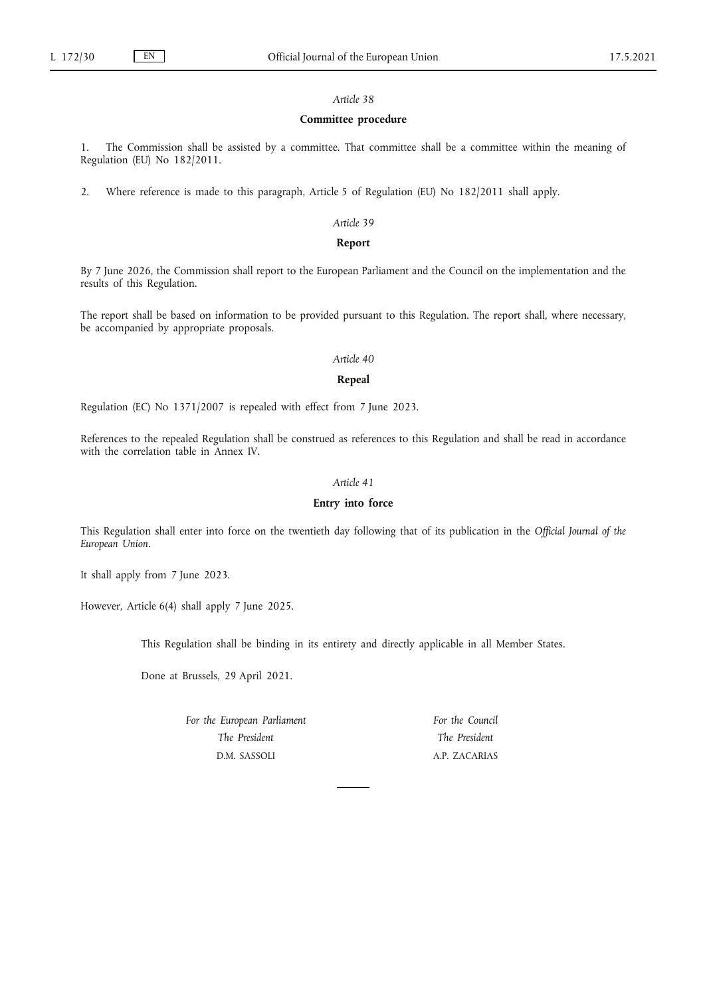#### *Article 38*

# **Committee procedure**

1. The Commission shall be assisted by a committee. That committee shall be a committee within the meaning of Regulation (EU) No 182/2011.

2. Where reference is made to this paragraph, Article 5 of Regulation (EU) No 182/2011 shall apply.

# *Article 39*

# **Report**

By 7 June 2026, the Commission shall report to the European Parliament and the Council on the implementation and the results of this Regulation.

The report shall be based on information to be provided pursuant to this Regulation. The report shall, where necessary, be accompanied by appropriate proposals.

# *Article 40*

# **Repeal**

Regulation (EC) No 1371/2007 is repealed with effect from 7 June 2023.

References to the repealed Regulation shall be construed as references to this Regulation and shall be read in accordance with the correlation table in Annex IV.

# *Article 41*

# **Entry into force**

This Regulation shall enter into force on the twentieth day following that of its publication in the *Official Journal of the European Union.*

It shall apply from 7 June 2023.

However, Article 6(4) shall apply 7 June 2025.

This Regulation shall be binding in its entirety and directly applicable in all Member States.

Done at Brussels, 29 April 2021.

*For the European Parliament The President* D.M. SASSOLI

*For the Council The President* A.P. ZACARIAS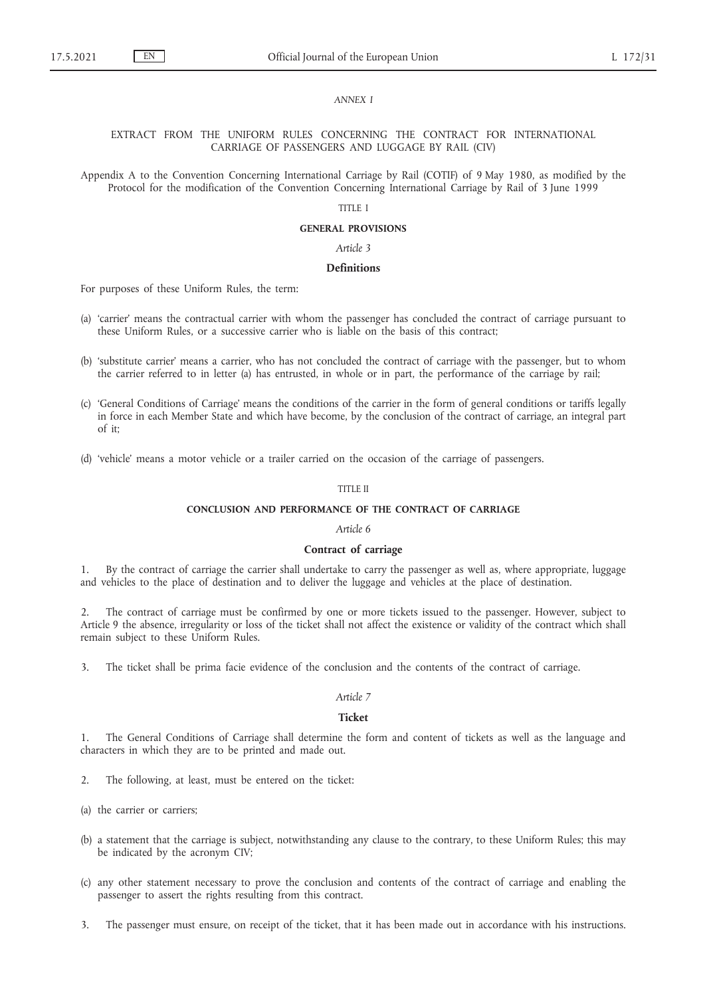# *ANNEX I*

# EXTRACT FROM THE UNIFORM RULES CONCERNING THE CONTRACT FOR INTERNATIONAL CARRIAGE OF PASSENGERS AND LUGGAGE BY RAIL (CIV)

Appendix A to the Convention Concerning International Carriage by Rail (COTIF) of 9 May 1980, as modified by the Protocol for the modification of the Convention Concerning International Carriage by Rail of 3 June 1999

#### TITLE I

#### **GENERAL PROVISIONS**

*Article 3*

#### **Definitions**

For purposes of these Uniform Rules, the term:

- (a) 'carrier' means the contractual carrier with whom the passenger has concluded the contract of carriage pursuant to these Uniform Rules, or a successive carrier who is liable on the basis of this contract;
- (b) 'substitute carrier' means a carrier, who has not concluded the contract of carriage with the passenger, but to whom the carrier referred to in letter (a) has entrusted, in whole or in part, the performance of the carriage by rail;
- (c) 'General Conditions of Carriage' means the conditions of the carrier in the form of general conditions or tariffs legally in force in each Member State and which have become, by the conclusion of the contract of carriage, an integral part of it;
- (d) 'vehicle' means a motor vehicle or a trailer carried on the occasion of the carriage of passengers.

#### TITI E II

#### **CONCLUSION AND PERFORMANCE OF THE CONTRACT OF CARRIAGE**

# *Article 6*

#### **Contract of carriage**

1. By the contract of carriage the carrier shall undertake to carry the passenger as well as, where appropriate, luggage and vehicles to the place of destination and to deliver the luggage and vehicles at the place of destination.

2. The contract of carriage must be confirmed by one or more tickets issued to the passenger. However, subject to Article 9 the absence, irregularity or loss of the ticket shall not affect the existence or validity of the contract which shall remain subject to these Uniform Rules.

3. The ticket shall be prima facie evidence of the conclusion and the contents of the contract of carriage.

# *Article 7*

# **Ticket**

1. The General Conditions of Carriage shall determine the form and content of tickets as well as the language and characters in which they are to be printed and made out.

- 2. The following, at least, must be entered on the ticket:
- (a) the carrier or carriers;
- (b) a statement that the carriage is subject, notwithstanding any clause to the contrary, to these Uniform Rules; this may be indicated by the acronym CIV;
- (c) any other statement necessary to prove the conclusion and contents of the contract of carriage and enabling the passenger to assert the rights resulting from this contract.
- 3. The passenger must ensure, on receipt of the ticket, that it has been made out in accordance with his instructions.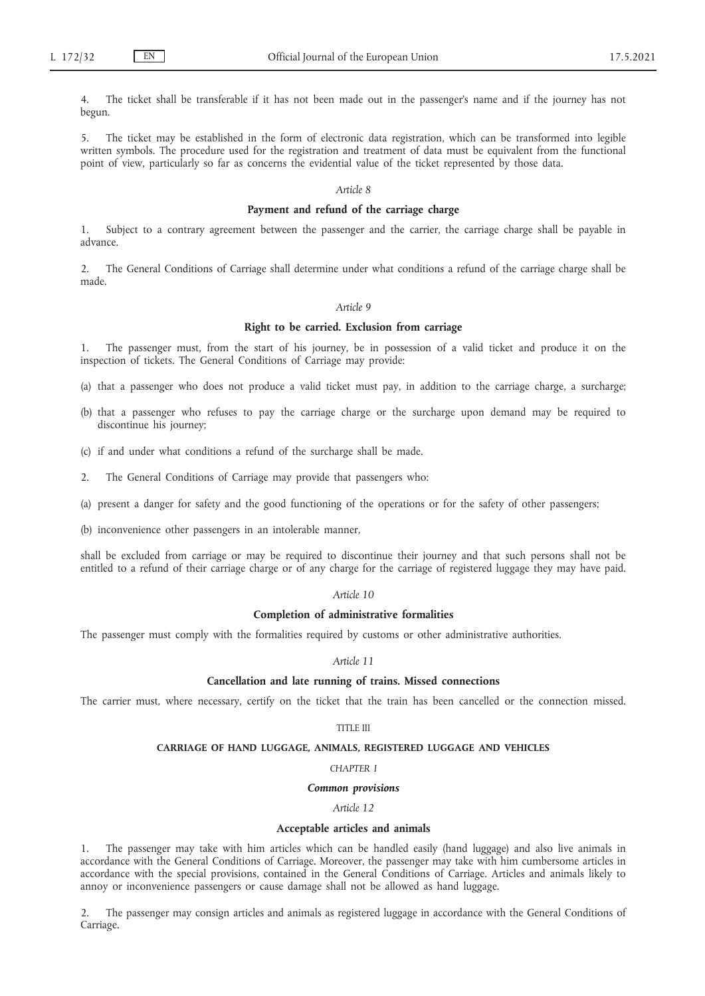4. The ticket shall be transferable if it has not been made out in the passenger's name and if the journey has not begun.

5. The ticket may be established in the form of electronic data registration, which can be transformed into legible written symbols. The procedure used for the registration and treatment of data must be equivalent from the functional point of view, particularly so far as concerns the evidential value of the ticket represented by those data.

# *Article 8*

# **Payment and refund of the carriage charge**

1. Subject to a contrary agreement between the passenger and the carrier, the carriage charge shall be payable in advance.

2. The General Conditions of Carriage shall determine under what conditions a refund of the carriage charge shall be made.

# *Article 9*

# **Right to be carried. Exclusion from carriage**

1. The passenger must, from the start of his journey, be in possession of a valid ticket and produce it on the inspection of tickets. The General Conditions of Carriage may provide:

(a) that a passenger who does not produce a valid ticket must pay, in addition to the carriage charge, a surcharge;

- (b) that a passenger who refuses to pay the carriage charge or the surcharge upon demand may be required to discontinue his journey;
- (c) if and under what conditions a refund of the surcharge shall be made.
- 2. The General Conditions of Carriage may provide that passengers who:
- (a) present a danger for safety and the good functioning of the operations or for the safety of other passengers;
- (b) inconvenience other passengers in an intolerable manner,

shall be excluded from carriage or may be required to discontinue their journey and that such persons shall not be entitled to a refund of their carriage charge or of any charge for the carriage of registered luggage they may have paid.

# *Article 10*

#### **Completion of administrative formalities**

The passenger must comply with the formalities required by customs or other administrative authorities.

#### *Article 11*

# **Cancellation and late running of trains. Missed connections**

The carrier must, where necessary, certify on the ticket that the train has been cancelled or the connection missed.

# TITLE III

# **CARRIAGE OF HAND LUGGAGE, ANIMALS, REGISTERED LUGGAGE AND VEHICLES**

# *CHAPTER I*

#### *Common provisions*

#### *Article 12*

#### **Acceptable articles and animals**

1. The passenger may take with him articles which can be handled easily (hand luggage) and also live animals in accordance with the General Conditions of Carriage. Moreover, the passenger may take with him cumbersome articles in accordance with the special provisions, contained in the General Conditions of Carriage. Articles and animals likely to annoy or inconvenience passengers or cause damage shall not be allowed as hand luggage.

2. The passenger may consign articles and animals as registered luggage in accordance with the General Conditions of Carriage.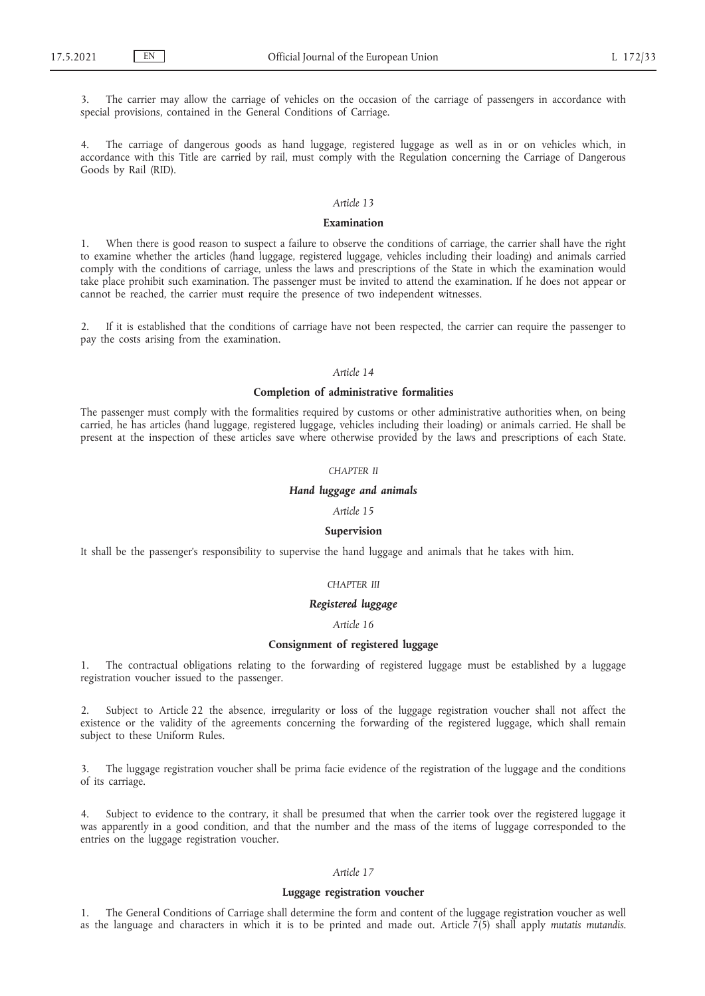The carrier may allow the carriage of vehicles on the occasion of the carriage of passengers in accordance with special provisions, contained in the General Conditions of Carriage.

4. The carriage of dangerous goods as hand luggage, registered luggage as well as in or on vehicles which, in accordance with this Title are carried by rail, must comply with the Regulation concerning the Carriage of Dangerous Goods by Rail (RID).

# *Article 13*

#### **Examination**

1. When there is good reason to suspect a failure to observe the conditions of carriage, the carrier shall have the right to examine whether the articles (hand luggage, registered luggage, vehicles including their loading) and animals carried comply with the conditions of carriage, unless the laws and prescriptions of the State in which the examination would take place prohibit such examination. The passenger must be invited to attend the examination. If he does not appear or cannot be reached, the carrier must require the presence of two independent witnesses.

2. If it is established that the conditions of carriage have not been respected, the carrier can require the passenger to pay the costs arising from the examination.

#### *Article 14*

## **Completion of administrative formalities**

The passenger must comply with the formalities required by customs or other administrative authorities when, on being carried, he has articles (hand luggage, registered luggage, vehicles including their loading) or animals carried. He shall be present at the inspection of these articles save where otherwise provided by the laws and prescriptions of each State.

#### *CHAPTER II*

#### *Hand luggage and animals*

#### *Article 15*

# **Supervision**

It shall be the passenger's responsibility to supervise the hand luggage and animals that he takes with him.

#### *CHAPTER III*

# *Registered luggage*

# *Article 16*

# **Consignment of registered luggage**

1. The contractual obligations relating to the forwarding of registered luggage must be established by a luggage registration voucher issued to the passenger.

2. Subject to Article 22 the absence, irregularity or loss of the luggage registration voucher shall not affect the existence or the validity of the agreements concerning the forwarding of the registered luggage, which shall remain subject to these Uniform Rules.

3. The luggage registration voucher shall be prima facie evidence of the registration of the luggage and the conditions of its carriage.

4. Subject to evidence to the contrary, it shall be presumed that when the carrier took over the registered luggage it was apparently in a good condition, and that the number and the mass of the items of luggage corresponded to the entries on the luggage registration voucher.

# *Article 17*

# **Luggage registration voucher**

The General Conditions of Carriage shall determine the form and content of the luggage registration voucher as well as the language and characters in which it is to be printed and made out. Article 7(5) shall apply *mutatis mutandis*.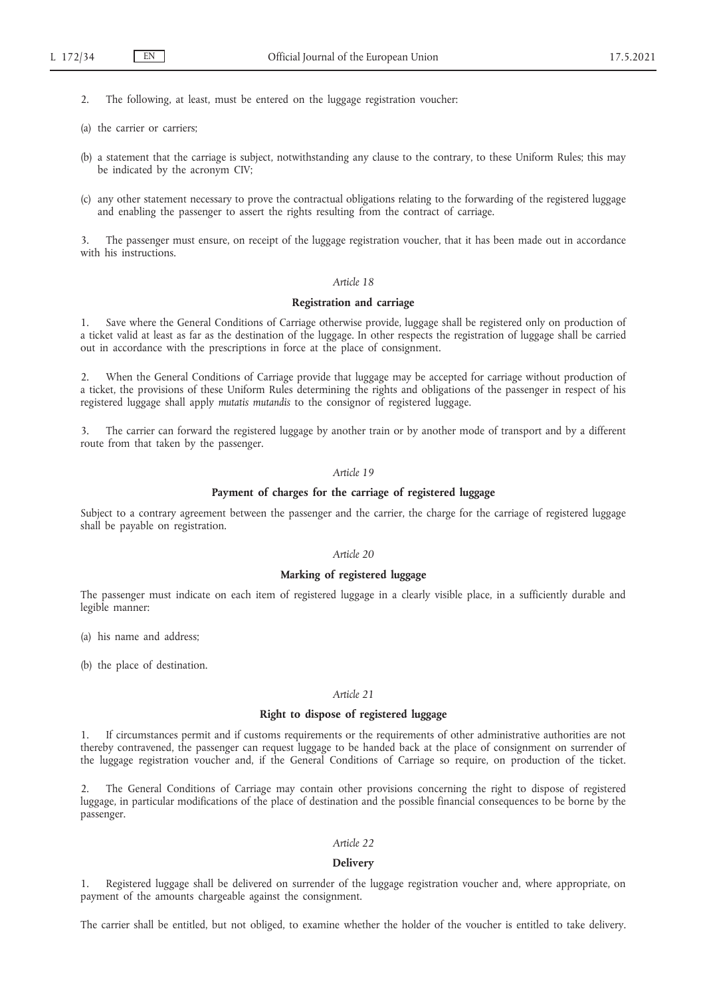- 2. The following, at least, must be entered on the luggage registration voucher:
- (a) the carrier or carriers;
- (b) a statement that the carriage is subject, notwithstanding any clause to the contrary, to these Uniform Rules; this may be indicated by the acronym CIV;
- (c) any other statement necessary to prove the contractual obligations relating to the forwarding of the registered luggage and enabling the passenger to assert the rights resulting from the contract of carriage.

3. The passenger must ensure, on receipt of the luggage registration voucher, that it has been made out in accordance with his instructions.

#### *Article 18*

#### **Registration and carriage**

1. Save where the General Conditions of Carriage otherwise provide, luggage shall be registered only on production of a ticket valid at least as far as the destination of the luggage. In other respects the registration of luggage shall be carried out in accordance with the prescriptions in force at the place of consignment.

2. When the General Conditions of Carriage provide that luggage may be accepted for carriage without production of a ticket, the provisions of these Uniform Rules determining the rights and obligations of the passenger in respect of his registered luggage shall apply *mutatis mutandis* to the consignor of registered luggage.

The carrier can forward the registered luggage by another train or by another mode of transport and by a different route from that taken by the passenger.

#### *Article 19*

# **Payment of charges for the carriage of registered luggage**

Subject to a contrary agreement between the passenger and the carrier, the charge for the carriage of registered luggage shall be payable on registration.

# *Article 20*

# **Marking of registered luggage**

The passenger must indicate on each item of registered luggage in a clearly visible place, in a sufficiently durable and legible manner:

(a) his name and address;

(b) the place of destination.

#### *Article 21*

#### **Right to dispose of registered luggage**

1. If circumstances permit and if customs requirements or the requirements of other administrative authorities are not thereby contravened, the passenger can request luggage to be handed back at the place of consignment on surrender of the luggage registration voucher and, if the General Conditions of Carriage so require, on production of the ticket.

2. The General Conditions of Carriage may contain other provisions concerning the right to dispose of registered luggage, in particular modifications of the place of destination and the possible financial consequences to be borne by the passenger.

#### *Article 22*

#### **Delivery**

1. Registered luggage shall be delivered on surrender of the luggage registration voucher and, where appropriate, on payment of the amounts chargeable against the consignment.

The carrier shall be entitled, but not obliged, to examine whether the holder of the voucher is entitled to take delivery.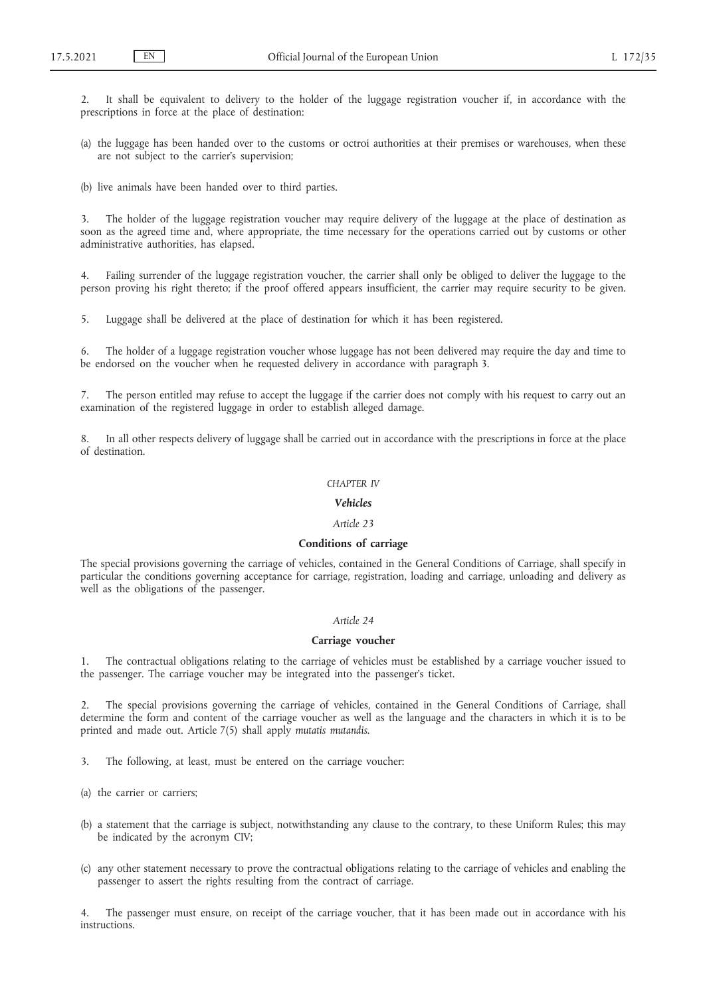It shall be equivalent to delivery to the holder of the luggage registration voucher if, in accordance with the prescriptions in force at the place of destination:

- (a) the luggage has been handed over to the customs or octroi authorities at their premises or warehouses, when these are not subject to the carrier's supervision;
- (b) live animals have been handed over to third parties.

3. The holder of the luggage registration voucher may require delivery of the luggage at the place of destination as soon as the agreed time and, where appropriate, the time necessary for the operations carried out by customs or other administrative authorities, has elapsed.

4. Failing surrender of the luggage registration voucher, the carrier shall only be obliged to deliver the luggage to the person proving his right thereto; if the proof offered appears insufficient, the carrier may require security to be given.

5. Luggage shall be delivered at the place of destination for which it has been registered.

6. The holder of a luggage registration voucher whose luggage has not been delivered may require the day and time to be endorsed on the voucher when he requested delivery in accordance with paragraph 3.

7. The person entitled may refuse to accept the luggage if the carrier does not comply with his request to carry out an examination of the registered luggage in order to establish alleged damage.

8. In all other respects delivery of luggage shall be carried out in accordance with the prescriptions in force at the place of destination.

#### *CHAPTER IV*

## *Vehicles*

# *Article 23*

# **Conditions of carriage**

The special provisions governing the carriage of vehicles, contained in the General Conditions of Carriage, shall specify in particular the conditions governing acceptance for carriage, registration, loading and carriage, unloading and delivery as well as the obligations of the passenger.

# *Article 24*

# **Carriage voucher**

1. The contractual obligations relating to the carriage of vehicles must be established by a carriage voucher issued to the passenger. The carriage voucher may be integrated into the passenger's ticket.

2. The special provisions governing the carriage of vehicles, contained in the General Conditions of Carriage, shall determine the form and content of the carriage voucher as well as the language and the characters in which it is to be printed and made out. Article 7(5) shall apply *mutatis mutandis*.

- 3. The following, at least, must be entered on the carriage voucher:
- (a) the carrier or carriers;
- (b) a statement that the carriage is subject, notwithstanding any clause to the contrary, to these Uniform Rules; this may be indicated by the acronym CIV;
- (c) any other statement necessary to prove the contractual obligations relating to the carriage of vehicles and enabling the passenger to assert the rights resulting from the contract of carriage.

4. The passenger must ensure, on receipt of the carriage voucher, that it has been made out in accordance with his instructions.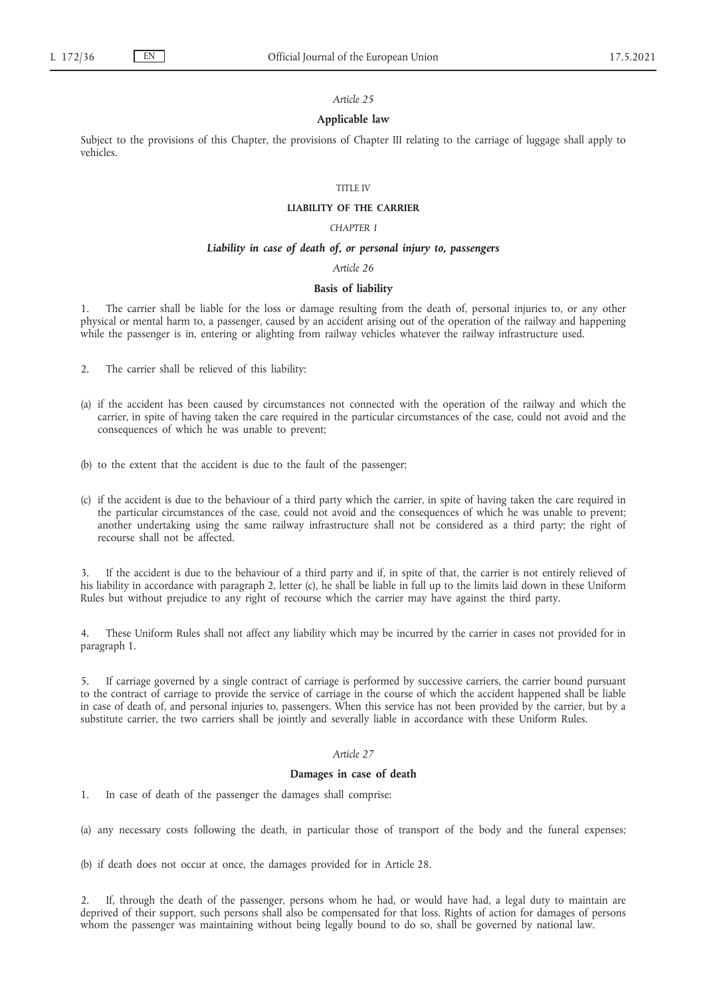#### *Article 25*

# **Applicable law**

Subject to the provisions of this Chapter, the provisions of Chapter III relating to the carriage of luggage shall apply to vehicles.

#### TITLE IV

# **LIABILITY OF THE CARRIER**

#### *CHAPTER I*

# *Liability in case of death of, or personal injury to, passengers*

#### *Article 26*

#### **Basis of liability**

1. The carrier shall be liable for the loss or damage resulting from the death of, personal injuries to, or any other physical or mental harm to, a passenger, caused by an accident arising out of the operation of the railway and happening while the passenger is in, entering or alighting from railway vehicles whatever the railway infrastructure used.

- 2. The carrier shall be relieved of this liability:
- (a) if the accident has been caused by circumstances not connected with the operation of the railway and which the carrier, in spite of having taken the care required in the particular circumstances of the case, could not avoid and the consequences of which he was unable to prevent;
- (b) to the extent that the accident is due to the fault of the passenger;
- (c) if the accident is due to the behaviour of a third party which the carrier, in spite of having taken the care required in the particular circumstances of the case, could not avoid and the consequences of which he was unable to prevent; another undertaking using the same railway infrastructure shall not be considered as a third party; the right of recourse shall not be affected.

3. If the accident is due to the behaviour of a third party and if, in spite of that, the carrier is not entirely relieved of his liability in accordance with paragraph 2, letter (c), he shall be liable in full up to the limits laid down in these Uniform Rules but without prejudice to any right of recourse which the carrier may have against the third party.

4. These Uniform Rules shall not affect any liability which may be incurred by the carrier in cases not provided for in paragraph 1.

If carriage governed by a single contract of carriage is performed by successive carriers, the carrier bound pursuant to the contract of carriage to provide the service of carriage in the course of which the accident happened shall be liable in case of death of, and personal injuries to, passengers. When this service has not been provided by the carrier, but by a substitute carrier, the two carriers shall be jointly and severally liable in accordance with these Uniform Rules.

# *Article 27*

# **Damages in case of death**

1. In case of death of the passenger the damages shall comprise:

(a) any necessary costs following the death, in particular those of transport of the body and the funeral expenses;

(b) if death does not occur at once, the damages provided for in Article 28.

2. If, through the death of the passenger, persons whom he had, or would have had, a legal duty to maintain are deprived of their support, such persons shall also be compensated for that loss. Rights of action for damages of persons whom the passenger was maintaining without being legally bound to do so, shall be governed by national law.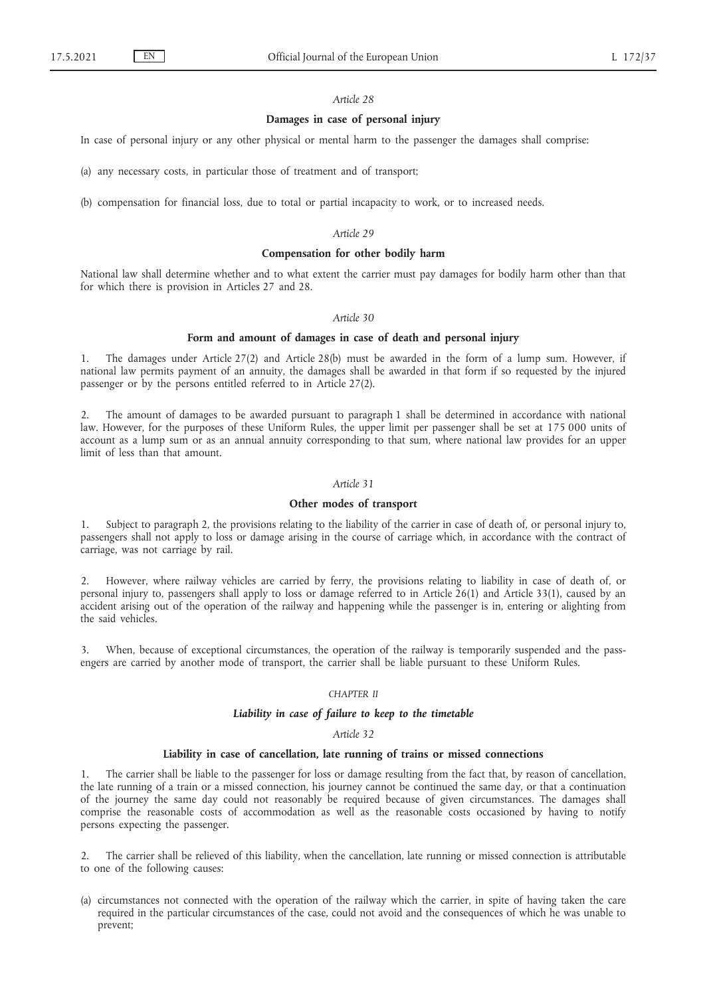#### *Article 28*

# **Damages in case of personal injury**

In case of personal injury or any other physical or mental harm to the passenger the damages shall comprise:

(a) any necessary costs, in particular those of treatment and of transport;

(b) compensation for financial loss, due to total or partial incapacity to work, or to increased needs.

#### *Article 29*

# **Compensation for other bodily harm**

National law shall determine whether and to what extent the carrier must pay damages for bodily harm other than that for which there is provision in Articles 27 and 28.

#### *Article 30*

#### **Form and amount of damages in case of death and personal injury**

1. The damages under Article 27(2) and Article 28(b) must be awarded in the form of a lump sum. However, if national law permits payment of an annuity, the damages shall be awarded in that form if so requested by the injured passenger or by the persons entitled referred to in Article 27(2).

2. The amount of damages to be awarded pursuant to paragraph 1 shall be determined in accordance with national law. However, for the purposes of these Uniform Rules, the upper limit per passenger shall be set at 175 000 units of account as a lump sum or as an annual annuity corresponding to that sum, where national law provides for an upper limit of less than that amount.

# *Article 31*

#### **Other modes of transport**

Subject to paragraph 2, the provisions relating to the liability of the carrier in case of death of, or personal injury to, passengers shall not apply to loss or damage arising in the course of carriage which, in accordance with the contract of carriage, was not carriage by rail.

2. However, where railway vehicles are carried by ferry, the provisions relating to liability in case of death of, or personal injury to, passengers shall apply to loss or damage referred to in Article  $26(1)$  and Article 33(1), caused by an accident arising out of the operation of the railway and happening while the passenger is in, entering or alighting from the said vehicles.

3. When, because of exceptional circumstances, the operation of the railway is temporarily suspended and the passengers are carried by another mode of transport, the carrier shall be liable pursuant to these Uniform Rules.

#### *CHAPTER II*

#### *Liability in case of failure to keep to the timetable*

#### *Article 32*

#### **Liability in case of cancellation, late running of trains or missed connections**

1. The carrier shall be liable to the passenger for loss or damage resulting from the fact that, by reason of cancellation, the late running of a train or a missed connection, his journey cannot be continued the same day, or that a continuation of the journey the same day could not reasonably be required because of given circumstances. The damages shall comprise the reasonable costs of accommodation as well as the reasonable costs occasioned by having to notify persons expecting the passenger.

2. The carrier shall be relieved of this liability, when the cancellation, late running or missed connection is attributable to one of the following causes:

(a) circumstances not connected with the operation of the railway which the carrier, in spite of having taken the care required in the particular circumstances of the case, could not avoid and the consequences of which he was unable to prevent;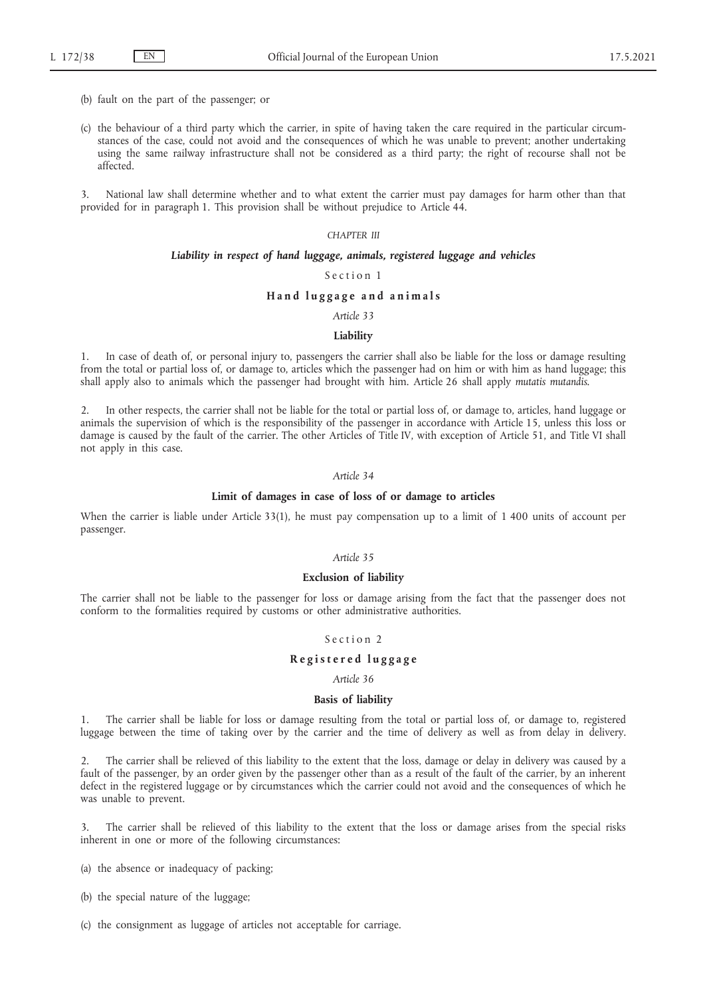- (b) fault on the part of the passenger; or
- (c) the behaviour of a third party which the carrier, in spite of having taken the care required in the particular circumstances of the case, could not avoid and the consequences of which he was unable to prevent; another undertaking using the same railway infrastructure shall not be considered as a third party; the right of recourse shall not be affected.

3. National law shall determine whether and to what extent the carrier must pay damages for harm other than that provided for in paragraph 1. This provision shall be without prejudice to Article 44.

#### *CHAPTER III*

# *Liability in respect of hand luggage, animals, registered luggage and vehicles*

Section 1

# **H a n d l u g g a g e a n d a n i m a l s**

*Article 33*

# **Liability**

1. In case of death of, or personal injury to, passengers the carrier shall also be liable for the loss or damage resulting from the total or partial loss of, or damage to, articles which the passenger had on him or with him as hand luggage; this shall apply also to animals which the passenger had brought with him. Article 26 shall apply *mutatis mutandis*.

2. In other respects, the carrier shall not be liable for the total or partial loss of, or damage to, articles, hand luggage or animals the supervision of which is the responsibility of the passenger in accordance with Article 15, unless this loss or damage is caused by the fault of the carrier. The other Articles of Title IV, with exception of Article 51, and Title VI shall not apply in this case.

# *Article 34*

#### **Limit of damages in case of loss of or damage to articles**

When the carrier is liable under Article 33(1), he must pay compensation up to a limit of 1 400 units of account per passenger.

# *Article 35*

# **Exclusion of liability**

The carrier shall not be liable to the passenger for loss or damage arising from the fact that the passenger does not conform to the formalities required by customs or other administrative authorities.

# Section 2

# **R e g i s t e r e d l u g g a g e**

*Article 36*

#### **Basis of liability**

1. The carrier shall be liable for loss or damage resulting from the total or partial loss of, or damage to, registered luggage between the time of taking over by the carrier and the time of delivery as well as from delay in delivery.

2. The carrier shall be relieved of this liability to the extent that the loss, damage or delay in delivery was caused by a fault of the passenger, by an order given by the passenger other than as a result of the fault of the carrier, by an inherent defect in the registered luggage or by circumstances which the carrier could not avoid and the consequences of which he was unable to prevent.

The carrier shall be relieved of this liability to the extent that the loss or damage arises from the special risks inherent in one or more of the following circumstances:

(a) the absence or inadequacy of packing;

(b) the special nature of the luggage;

(c) the consignment as luggage of articles not acceptable for carriage.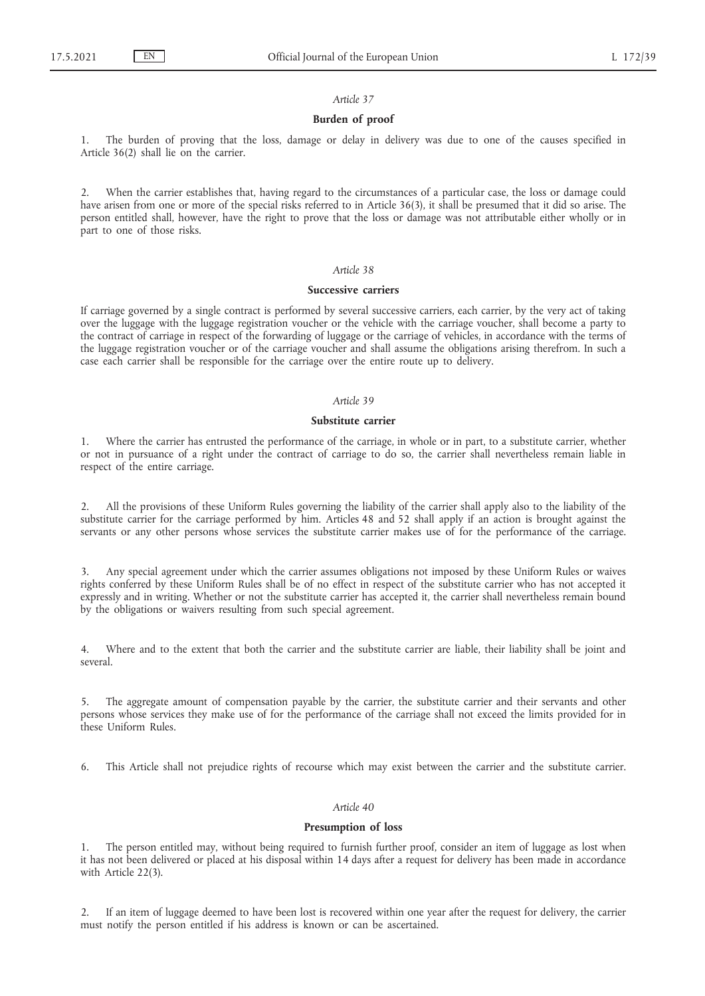#### *Article 37*

#### **Burden of proof**

1. The burden of proving that the loss, damage or delay in delivery was due to one of the causes specified in Article 36(2) shall lie on the carrier.

2. When the carrier establishes that, having regard to the circumstances of a particular case, the loss or damage could have arisen from one or more of the special risks referred to in Article 36(3), it shall be presumed that it did so arise. The person entitled shall, however, have the right to prove that the loss or damage was not attributable either wholly or in part to one of those risks.

#### *Article 38*

#### **Successive carriers**

If carriage governed by a single contract is performed by several successive carriers, each carrier, by the very act of taking over the luggage with the luggage registration voucher or the vehicle with the carriage voucher, shall become a party to the contract of carriage in respect of the forwarding of luggage or the carriage of vehicles, in accordance with the terms of the luggage registration voucher or of the carriage voucher and shall assume the obligations arising therefrom. In such a case each carrier shall be responsible for the carriage over the entire route up to delivery.

#### *Article 39*

#### **Substitute carrier**

Where the carrier has entrusted the performance of the carriage, in whole or in part, to a substitute carrier, whether or not in pursuance of a right under the contract of carriage to do so, the carrier shall nevertheless remain liable in respect of the entire carriage.

2. All the provisions of these Uniform Rules governing the liability of the carrier shall apply also to the liability of the substitute carrier for the carriage performed by him. Articles 48 and 52 shall apply if an action is brought against the servants or any other persons whose services the substitute carrier makes use of for the performance of the carriage.

3. Any special agreement under which the carrier assumes obligations not imposed by these Uniform Rules or waives rights conferred by these Uniform Rules shall be of no effect in respect of the substitute carrier who has not accepted it expressly and in writing. Whether or not the substitute carrier has accepted it, the carrier shall nevertheless remain bound by the obligations or waivers resulting from such special agreement.

4. Where and to the extent that both the carrier and the substitute carrier are liable, their liability shall be joint and several.

5. The aggregate amount of compensation payable by the carrier, the substitute carrier and their servants and other persons whose services they make use of for the performance of the carriage shall not exceed the limits provided for in these Uniform Rules.

6. This Article shall not prejudice rights of recourse which may exist between the carrier and the substitute carrier.

#### *Article 40*

#### **Presumption of loss**

1. The person entitled may, without being required to furnish further proof, consider an item of luggage as lost when it has not been delivered or placed at his disposal within 14 days after a request for delivery has been made in accordance with Article 22(3).

2. If an item of luggage deemed to have been lost is recovered within one year after the request for delivery, the carrier must notify the person entitled if his address is known or can be ascertained.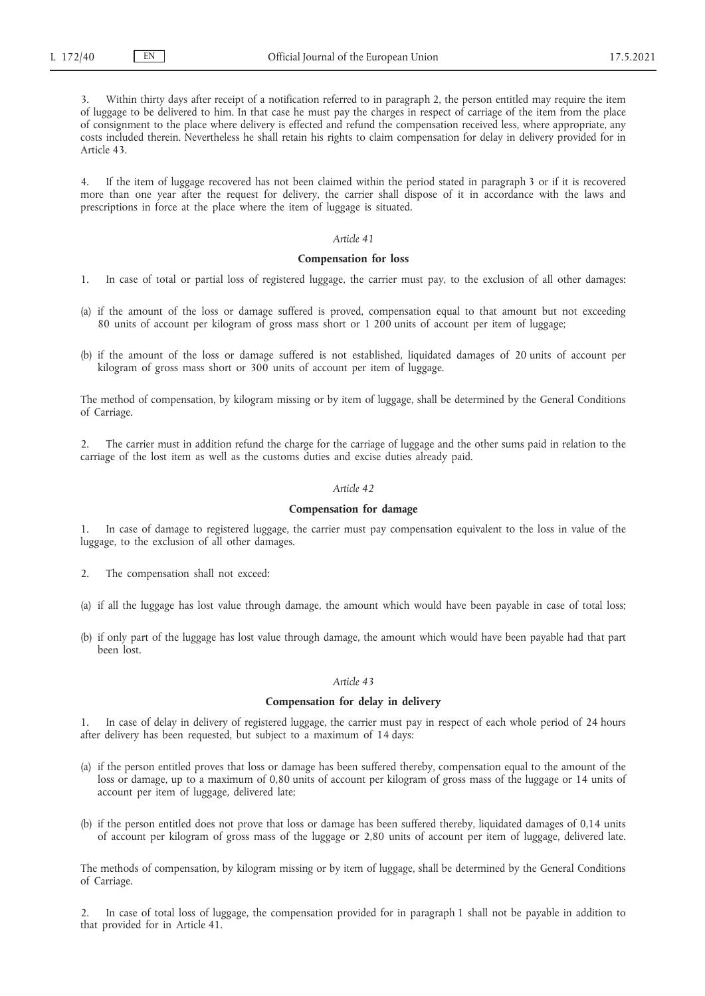3. Within thirty days after receipt of a notification referred to in paragraph 2, the person entitled may require the item of luggage to be delivered to him. In that case he must pay the charges in respect of carriage of the item from the place of consignment to the place where delivery is effected and refund the compensation received less, where appropriate, any costs included therein. Nevertheless he shall retain his rights to claim compensation for delay in delivery provided for in Article 43.

4. If the item of luggage recovered has not been claimed within the period stated in paragraph 3 or if it is recovered more than one year after the request for delivery, the carrier shall dispose of it in accordance with the laws and prescriptions in force at the place where the item of luggage is situated.

# *Article 41*

#### **Compensation for loss**

1. In case of total or partial loss of registered luggage, the carrier must pay, to the exclusion of all other damages:

- (a) if the amount of the loss or damage suffered is proved, compensation equal to that amount but not exceeding 80 units of account per kilogram of gross mass short or 1 200 units of account per item of luggage;
- (b) if the amount of the loss or damage suffered is not established, liquidated damages of 20 units of account per kilogram of gross mass short or 300 units of account per item of luggage.

The method of compensation, by kilogram missing or by item of luggage, shall be determined by the General Conditions of Carriage.

2. The carrier must in addition refund the charge for the carriage of luggage and the other sums paid in relation to the carriage of the lost item as well as the customs duties and excise duties already paid.

# *Article 42*

#### **Compensation for damage**

1. In case of damage to registered luggage, the carrier must pay compensation equivalent to the loss in value of the luggage, to the exclusion of all other damages.

- 2. The compensation shall not exceed:
- (a) if all the luggage has lost value through damage, the amount which would have been payable in case of total loss;
- (b) if only part of the luggage has lost value through damage, the amount which would have been payable had that part been lost.

# *Article 43*

#### **Compensation for delay in delivery**

In case of delay in delivery of registered luggage, the carrier must pay in respect of each whole period of 24 hours after delivery has been requested, but subject to a maximum of 14 days:

- (a) if the person entitled proves that loss or damage has been suffered thereby, compensation equal to the amount of the loss or damage, up to a maximum of 0,80 units of account per kilogram of gross mass of the luggage or 14 units of account per item of luggage, delivered late;
- (b) if the person entitled does not prove that loss or damage has been suffered thereby, liquidated damages of 0,14 units of account per kilogram of gross mass of the luggage or 2,80 units of account per item of luggage, delivered late.

The methods of compensation, by kilogram missing or by item of luggage, shall be determined by the General Conditions of Carriage.

2. In case of total loss of luggage, the compensation provided for in paragraph 1 shall not be payable in addition to that provided for in Article 41.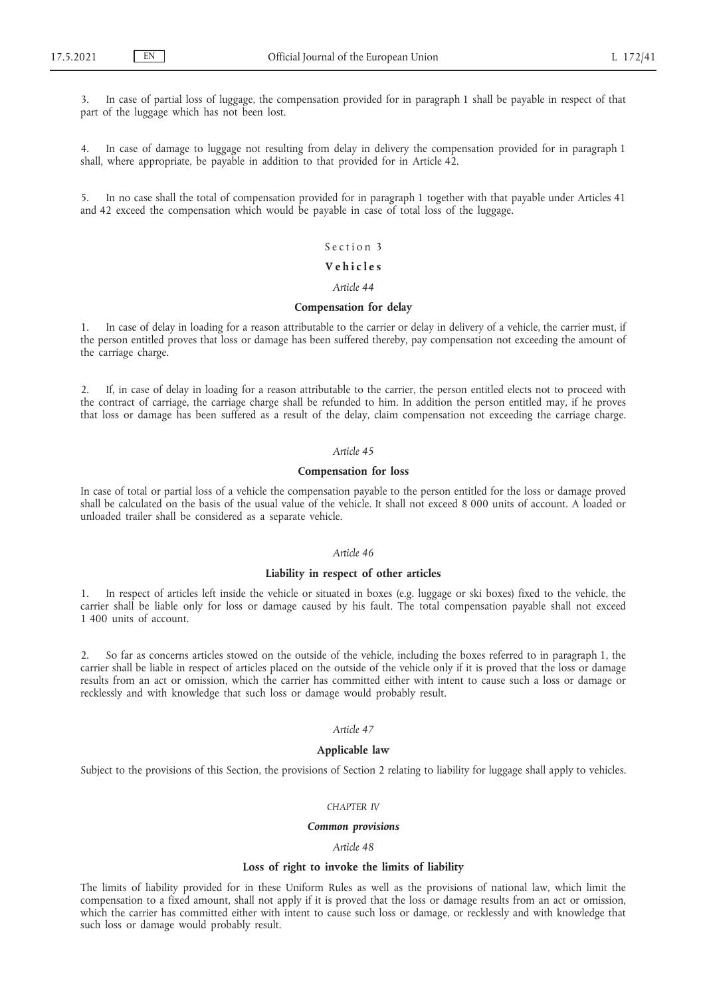In case of partial loss of luggage, the compensation provided for in paragraph 1 shall be payable in respect of that part of the luggage which has not been lost.

In case of damage to luggage not resulting from delay in delivery the compensation provided for in paragraph 1 shall, where appropriate, be payable in addition to that provided for in Article 42.

5. In no case shall the total of compensation provided for in paragraph 1 together with that payable under Articles 41 and 42 exceed the compensation which would be payable in case of total loss of the luggage.

#### Section 3

#### **V e h i c l e s**

#### *Article 44*

# **Compensation for delay**

1. In case of delay in loading for a reason attributable to the carrier or delay in delivery of a vehicle, the carrier must, if the person entitled proves that loss or damage has been suffered thereby, pay compensation not exceeding the amount of the carriage charge.

2. If, in case of delay in loading for a reason attributable to the carrier, the person entitled elects not to proceed with the contract of carriage, the carriage charge shall be refunded to him. In addition the person entitled may, if he proves that loss or damage has been suffered as a result of the delay, claim compensation not exceeding the carriage charge.

# *Article 45*

# **Compensation for loss**

In case of total or partial loss of a vehicle the compensation payable to the person entitled for the loss or damage proved shall be calculated on the basis of the usual value of the vehicle. It shall not exceed 8 000 units of account. A loaded or unloaded trailer shall be considered as a separate vehicle.

#### *Article 46*

#### **Liability in respect of other articles**

1. In respect of articles left inside the vehicle or situated in boxes (e.g. luggage or ski boxes) fixed to the vehicle, the carrier shall be liable only for loss or damage caused by his fault. The total compensation payable shall not exceed 1 400 units of account.

2. So far as concerns articles stowed on the outside of the vehicle, including the boxes referred to in paragraph 1, the carrier shall be liable in respect of articles placed on the outside of the vehicle only if it is proved that the loss or damage results from an act or omission, which the carrier has committed either with intent to cause such a loss or damage or recklessly and with knowledge that such loss or damage would probably result.

# *Article 47*

#### **Applicable law**

Subject to the provisions of this Section, the provisions of Section 2 relating to liability for luggage shall apply to vehicles.

#### *CHAPTER IV*

#### *Common provisions*

*Article 48*

# **Loss of right to invoke the limits of liability**

The limits of liability provided for in these Uniform Rules as well as the provisions of national law, which limit the compensation to a fixed amount, shall not apply if it is proved that the loss or damage results from an act or omission, which the carrier has committed either with intent to cause such loss or damage, or recklessly and with knowledge that such loss or damage would probably result.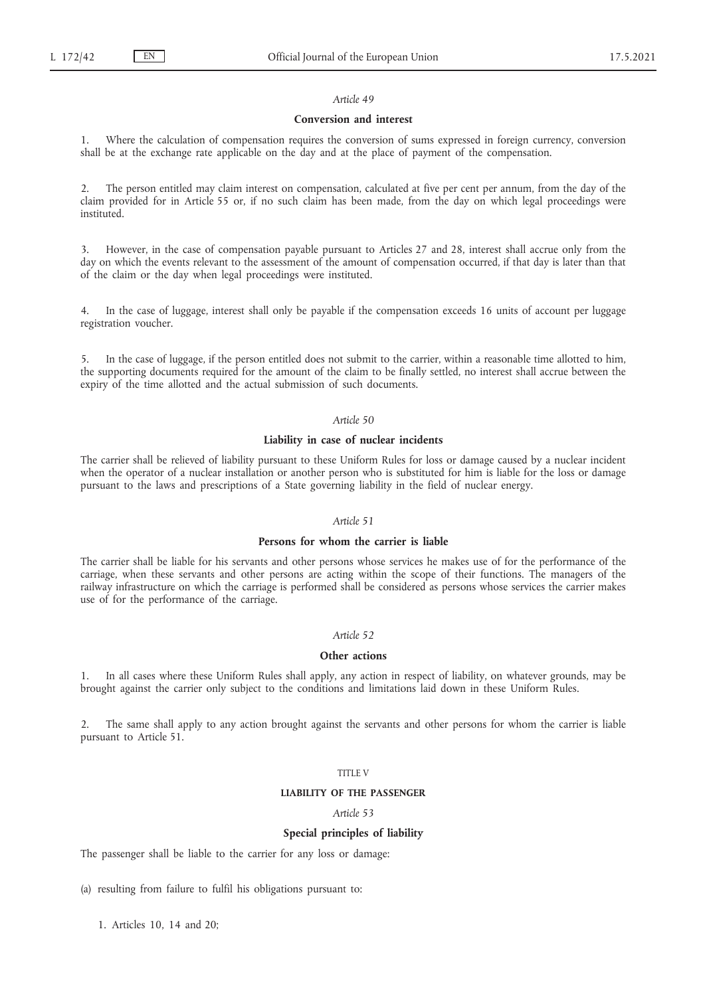#### *Article 49*

#### **Conversion and interest**

1. Where the calculation of compensation requires the conversion of sums expressed in foreign currency, conversion shall be at the exchange rate applicable on the day and at the place of payment of the compensation.

2. The person entitled may claim interest on compensation, calculated at five per cent per annum, from the day of the claim provided for in Article 55 or, if no such claim has been made, from the day on which legal proceedings were instituted.

3. However, in the case of compensation payable pursuant to Articles 27 and 28, interest shall accrue only from the day on which the events relevant to the assessment of the amount of compensation occurred, if that day is later than that of the claim or the day when legal proceedings were instituted.

In the case of luggage, interest shall only be payable if the compensation exceeds 16 units of account per luggage registration voucher.

5. In the case of luggage, if the person entitled does not submit to the carrier, within a reasonable time allotted to him, the supporting documents required for the amount of the claim to be finally settled, no interest shall accrue between the expiry of the time allotted and the actual submission of such documents.

# *Article 50*

# **Liability in case of nuclear incidents**

The carrier shall be relieved of liability pursuant to these Uniform Rules for loss or damage caused by a nuclear incident when the operator of a nuclear installation or another person who is substituted for him is liable for the loss or damage pursuant to the laws and prescriptions of a State governing liability in the field of nuclear energy.

# *Article 51*

# **Persons for whom the carrier is liable**

The carrier shall be liable for his servants and other persons whose services he makes use of for the performance of the carriage, when these servants and other persons are acting within the scope of their functions. The managers of the railway infrastructure on which the carriage is performed shall be considered as persons whose services the carrier makes use of for the performance of the carriage.

# *Article 52*

# **Other actions**

1. In all cases where these Uniform Rules shall apply, any action in respect of liability, on whatever grounds, may be brought against the carrier only subject to the conditions and limitations laid down in these Uniform Rules.

2. The same shall apply to any action brought against the servants and other persons for whom the carrier is liable pursuant to Article 51.

#### TITLE V

# **LIABILITY OF THE PASSENGER**

# *Article 53*

# **Special principles of liability**

The passenger shall be liable to the carrier for any loss or damage:

(a) resulting from failure to fulfil his obligations pursuant to:

1. Articles 10, 14 and 20;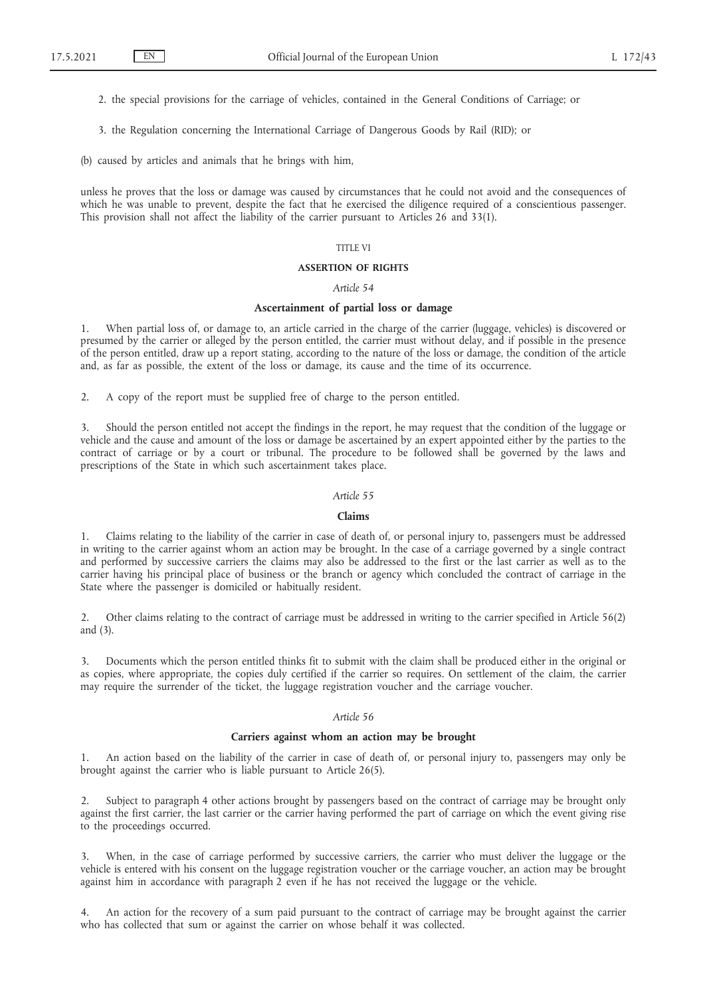2. the special provisions for the carriage of vehicles, contained in the General Conditions of Carriage; or

3. the Regulation concerning the International Carriage of Dangerous Goods by Rail (RID); or

(b) caused by articles and animals that he brings with him,

unless he proves that the loss or damage was caused by circumstances that he could not avoid and the consequences of which he was unable to prevent, despite the fact that he exercised the diligence required of a conscientious passenger. This provision shall not affect the liability of the carrier pursuant to Articles 26 and 33(1).

#### TITLE VI

# **ASSERTION OF RIGHTS**

*Article 54*

#### **Ascertainment of partial loss or damage**

1. When partial loss of, or damage to, an article carried in the charge of the carrier (luggage, vehicles) is discovered or presumed by the carrier or alleged by the person entitled, the carrier must without delay, and if possible in the presence of the person entitled, draw up a report stating, according to the nature of the loss or damage, the condition of the article and, as far as possible, the extent of the loss or damage, its cause and the time of its occurrence.

2. A copy of the report must be supplied free of charge to the person entitled.

3. Should the person entitled not accept the findings in the report, he may request that the condition of the luggage or vehicle and the cause and amount of the loss or damage be ascertained by an expert appointed either by the parties to the contract of carriage or by a court or tribunal. The procedure to be followed shall be governed by the laws and prescriptions of the State in which such ascertainment takes place.

#### *Article 55*

# **Claims**

1. Claims relating to the liability of the carrier in case of death of, or personal injury to, passengers must be addressed in writing to the carrier against whom an action may be brought. In the case of a carriage governed by a single contract and performed by successive carriers the claims may also be addressed to the first or the last carrier as well as to the carrier having his principal place of business or the branch or agency which concluded the contract of carriage in the State where the passenger is domiciled or habitually resident.

2. Other claims relating to the contract of carriage must be addressed in writing to the carrier specified in Article 56(2) and (3).

3. Documents which the person entitled thinks fit to submit with the claim shall be produced either in the original or as copies, where appropriate, the copies duly certified if the carrier so requires. On settlement of the claim, the carrier may require the surrender of the ticket, the luggage registration voucher and the carriage voucher.

# *Article 56*

#### **Carriers against whom an action may be brought**

1. An action based on the liability of the carrier in case of death of, or personal injury to, passengers may only be brought against the carrier who is liable pursuant to Article 26(5).

2. Subject to paragraph 4 other actions brought by passengers based on the contract of carriage may be brought only against the first carrier, the last carrier or the carrier having performed the part of carriage on which the event giving rise to the proceedings occurred.

3. When, in the case of carriage performed by successive carriers, the carrier who must deliver the luggage or the vehicle is entered with his consent on the luggage registration voucher or the carriage voucher, an action may be brought against him in accordance with paragraph 2 even if he has not received the luggage or the vehicle.

4. An action for the recovery of a sum paid pursuant to the contract of carriage may be brought against the carrier who has collected that sum or against the carrier on whose behalf it was collected.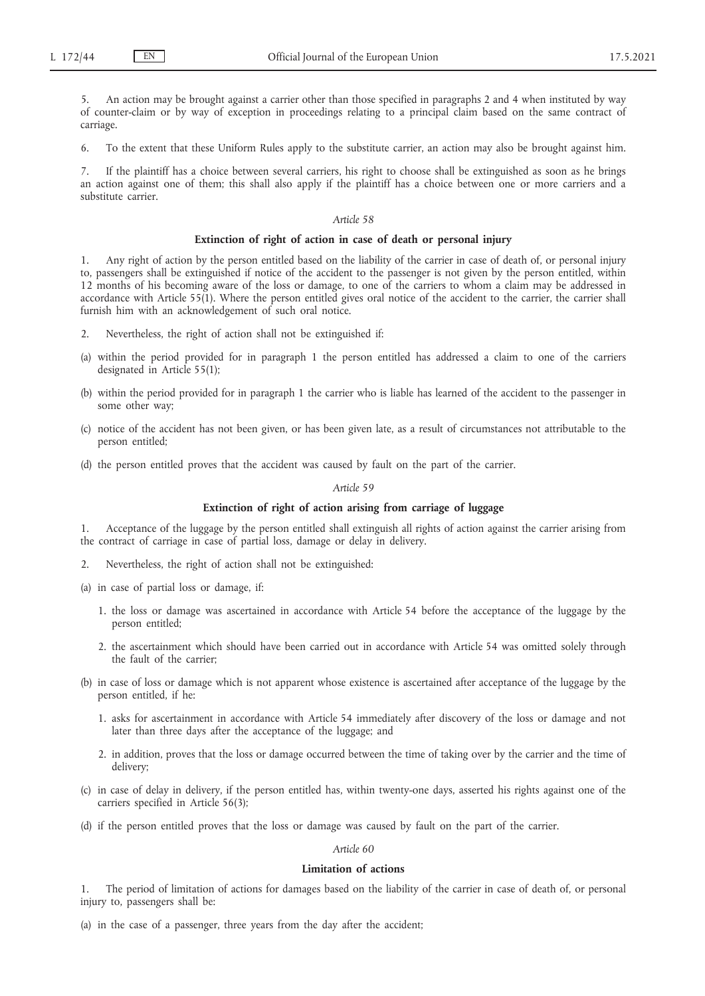5. An action may be brought against a carrier other than those specified in paragraphs 2 and 4 when instituted by way of counter-claim or by way of exception in proceedings relating to a principal claim based on the same contract of carriage.

6. To the extent that these Uniform Rules apply to the substitute carrier, an action may also be brought against him.

7. If the plaintiff has a choice between several carriers, his right to choose shall be extinguished as soon as he brings an action against one of them; this shall also apply if the plaintiff has a choice between one or more carriers and a substitute carrier.

# *Article 58*

#### **Extinction of right of action in case of death or personal injury**

1. Any right of action by the person entitled based on the liability of the carrier in case of death of, or personal injury to, passengers shall be extinguished if notice of the accident to the passenger is not given by the person entitled, within 12 months of his becoming aware of the loss or damage, to one of the carriers to whom a claim may be addressed in accordance with Article 55(1). Where the person entitled gives oral notice of the accident to the carrier, the carrier shall furnish him with an acknowledgement of such oral notice.

2. Nevertheless, the right of action shall not be extinguished if:

- (a) within the period provided for in paragraph 1 the person entitled has addressed a claim to one of the carriers designated in Article 55(1);
- (b) within the period provided for in paragraph 1 the carrier who is liable has learned of the accident to the passenger in some other way;
- (c) notice of the accident has not been given, or has been given late, as a result of circumstances not attributable to the person entitled;
- (d) the person entitled proves that the accident was caused by fault on the part of the carrier.

#### *Article 59*

#### **Extinction of right of action arising from carriage of luggage**

1. Acceptance of the luggage by the person entitled shall extinguish all rights of action against the carrier arising from the contract of carriage in case of partial loss, damage or delay in delivery.

- 2. Nevertheless, the right of action shall not be extinguished:
- (a) in case of partial loss or damage, if:
	- 1. the loss or damage was ascertained in accordance with Article 54 before the acceptance of the luggage by the person entitled;
	- 2. the ascertainment which should have been carried out in accordance with Article 54 was omitted solely through the fault of the carrier;
- (b) in case of loss or damage which is not apparent whose existence is ascertained after acceptance of the luggage by the person entitled, if he:
	- 1. asks for ascertainment in accordance with Article 54 immediately after discovery of the loss or damage and not later than three days after the acceptance of the luggage; and
	- 2. in addition, proves that the loss or damage occurred between the time of taking over by the carrier and the time of delivery;
- (c) in case of delay in delivery, if the person entitled has, within twenty-one days, asserted his rights against one of the carriers specified in Article 56(3);
- (d) if the person entitled proves that the loss or damage was caused by fault on the part of the carrier.

#### *Article 60*

#### **Limitation of actions**

1. The period of limitation of actions for damages based on the liability of the carrier in case of death of, or personal injury to, passengers shall be:

(a) in the case of a passenger, three years from the day after the accident;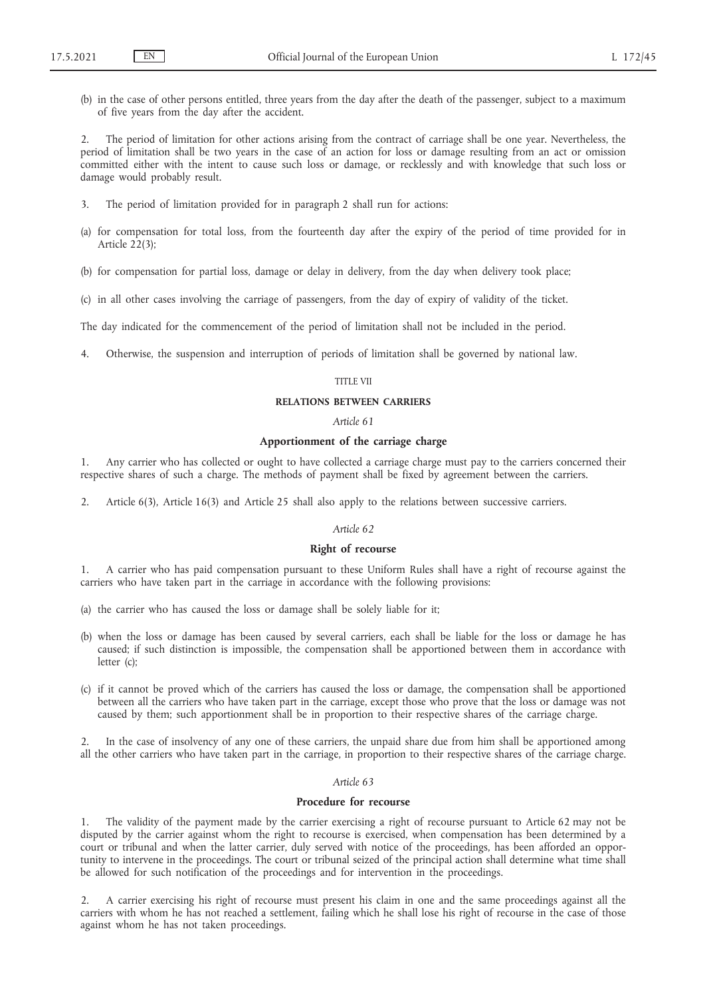(b) in the case of other persons entitled, three years from the day after the death of the passenger, subject to a maximum of five years from the day after the accident.

2. The period of limitation for other actions arising from the contract of carriage shall be one year. Nevertheless, the period of limitation shall be two years in the case of an action for loss or damage resulting from an act or omission committed either with the intent to cause such loss or damage, or recklessly and with knowledge that such loss or damage would probably result.

- 3. The period of limitation provided for in paragraph 2 shall run for actions:
- (a) for compensation for total loss, from the fourteenth day after the expiry of the period of time provided for in Article 22(3);
- (b) for compensation for partial loss, damage or delay in delivery, from the day when delivery took place;
- (c) in all other cases involving the carriage of passengers, from the day of expiry of validity of the ticket.

The day indicated for the commencement of the period of limitation shall not be included in the period.

4. Otherwise, the suspension and interruption of periods of limitation shall be governed by national law.

# TITLE VII

# **RELATIONS BETWEEN CARRIERS**

# *Article 61*

# **Apportionment of the carriage charge**

1. Any carrier who has collected or ought to have collected a carriage charge must pay to the carriers concerned their respective shares of such a charge. The methods of payment shall be fixed by agreement between the carriers.

2. Article 6(3), Article 16(3) and Article 25 shall also apply to the relations between successive carriers.

# *Article 62*

# **Right of recourse**

1. A carrier who has paid compensation pursuant to these Uniform Rules shall have a right of recourse against the carriers who have taken part in the carriage in accordance with the following provisions:

- (a) the carrier who has caused the loss or damage shall be solely liable for it;
- (b) when the loss or damage has been caused by several carriers, each shall be liable for the loss or damage he has caused; if such distinction is impossible, the compensation shall be apportioned between them in accordance with letter (c);
- (c) if it cannot be proved which of the carriers has caused the loss or damage, the compensation shall be apportioned between all the carriers who have taken part in the carriage, except those who prove that the loss or damage was not caused by them; such apportionment shall be in proportion to their respective shares of the carriage charge.

In the case of insolvency of any one of these carriers, the unpaid share due from him shall be apportioned among all the other carriers who have taken part in the carriage, in proportion to their respective shares of the carriage charge.

# *Article 63*

# **Procedure for recourse**

1. The validity of the payment made by the carrier exercising a right of recourse pursuant to Article 62 may not be disputed by the carrier against whom the right to recourse is exercised, when compensation has been determined by a court or tribunal and when the latter carrier, duly served with notice of the proceedings, has been afforded an opportunity to intervene in the proceedings. The court or tribunal seized of the principal action shall determine what time shall be allowed for such notification of the proceedings and for intervention in the proceedings.

2. A carrier exercising his right of recourse must present his claim in one and the same proceedings against all the carriers with whom he has not reached a settlement, failing which he shall lose his right of recourse in the case of those against whom he has not taken proceedings.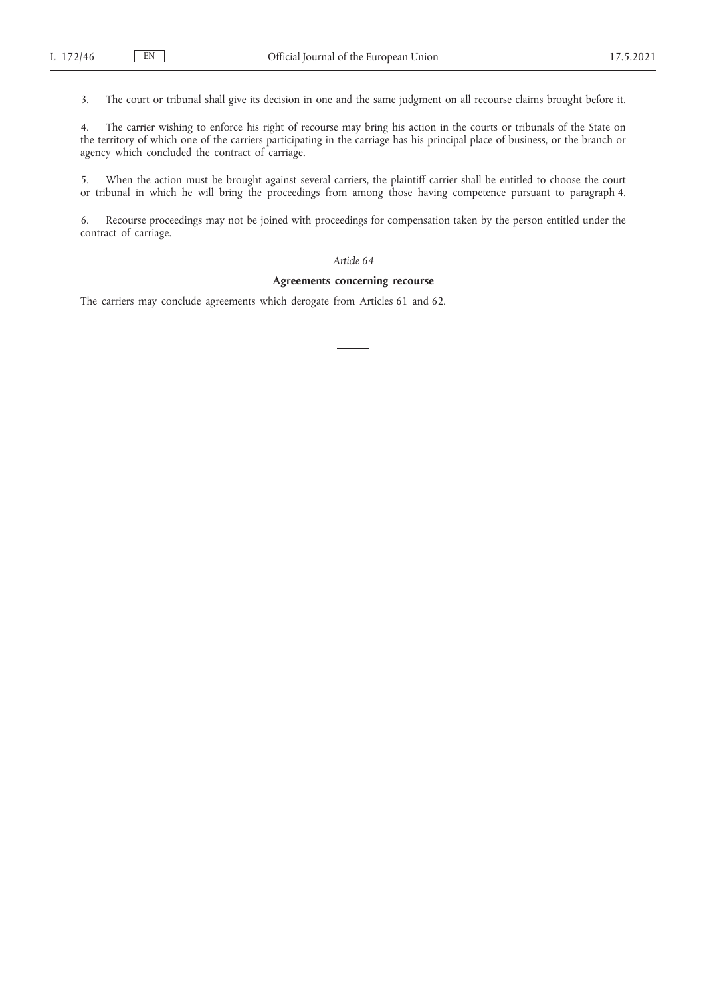3. The court or tribunal shall give its decision in one and the same judgment on all recourse claims brought before it.

4. The carrier wishing to enforce his right of recourse may bring his action in the courts or tribunals of the State on the territory of which one of the carriers participating in the carriage has his principal place of business, or the branch or agency which concluded the contract of carriage.

5. When the action must be brought against several carriers, the plaintiff carrier shall be entitled to choose the court or tribunal in which he will bring the proceedings from among those having competence pursuant to paragraph 4.

6. Recourse proceedings may not be joined with proceedings for compensation taken by the person entitled under the contract of carriage.

# *Article 64*

#### **Agreements concerning recourse**

The carriers may conclude agreements which derogate from Articles 61 and 62.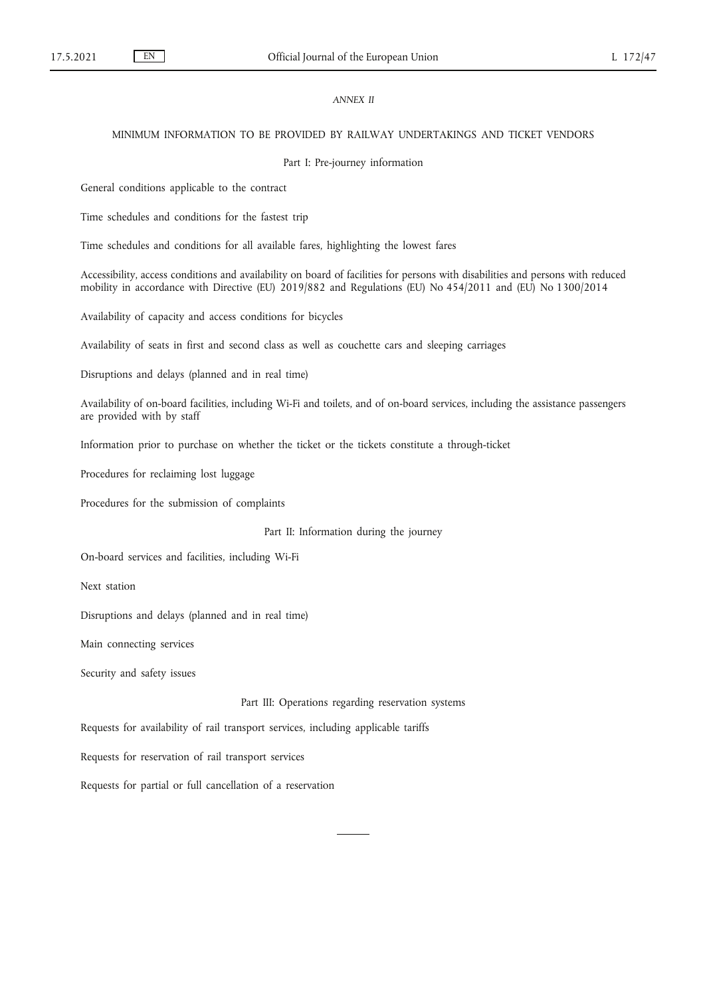#### *ANNEX II*

# MINIMUM INFORMATION TO BE PROVIDED BY RAILWAY UNDERTAKINGS AND TICKET VENDORS

Part I: Pre-journey information

General conditions applicable to the contract

Time schedules and conditions for the fastest trip

Time schedules and conditions for all available fares, highlighting the lowest fares

Accessibility, access conditions and availability on board of facilities for persons with disabilities and persons with reduced mobility in accordance with Directive (EU) 2019/882 and Regulations (EU) No 454/2011 and (EU) No 1300/2014

Availability of capacity and access conditions for bicycles

Availability of seats in first and second class as well as couchette cars and sleeping carriages

Disruptions and delays (planned and in real time)

Availability of on-board facilities, including Wi-Fi and toilets, and of on-board services, including the assistance passengers are provided with by staff

Information prior to purchase on whether the ticket or the tickets constitute a through-ticket

Procedures for reclaiming lost luggage

Procedures for the submission of complaints

Part II: Information during the journey

On-board services and facilities, including Wi-Fi

Next station

Disruptions and delays (planned and in real time)

Main connecting services

Security and safety issues

Part III: Operations regarding reservation systems

Requests for availability of rail transport services, including applicable tariffs

Requests for reservation of rail transport services

Requests for partial or full cancellation of a reservation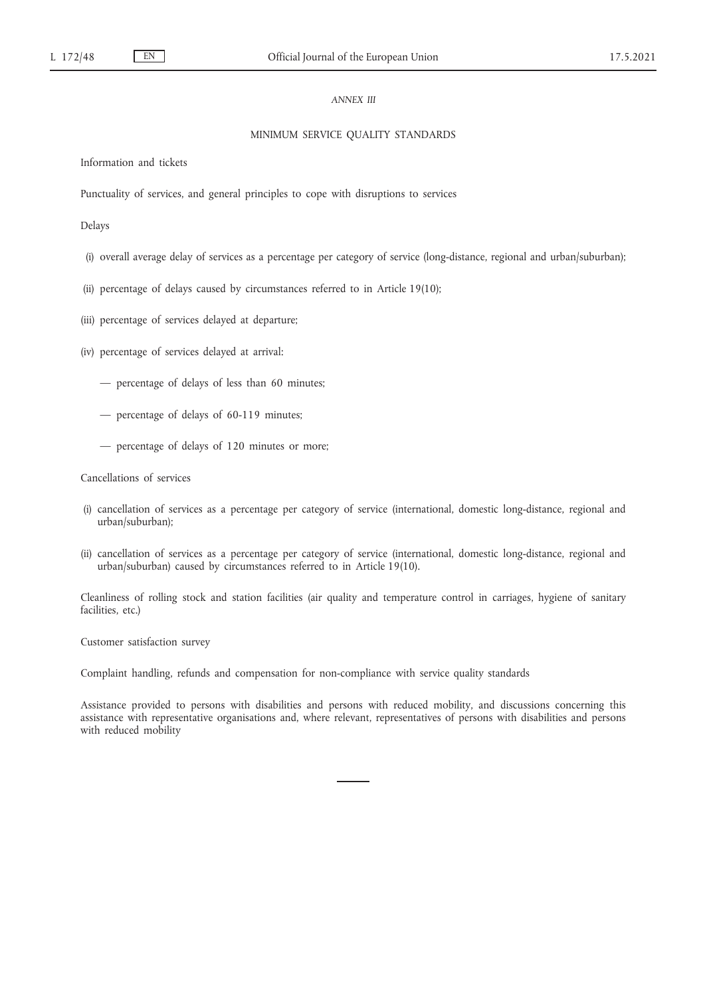# *ANNEX III*

# MINIMUM SERVICE QUALITY STANDARDS

Information and tickets

Punctuality of services, and general principles to cope with disruptions to services

Delays

- (i) overall average delay of services as a percentage per category of service (long-distance, regional and urban/suburban);
- (ii) percentage of delays caused by circumstances referred to in Article 19(10);
- (iii) percentage of services delayed at departure;
- (iv) percentage of services delayed at arrival:
	- percentage of delays of less than 60 minutes;
	- percentage of delays of 60-119 minutes;
	- percentage of delays of 120 minutes or more;

Cancellations of services

- (i) cancellation of services as a percentage per category of service (international, domestic long-distance, regional and urban/suburban);
- (ii) cancellation of services as a percentage per category of service (international, domestic long-distance, regional and urban/suburban) caused by circumstances referred to in Article 19(10).

Cleanliness of rolling stock and station facilities (air quality and temperature control in carriages, hygiene of sanitary facilities, etc.)

Customer satisfaction survey

Complaint handling, refunds and compensation for non-compliance with service quality standards

Assistance provided to persons with disabilities and persons with reduced mobility, and discussions concerning this assistance with representative organisations and, where relevant, representatives of persons with disabilities and persons with reduced mobility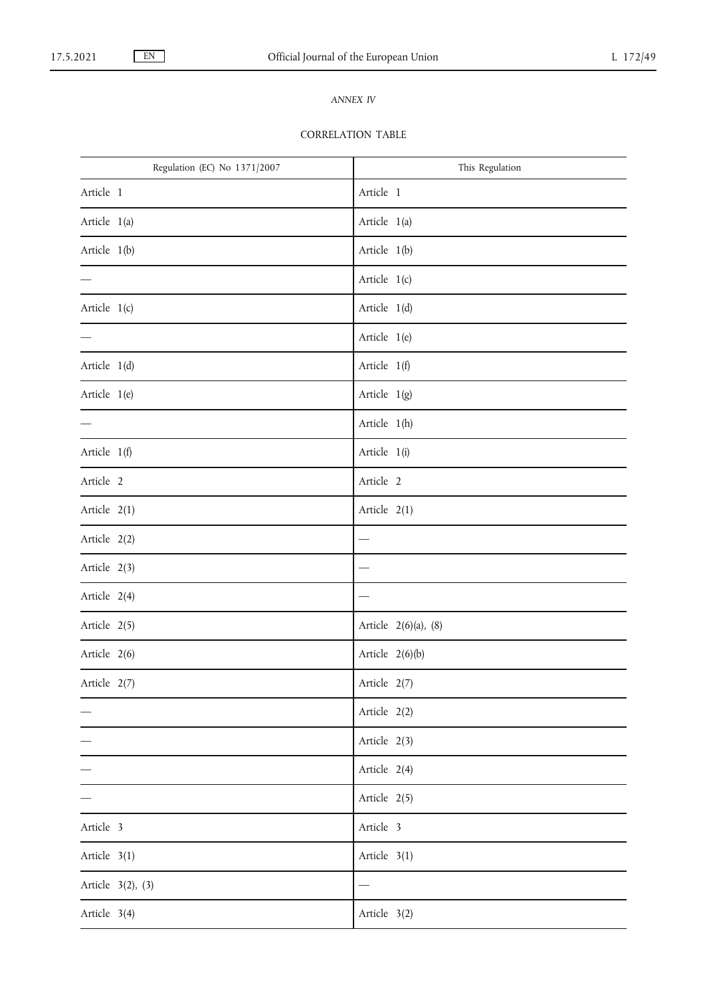# *ANNEX IV*

# CORRELATION TABLE

| Regulation (EC) No 1371/2007 | This Regulation                |
|------------------------------|--------------------------------|
| Article 1                    | Article 1                      |
| Article 1(a)                 | Article 1(a)                   |
| Article 1(b)                 | Article 1(b)                   |
|                              | Article 1(c)                   |
| Article 1(c)                 | Article 1(d)                   |
|                              | Article 1(e)                   |
| Article 1(d)                 | Article 1(f)                   |
| Article 1(e)                 | Article 1(g)                   |
|                              | Article 1(h)                   |
| Article 1(f)                 | Article 1(i)                   |
| Article 2                    | Article 2                      |
| Article 2(1)                 | Article 2(1)                   |
| Article 2(2)                 |                                |
| Article 2(3)                 |                                |
| Article 2(4)                 | $\overline{\phantom{0}}$       |
| Article 2(5)                 | Article 2(6)(a), (8)           |
| Article 2(6)                 | Article $2(6)(b)$              |
| Article 2(7)                 | Article 2(7)                   |
|                              | Article 2(2)                   |
|                              | Article 2(3)                   |
|                              | Article 2(4)                   |
|                              | Article 2(5)                   |
| Article 3                    | Article 3                      |
| Article 3(1)                 | Article 3(1)                   |
| Article 3(2), (3)            | $\overbrace{\phantom{123321}}$ |
| Article 3(4)                 | Article 3(2)                   |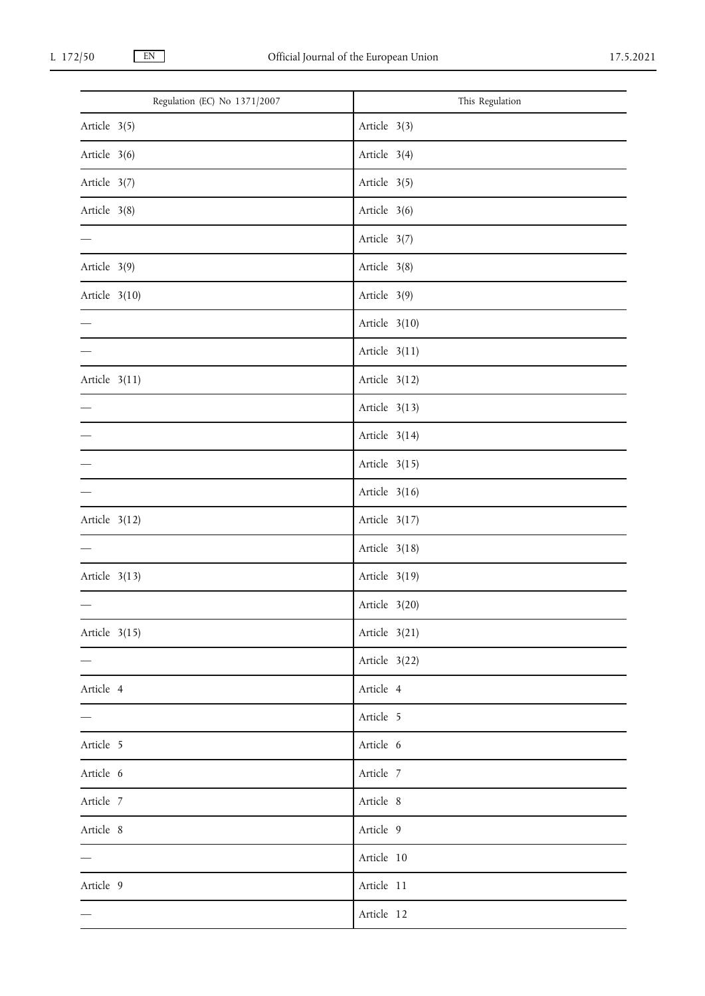| Regulation (EC) No 1371/2007 | This Regulation |
|------------------------------|-----------------|
| Article 3(5)                 | Article 3(3)    |
| Article 3(6)                 | Article 3(4)    |
| Article 3(7)                 | Article 3(5)    |
| Article 3(8)                 | Article 3(6)    |
|                              | Article 3(7)    |
| Article 3(9)                 | Article 3(8)    |
| Article 3(10)                | Article 3(9)    |
|                              | Article 3(10)   |
|                              | Article 3(11)   |
| Article 3(11)                | Article 3(12)   |
|                              | Article 3(13)   |
|                              | Article 3(14)   |
|                              | Article 3(15)   |
|                              | Article 3(16)   |
| Article 3(12)                | Article 3(17)   |
|                              | Article 3(18)   |
| Article 3(13)                | Article 3(19)   |
|                              | Article 3(20)   |
| Article 3(15)                | Article 3(21)   |
|                              | Article 3(22)   |
| Article 4                    | Article 4       |
|                              | Article 5       |
| Article 5                    | Article 6       |
| Article 6                    | Article 7       |
| Article 7                    | Article 8       |
| Article 8                    | Article 9       |
|                              | Article 10      |
| Article 9                    | Article 11      |
| $\overline{\phantom{0}}$     | Article 12      |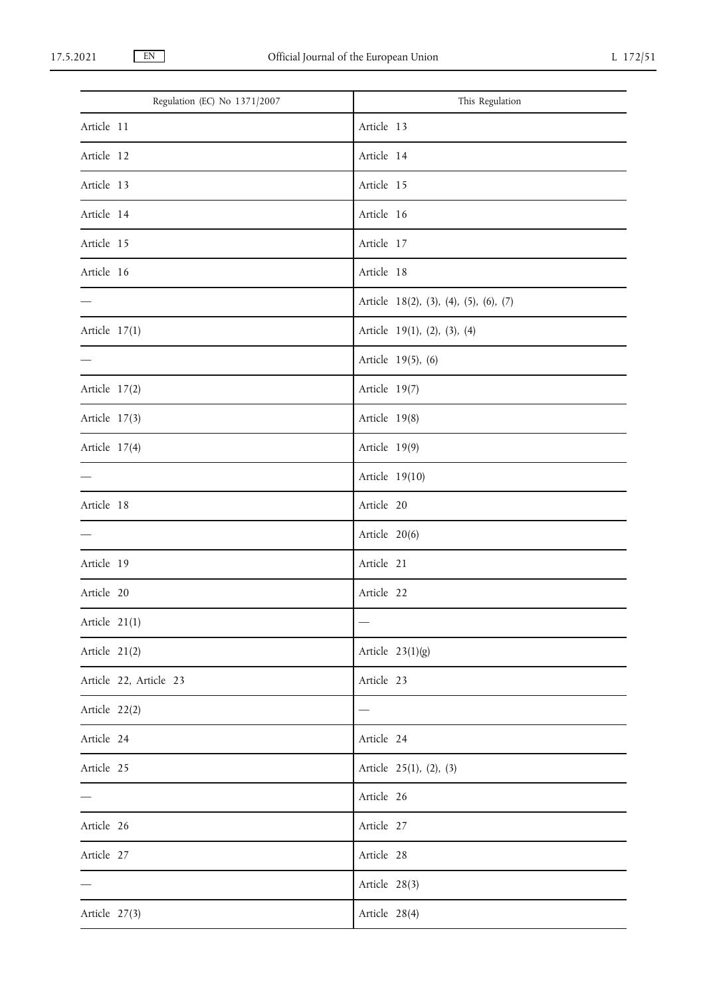| Regulation (EC) No 1371/2007 | This Regulation                        |
|------------------------------|----------------------------------------|
| Article 11                   | Article 13                             |
| Article 12                   | Article 14                             |
| Article 13                   | Article 15                             |
| Article 14                   | Article 16                             |
| Article 15                   | Article 17                             |
| Article 16                   | Article 18                             |
|                              | Article 18(2), (3), (4), (5), (6), (7) |
| Article 17(1)                | Article 19(1), (2), (3), (4)           |
|                              | Article 19(5), (6)                     |
| Article 17(2)                | Article 19(7)                          |
| Article 17(3)                | Article 19(8)                          |
| Article 17(4)                | Article 19(9)                          |
|                              | Article 19(10)                         |
| Article 18                   | Article 20                             |
|                              | Article 20(6)                          |
| Article 19                   | Article 21                             |
| Article 20                   | Article 22                             |
| Article 21(1)                |                                        |
| Article 21(2)                | Article 23(1)(g)                       |
| Article 22, Article 23       | Article 23                             |
| Article 22(2)                | $\hspace{0.05cm}$                      |
| Article 24                   | Article 24                             |
| Article 25                   | Article 25(1), (2), (3)                |
|                              | Article 26                             |
| Article 26                   | Article 27                             |
| Article 27                   | Article 28                             |
|                              | Article 28(3)                          |
| Article 27(3)                | Article 28(4)                          |